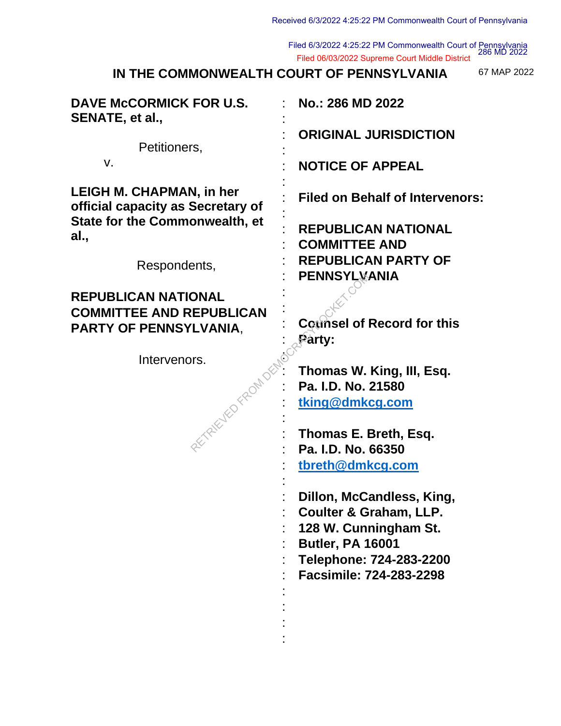Filed 6/3/2022 4:25:22 PM Commonwealth Court of Pennsylvania 286 MD 2022 Filed 06/03/2022 Supreme Court Middle District

**IN THE COMMONWEALTH COURT OF PENNSYLVANIA**

67 MAP 2022

| DAVE McCORMICK FOR U.S.<br>SENATE, et al.,                           | No.: 286 MD 2022                                                   |
|----------------------------------------------------------------------|--------------------------------------------------------------------|
| Petitioners,                                                         | <b>ORIGINAL JURISDICTION</b>                                       |
| V.                                                                   | <b>NOTICE OF APPEAL</b>                                            |
| <b>LEIGH M. CHAPMAN, in her</b><br>official capacity as Secretary of | <b>Filed on Behalf of Intervenors:</b>                             |
| State for the Commonwealth, et<br>al.,                               | <b>REPUBLICAN NATIONAL</b><br><b>COMMITTEE AND</b>                 |
| Respondents,                                                         | <b>REPUBLICAN PARTY OF</b><br>PENNSYLVANIA                         |
| <b>REPUBLICAN NATIONAL</b><br><b>COMMITTEE AND REPUBLICAN</b>        |                                                                    |
| <b>PARTY OF PENNSYLVANIA,</b>                                        | <b>Counsel of Record for this</b><br>Party:                        |
| Intervenors.<br>AETRICITED FROM DEM                                  | Thomas W. King, III, Esq.<br>Pa. I.D. No. 21580<br>tking@dmkcg.com |
|                                                                      | Thomas E. Breth, Esq.<br>Pa. I.D. No. 66350                        |
|                                                                      | tbreth@dmkcg.com                                                   |
|                                                                      | Dillon, McCandless, King,<br><b>Coulter &amp; Graham, LLP.</b>     |
|                                                                      | 128 W. Cunningham St.<br><b>Butler, PA 16001</b>                   |
|                                                                      | Telephone: 724-283-2200<br>Facsimile: 724-283-2298                 |
|                                                                      |                                                                    |
|                                                                      |                                                                    |
|                                                                      |                                                                    |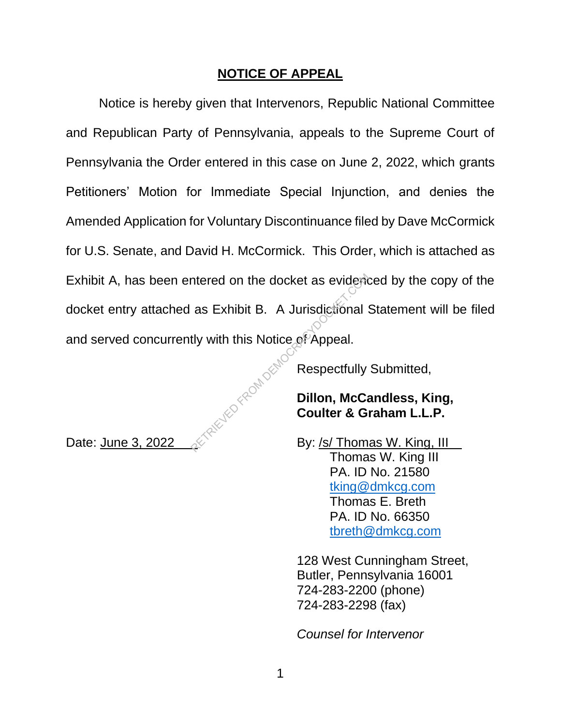# **NOTICE OF APPEAL**

Notice is hereby given that Intervenors, Republic National Committee and Republican Party of Pennsylvania, appeals to the Supreme Court of Pennsylvania the Order entered in this case on June 2, 2022, which grants Petitioners' Motion for Immediate Special Injunction, and denies the Amended Application for Voluntary Discontinuance filed by Dave McCormick for U.S. Senate, and David H. McCormick. This Order, which is attached as Exhibit A, has been entered on the docket as evidenced by the copy of the docket entry attached as Exhibit B. A Jurisdictional Statement will be filed and served concurrently with this Notice of Appeal. TRIEVED FROM DEMO

Respectfully Submitted,

# **Dillon, McCandless, King, Coulter & Graham L.L.P.**

Date: June 3, 2022  $\&$  By: /s/ Thomas W. King, III Thomas W. King III PA. ID No. 21580 tking@dmkcg.com Thomas E. Breth PA. ID No. 66350 tbreth@dmkcg.com

> 128 West Cunningham Street, Butler, Pennsylvania 16001 724-283-2200 (phone) 724-283-2298 (fax)

*Counsel for Intervenor*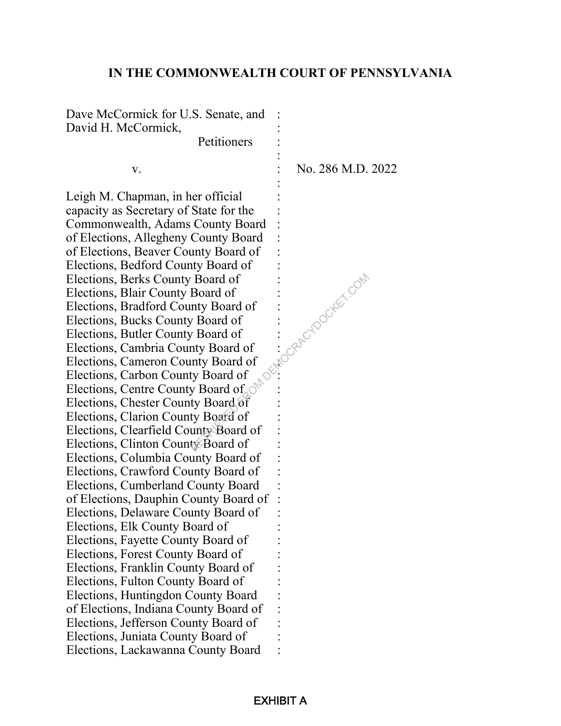## **IN THE COMMONWEALTH COURT OF PENNSYLVANIA**

Dave McCormick for U.S. Senate, and David H. McCormick,

**Second Contract Contract Contract Contract** 

**Petitioners** 

**Second Contract Contract Contract Contract Contract Contract Contract Contract Contract Contract Contract Contract Contract Contract Contract Contract Contract Contract Contract Contract Contract Contract Contract Contrac** Leigh M. Chapman, in her official capacity as Secretary of State for the : Commonwealth, Adams County Board : of Elections, Allegheny County Board : of Elections, Beaver County Board of : Elections, Bedford County Board of : Elections, Berks County Board of : Elections, Blair County Board of : Elections, Bradford County Board of : Elections, Bucks County Board of : Elections, Butler County Board of : Elections, Cambria County Board of : Elections, Cameron County Board of : Elections, Carbon County Board of : Elections, Centre County Board of  $\circ$ Elections, Chester County Board of : Elections, Clarion County Board of : Elections, Clearfield County Board of : Elections, Clinton County Board of Elections, Columbia County Board of : Elections, Crawford County Board of : Elections, Cumberland County Board : of Elections, Dauphin County Board of : Elections, Delaware County Board of : Elections, Elk County Board of : Elections, Fayette County Board of : Elections, Forest County Board of : Elections, Franklin County Board of : Elections, Fulton County Board of : Elections, Huntingdon County Board : of Elections, Indiana County Board of : Elections, Jefferson County Board of : Elections, Juniata County Board of : Elections, Lackawanna County Board : EXHIBIT A<br>
EXHIBIT A<br>
EXHIBIT A<br>
EXHIBIT A

v. No. 286 M.D. 2022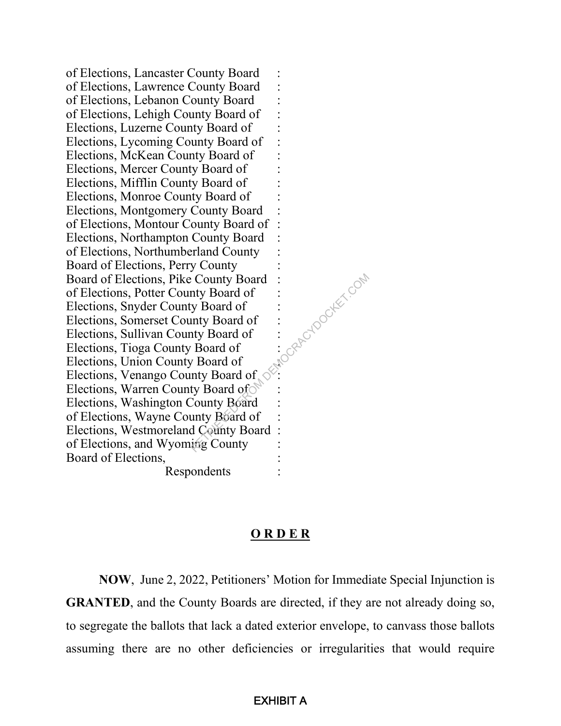of Elections, Lancaster County Board : of Elections, Lawrence County Board : of Elections, Lebanon County Board : of Elections, Lehigh County Board of : Elections, Luzerne County Board of : Elections, Lycoming County Board of : Elections, McKean County Board of : Elections, Mercer County Board of : Elections, Mifflin County Board of : Elections, Monroe County Board of : Elections, Montgomery County Board : of Elections, Montour County Board of : Elections, Northampton County Board : of Elections, Northumberland County : Board of Elections, Perry County Board of Elections, Pike County Board : of Elections, Potter County Board of : Elections, Snyder County Board of : Elections, Somerset County Board of : Elections, Sullivan County Board of : Elections, Tioga County Board of : Elections, Union County Board of : Elections, Venango County Board of  $\leq$ Elections, Warren County Board of Elections, Washington County Board : of Elections, Wayne County Board of : Elections, Westmoreland County Board : of Elections, and Wyoming County : Board of Elections.

Respondents :

## **O R D E R**

**NOW**, June 2, 2022, Petitioners' Motion for Immediate Special Injunction is **GRANTED**, and the County Boards are directed, if they are not already doing so, to segregate the ballots that lack a dated exterior envelope, to canvass those ballots assuming there are no other deficiencies or irregularities that would require ExHIBIT A<br>
Exhibit and :<br>  $\frac{1}{3}$ <br>  $\frac{1}{3}$ <br>  $\frac{1}{3}$ <br>  $\frac{1}{3}$ <br>  $\frac{1}{3}$ <br>  $\frac{1}{3}$ <br>  $\frac{1}{3}$ <br>  $\frac{1}{3}$ <br>  $\frac{1}{3}$ <br>  $\frac{1}{3}$ <br>  $\frac{1}{3}$ <br>  $\frac{1}{3}$ <br>  $\frac{1}{3}$ <br>  $\frac{1}{3}$ <br>  $\frac{1}{3}$ <br>  $\frac{1}{3}$ <br>  $\frac{1}{3}$ <br>  $\frac{1}{3}$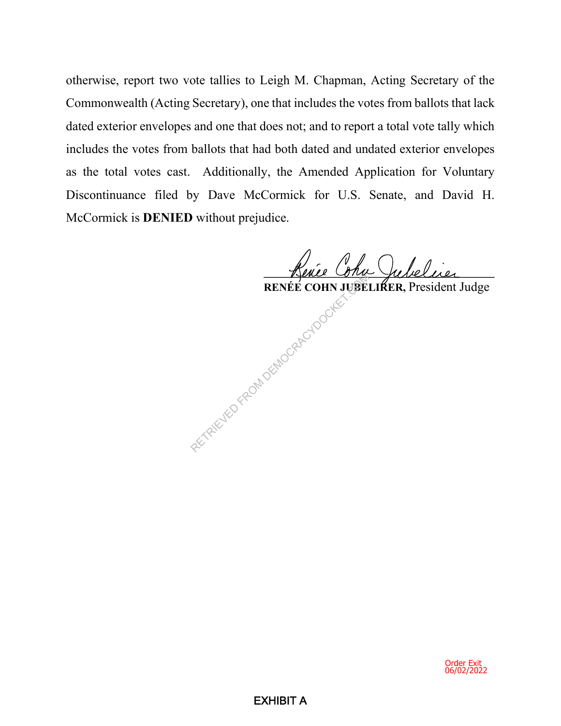otherwise, report two vote tallies to Leigh M. Chapman, Acting Secretary of the Commonwealth (Acting Secretary), one that includes the votes from ballots that lack dated exterior envelopes and one that does not; and to report a total vote tally which includes the votes from ballots that had both dated and undated exterior envelopes as the total votes cast. Additionally, the Amended Application for Voluntary Discontinuance filed by Dave McCormick for U.S. Senate, and David H. McCormick is **DENIED** without prejudice.

<u>- Kence Cona Jubelaci</u>

 **RENÉE COHN JUBELIRER,** President Judge EXHIBIT A RETRIEVED FROM DEMOCRACYDOCKET.

Order Exit 06/02/2022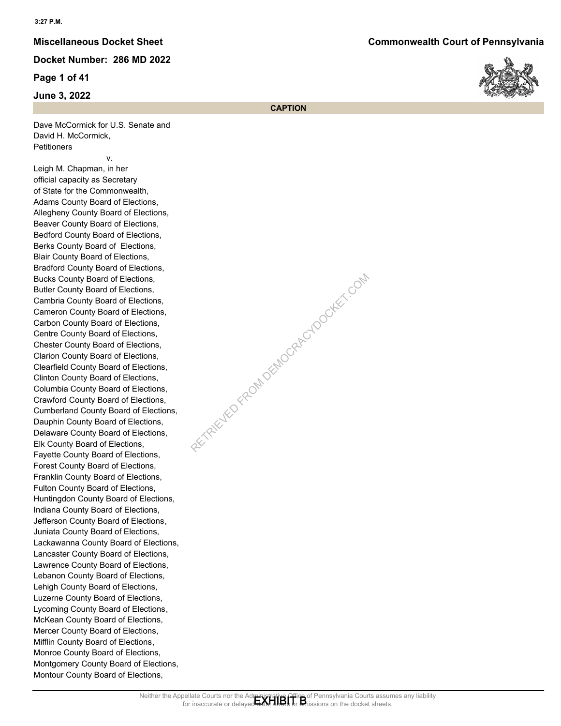**Page 1 of 41**

**June 3, 2022**

**Miscellaneous Docket Sheet Commonwealth Court of Pennsylvania**



**CAPTION**

EXTRACK ADD REPORT DOCKET.COM

Dave McCormick for U.S. Senate and David H. McCormick, **Petitioners** 

 v. Leigh M. Chapman, in her official capacity as Secretary of State for the Commonwealth, Adams County Board of Elections, Allegheny County Board of Elections, Beaver County Board of Elections, Bedford County Board of Elections, Berks County Board of Elections, Blair County Board of Elections, Bradford County Board of Elections, Bucks County Board of Elections, Butler County Board of Elections, Cambria County Board of Elections, Cameron County Board of Elections, Carbon County Board of Elections, Centre County Board of Elections, Chester County Board of Elections, Clarion County Board of Elections, Clearfield County Board of Elections, Clinton County Board of Elections, Columbia County Board of Elections, Crawford County Board of Elections, Cumberland County Board of Elections, Dauphin County Board of Elections, Delaware County Board of Elections, Elk County Board of Elections, Fayette County Board of Elections, Forest County Board of Elections, Franklin County Board of Elections, Fulton County Board of Elections, Huntingdon County Board of Elections, Indiana County Board of Elections, Jefferson County Board of Elections, Juniata County Board of Elections, Lackawanna County Board of Elections, Lancaster County Board of Elections, Lawrence County Board of Elections, Lebanon County Board of Elections, Lehigh County Board of Elections, Luzerne County Board of Elections, Lycoming County Board of Elections, McKean County Board of Elections, Mercer County Board of Elections, Mifflin County Board of Elections, Monroe County Board of Elections, Montgomery County Board of Elections, Montour County Board of Elections,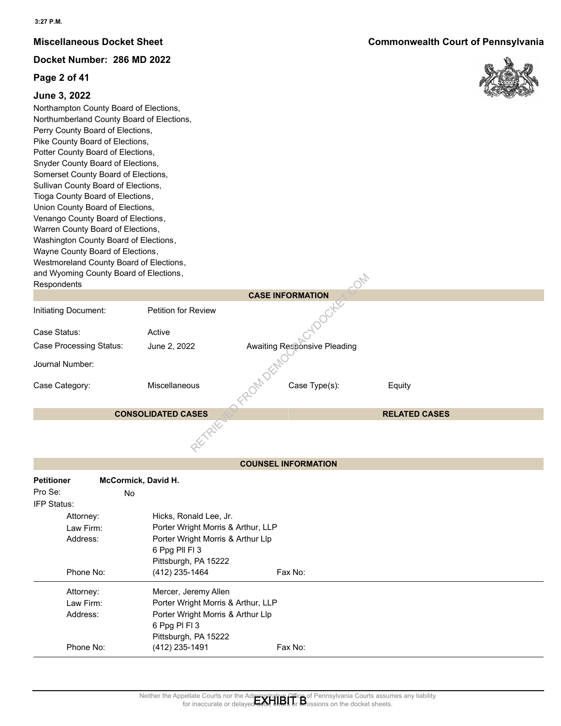#### **Page 2 of 41**

### **June 3, 2022**

Northampton County Board of Elections, Northumberland County Board of Elections, Perry County Board of Elections, Pike County Board of Elections, Potter County Board of Elections, Snyder County Board of Elections, Somerset County Board of Elections, Sullivan County Board of Elections, Tioga County Board of Elections, Union County Board of Elections, Venango County Board of Elections, Warren County Board of Elections, Washington County Board of Elections, Wayne County Board of Elections, Westmoreland County Board of Elections, and Wyoming County Board of Elections, **Respondents** 

| and vyyoming County Board or Elections,<br>Respondents |                                    |                                                                                                                                                                                           | $O_{\!Z\!p}$         |  |
|--------------------------------------------------------|------------------------------------|-------------------------------------------------------------------------------------------------------------------------------------------------------------------------------------------|----------------------|--|
|                                                        |                                    | <b>CASE INFORMATION</b>                                                                                                                                                                   |                      |  |
| Initiating Document:                                   | <b>Petition for Review</b>         | <b>TOOCH</b>                                                                                                                                                                              |                      |  |
| Case Status:                                           | Active                             |                                                                                                                                                                                           |                      |  |
| <b>Case Processing Status:</b>                         | June 2, 2022                       | <b>Awaiting Responsive Pleading</b>                                                                                                                                                       |                      |  |
| Journal Number:                                        |                                    |                                                                                                                                                                                           |                      |  |
| Case Category:                                         | Miscellaneous                      | ROM DEM<br>Case Type(s):                                                                                                                                                                  | Equity               |  |
|                                                        | <b>CONSOLIDATED CASES</b>          |                                                                                                                                                                                           | <b>RELATED CASES</b> |  |
|                                                        |                                    |                                                                                                                                                                                           |                      |  |
|                                                        |                                    | <b>COUNSEL INFORMATION</b>                                                                                                                                                                |                      |  |
| <b>Petitioner</b>                                      | McCormick, David H.                |                                                                                                                                                                                           |                      |  |
| Pro Se:<br>No                                          |                                    |                                                                                                                                                                                           |                      |  |
| IFP Status:                                            |                                    |                                                                                                                                                                                           |                      |  |
| Attorney:                                              | Hicks, Ronald Lee, Jr.             |                                                                                                                                                                                           |                      |  |
| Law Firm:                                              | Porter Wright Morris & Arthur, LLP |                                                                                                                                                                                           |                      |  |
| Address:                                               | Porter Wright Morris & Arthur Llp  |                                                                                                                                                                                           |                      |  |
|                                                        | 6 Ppg Pll Fl 3                     |                                                                                                                                                                                           |                      |  |
|                                                        | Pittsburgh, PA 15222               |                                                                                                                                                                                           |                      |  |
| Phone No:                                              | (412) 235-1464                     | Fax No:                                                                                                                                                                                   |                      |  |
| Attorney:                                              | Mercer, Jeremy Allen               |                                                                                                                                                                                           |                      |  |
| Law Firm:                                              | Porter Wright Morris & Arthur, LLP |                                                                                                                                                                                           |                      |  |
| Address:                                               | Porter Wright Morris & Arthur Llp  |                                                                                                                                                                                           |                      |  |
|                                                        | 6 Ppg PI FI 3                      |                                                                                                                                                                                           |                      |  |
|                                                        | Pittsburgh, PA 15222               |                                                                                                                                                                                           |                      |  |
| Phone No:                                              | (412) 235-1491                     | Fax No:                                                                                                                                                                                   |                      |  |
|                                                        |                                    |                                                                                                                                                                                           |                      |  |
|                                                        |                                    |                                                                                                                                                                                           |                      |  |
|                                                        |                                    |                                                                                                                                                                                           |                      |  |
|                                                        |                                    | Neither the Appellate Courts nor the Administrative Office of Pennsylvania Courts assumes any liability<br>for inaccurate or delayed that a time of the discussions on the docket sheets. |                      |  |

| <b>Petitioner</b> | McCormick, David H.                |
|-------------------|------------------------------------|
| Pro Se:           | No                                 |
| IFP Status:       |                                    |
| Attorney:         | Hicks, Ronald Lee, Jr.             |
| Law Firm:         | Porter Wright Morris & Arthur, LLP |
| Address:          | Porter Wright Morris & Arthur Llp  |
|                   | 6 Ppg Pll Fl 3                     |
|                   | Pittsburgh, PA 15222               |
| Phone No:         | (412) 235-1464<br>Fax No:          |
| Attorney:         | Mercer, Jeremy Allen               |
| Law Firm:         | Porter Wright Morris & Arthur, LLP |
| Address:          | Porter Wright Morris & Arthur Llp  |
|                   | 6 Ppg PI FI 3                      |
|                   | Pittsburgh, PA 15222               |
| Phone No:         | Fax No:<br>(412) 235-1491          |

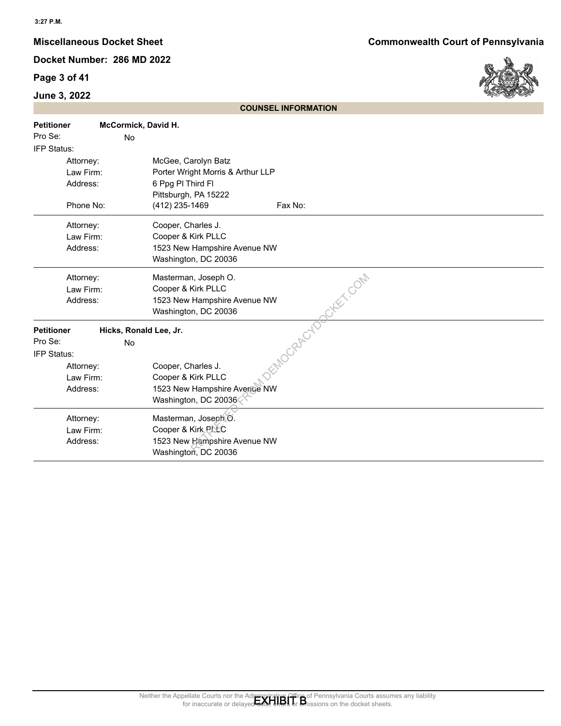## **Page 3 of 41**

## **June 3, 2022**



|                                                                                   |                              | <b>COUNSEL INFORMATION</b>                                                                                                                                                            |
|-----------------------------------------------------------------------------------|------------------------------|---------------------------------------------------------------------------------------------------------------------------------------------------------------------------------------|
| <b>Petitioner</b><br>Pro Se:<br>IFP Status:                                       | McCormick, David H.<br>No    |                                                                                                                                                                                       |
| Attorney:<br>Law Firm:<br>Address:<br>Phone No:                                   |                              | McGee, Carolyn Batz<br>Porter Wright Morris & Arthur LLP<br>6 Ppg PI Third FI<br>Pittsburgh, PA 15222<br>(412) 235-1469<br>Fax No:                                                    |
| Attorney:<br>Law Firm:<br>Address:                                                |                              | Cooper, Charles J.<br>Cooper & Kirk PLLC<br>1523 New Hampshire Avenue NW<br>Washington, DC 20036                                                                                      |
| Attorney:<br>Law Firm:<br>Address:                                                |                              | Masterman, Joseph O.<br>Cooper & Kirk PLLC<br>1523 New Hampshire Avenue NW<br>Washington, DC 20036                                                                                    |
| <b>Petitioner</b><br>Pro Se:<br>IFP Status:<br>Attorney:<br>Law Firm:<br>Address: | Hicks, Ronald Lee, Jr.<br>No | DEMOCRAPOLOGIEX COM<br>Cooper, Charles J.<br>Cooper & Kirk PLLC<br>1523 New Hampshire Avenue NW<br>Washington, DC 20036                                                               |
| Attorney:<br>Law Firm:<br>Address:                                                |                              | Masterman, Joseph O.<br>Cooper & Kirk PLLC<br>1523 New Hampshire Avenue NW<br>Washington, DC 20036                                                                                    |
|                                                                                   |                              |                                                                                                                                                                                       |
|                                                                                   |                              | Neither the Appellate Courts nor the Administrative Office of Pennsylvania Courts assumes any liability<br>for inaccurate or delayed data, ends or an insisions on the docket sheets. |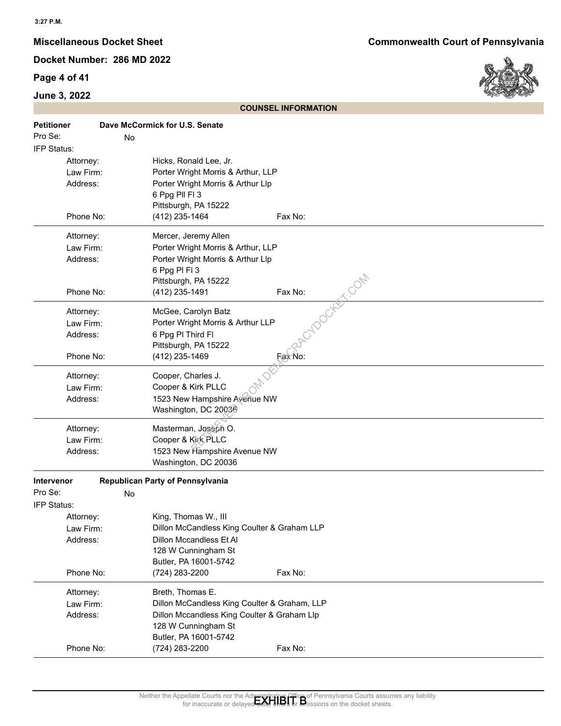## **Page 4 of 41**

## **June 3, 2022**



|                              |    |                                                                    | <b>COUNSEL INFORMATION</b>                                                                                                                                                               |
|------------------------------|----|--------------------------------------------------------------------|------------------------------------------------------------------------------------------------------------------------------------------------------------------------------------------|
| <b>Petitioner</b><br>Pro Se: | No | Dave McCormick for U.S. Senate                                     |                                                                                                                                                                                          |
| IFP Status:                  |    |                                                                    |                                                                                                                                                                                          |
| Attorney:<br>Law Firm:       |    | Hicks, Ronald Lee, Jr.<br>Porter Wright Morris & Arthur, LLP       |                                                                                                                                                                                          |
| Address:                     |    | Porter Wright Morris & Arthur Llp                                  |                                                                                                                                                                                          |
|                              |    | 6 Ppg Pll Fl 3                                                     |                                                                                                                                                                                          |
|                              |    | Pittsburgh, PA 15222                                               |                                                                                                                                                                                          |
| Phone No:                    |    | (412) 235-1464                                                     | Fax No:                                                                                                                                                                                  |
| Attorney:                    |    | Mercer, Jeremy Allen                                               |                                                                                                                                                                                          |
| Law Firm:                    |    | Porter Wright Morris & Arthur, LLP                                 |                                                                                                                                                                                          |
| Address:                     |    | Porter Wright Morris & Arthur Llp                                  |                                                                                                                                                                                          |
|                              |    | 6 Ppg PI FI 3                                                      |                                                                                                                                                                                          |
|                              |    | Pittsburgh, PA 15222                                               |                                                                                                                                                                                          |
| Phone No:                    |    | (412) 235-1491                                                     | Cylogeter com<br>Fax No:                                                                                                                                                                 |
| Attorney:                    |    | McGee, Carolyn Batz                                                |                                                                                                                                                                                          |
| Law Firm:                    |    | Porter Wright Morris & Arthur LLP                                  |                                                                                                                                                                                          |
| Address:                     |    | 6 Ppg PI Third FI                                                  |                                                                                                                                                                                          |
|                              |    | Pittsburgh, PA 15222                                               |                                                                                                                                                                                          |
| Phone No:                    |    | (412) 235-1469                                                     | Fax No:                                                                                                                                                                                  |
| Attorney:                    |    | Cooper, Charles J.                                                 |                                                                                                                                                                                          |
| Law Firm:                    |    | Cooper & Kirk PLLC                                                 |                                                                                                                                                                                          |
| Address:                     |    | 1523 New Hampshire Avenue NW                                       |                                                                                                                                                                                          |
|                              |    | Washington, DC 20036                                               |                                                                                                                                                                                          |
| Attorney:                    |    | Masterman, Joseph O.                                               |                                                                                                                                                                                          |
| Law Firm:                    |    | Cooper & Kirk PLLC                                                 |                                                                                                                                                                                          |
| Address:                     |    | 1523 New Hampshire Avenue NW                                       |                                                                                                                                                                                          |
|                              |    | Washington, DC 20036                                               |                                                                                                                                                                                          |
| Intervenor                   |    | Republican Party of Pennsylvania                                   |                                                                                                                                                                                          |
| Pro Se:                      | No |                                                                    |                                                                                                                                                                                          |
| IFP Status:                  |    |                                                                    |                                                                                                                                                                                          |
| Attorney:                    |    | King, Thomas W., III                                               |                                                                                                                                                                                          |
| Law Firm:                    |    | Dillon McCandless King Coulter & Graham LLP                        |                                                                                                                                                                                          |
| Address:                     |    | Dillon Mccandless Et Al                                            |                                                                                                                                                                                          |
|                              |    | 128 W Cunningham St                                                |                                                                                                                                                                                          |
| Phone No:                    |    | Butler, PA 16001-5742<br>(724) 283-2200                            | Fax No:                                                                                                                                                                                  |
|                              |    |                                                                    |                                                                                                                                                                                          |
| Attorney:                    |    | Breth, Thomas E.                                                   |                                                                                                                                                                                          |
| Law Firm:                    |    | Dillon McCandless King Coulter & Graham, LLP                       |                                                                                                                                                                                          |
| Address:                     |    | Dillon Mccandless King Coulter & Graham Llp<br>128 W Cunningham St |                                                                                                                                                                                          |
|                              |    | Butler, PA 16001-5742                                              |                                                                                                                                                                                          |
| Phone No:                    |    | (724) 283-2200                                                     | Fax No:                                                                                                                                                                                  |
|                              |    |                                                                    |                                                                                                                                                                                          |
|                              |    |                                                                    |                                                                                                                                                                                          |
|                              |    |                                                                    |                                                                                                                                                                                          |
|                              |    |                                                                    | Neither the Appellate Courts nor the Administrative Office of Pennsylvania Courts assumes any liability<br>for inaccurate or delayed date, the office of thissions on the docket sheets. |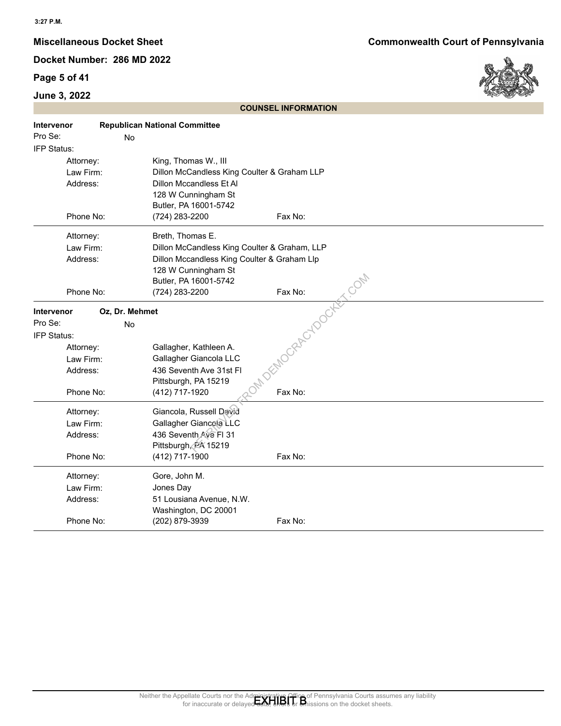## **Page 5 of 41**

## **June 3, 2022**



| <b>COUNSEL INFORMATION</b> |                                                 |                                                                                                                                                                                   |                                                                                                                                                                             |
|----------------------------|-------------------------------------------------|-----------------------------------------------------------------------------------------------------------------------------------------------------------------------------------|-----------------------------------------------------------------------------------------------------------------------------------------------------------------------------|
| Intervenor<br>Pro Se:      | No                                              | <b>Republican National Committee</b>                                                                                                                                              |                                                                                                                                                                             |
| IFP Status:                |                                                 |                                                                                                                                                                                   |                                                                                                                                                                             |
|                            | Attorney:<br>Law Firm:<br>Address:              | King, Thomas W., III<br>Dillon McCandless King Coulter & Graham LLP<br>Dillon Mccandless Et Al<br>128 W Cunningham St<br>Butler, PA 16001-5742                                    |                                                                                                                                                                             |
|                            | Phone No:                                       | (724) 283-2200                                                                                                                                                                    | Fax No:                                                                                                                                                                     |
|                            | Attorney:<br>Law Firm:<br>Address:<br>Phone No: | Breth, Thomas E.<br>Dillon McCandless King Coulter & Graham, LLP<br>Dillon Mccandless King Coulter & Graham Llp<br>128 W Cunningham St<br>Butler, PA 16001-5742<br>(724) 283-2200 | DEMOCRACYDOCKET.COM                                                                                                                                                         |
| Intervenor                 | Oz, Dr. Mehmet                                  |                                                                                                                                                                                   |                                                                                                                                                                             |
| Pro Se:                    | No                                              |                                                                                                                                                                                   |                                                                                                                                                                             |
| IFP Status:                |                                                 |                                                                                                                                                                                   |                                                                                                                                                                             |
|                            | Attorney:                                       | Gallagher, Kathleen A.                                                                                                                                                            |                                                                                                                                                                             |
|                            | Law Firm:                                       | Gallagher Giancola LLC                                                                                                                                                            |                                                                                                                                                                             |
|                            | Address:                                        | 436 Seventh Ave 31st Fl                                                                                                                                                           |                                                                                                                                                                             |
|                            | Phone No:                                       | Pittsburgh, PA 15219<br>(412) 717-1920                                                                                                                                            | Fax No:                                                                                                                                                                     |
|                            | Attorney:<br>Law Firm:<br>Address:<br>Phone No: | Giancola, Russell David<br>Gallagher Giancola LLC<br>436 Seventh Ave FI 31<br>Pittsburgh, PA 15219<br>(412) 717-1900                                                              | Fax No:                                                                                                                                                                     |
|                            | Attorney:                                       | Gore, John M.                                                                                                                                                                     |                                                                                                                                                                             |
|                            | Law Firm:                                       | Jones Day                                                                                                                                                                         |                                                                                                                                                                             |
|                            | Address:                                        | 51 Lousiana Avenue, N.W.                                                                                                                                                          |                                                                                                                                                                             |
|                            | Phone No:                                       | Washington, DC 20001<br>(202) 879-3939                                                                                                                                            | Fax No:                                                                                                                                                                     |
|                            |                                                 |                                                                                                                                                                                   | Neither the Appellate Courts nor the Administrative Office of Pennsylvania Courts assumes any liability<br>for inaccurate or delaved and the official on the docket sheets. |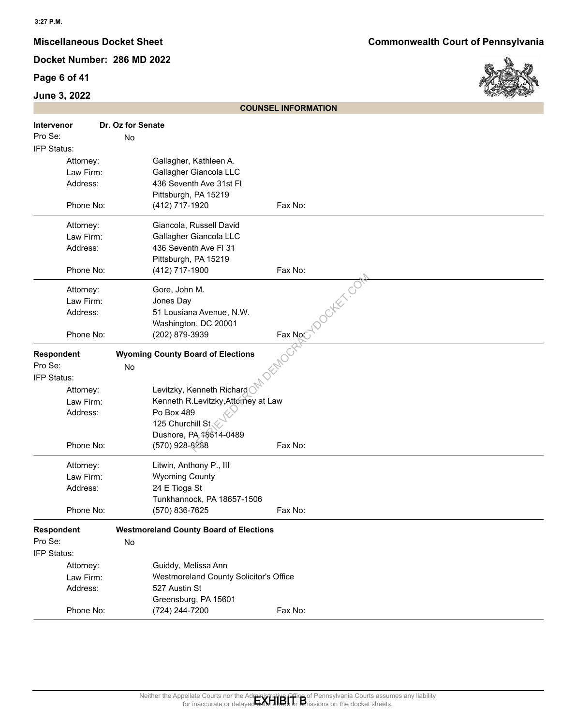## **Page 6 of 41**

## **June 3, 2022**



|                   | <b>COUNSEL INFORMATION</b>                                                                                                                                                         |
|-------------------|------------------------------------------------------------------------------------------------------------------------------------------------------------------------------------|
| <b>Intervenor</b> | Dr. Oz for Senate                                                                                                                                                                  |
| Pro Se:           | No                                                                                                                                                                                 |
| IFP Status:       |                                                                                                                                                                                    |
| Attorney:         | Gallagher, Kathleen A.                                                                                                                                                             |
| Law Firm:         | Gallagher Giancola LLC                                                                                                                                                             |
| Address:          | 436 Seventh Ave 31st Fl                                                                                                                                                            |
|                   | Pittsburgh, PA 15219                                                                                                                                                               |
| Phone No:         | Fax No:<br>(412) 717-1920                                                                                                                                                          |
| Attorney:         | Giancola, Russell David                                                                                                                                                            |
| Law Firm:         | Gallagher Giancola LLC                                                                                                                                                             |
| Address:          | 436 Seventh Ave FI 31                                                                                                                                                              |
|                   | Pittsburgh, PA 15219                                                                                                                                                               |
| Phone No:         | (412) 717-1900<br>Fax No:                                                                                                                                                          |
| Attorney:         | locker con<br>Gore, John M.                                                                                                                                                        |
| Law Firm:         | Jones Day                                                                                                                                                                          |
| Address:          | 51 Lousiana Avenue, N.W.                                                                                                                                                           |
|                   | Washington, DC 20001                                                                                                                                                               |
| Phone No:         | Fax No<br>(202) 879-3939                                                                                                                                                           |
| Respondent        | <b>Wyoming County Board of Elections</b>                                                                                                                                           |
| Pro Se:           | No                                                                                                                                                                                 |
| IFP Status:       |                                                                                                                                                                                    |
| Attorney:         | Levitzky, Kenneth Richard                                                                                                                                                          |
| Law Firm:         | Kenneth R.Levitzky, Attorney at Law                                                                                                                                                |
| Address:          | Po Box 489                                                                                                                                                                         |
|                   | 125 Churchill St,                                                                                                                                                                  |
|                   | Dushore, PA 18614-0489                                                                                                                                                             |
| Phone No:         | (570) 928-8288<br>Fax No:                                                                                                                                                          |
| Attorney:         | Litwin, Anthony P., III                                                                                                                                                            |
| Law Firm:         | <b>Wyoming County</b>                                                                                                                                                              |
| Address:          | 24 E Tioga St                                                                                                                                                                      |
|                   | Tunkhannock, PA 18657-1506                                                                                                                                                         |
| Phone No:         | (570) 836-7625<br>Fax No:                                                                                                                                                          |
| Respondent        | <b>Westmoreland County Board of Elections</b>                                                                                                                                      |
| Pro Se:           | No                                                                                                                                                                                 |
| IFP Status:       |                                                                                                                                                                                    |
| Attorney:         | Guiddy, Melissa Ann                                                                                                                                                                |
| Law Firm:         | Westmoreland County Solicitor's Office                                                                                                                                             |
| Address:          | 527 Austin St                                                                                                                                                                      |
|                   | Greensburg, PA 15601                                                                                                                                                               |
| Phone No:         | (724) 244-7200<br>Fax No:                                                                                                                                                          |
|                   |                                                                                                                                                                                    |
|                   |                                                                                                                                                                                    |
|                   |                                                                                                                                                                                    |
|                   |                                                                                                                                                                                    |
|                   |                                                                                                                                                                                    |
|                   |                                                                                                                                                                                    |
|                   | Neither the Appellate Courts nor the Administrative Office of Pennsylvania Courts assumes any liability<br>for inaccurate or delayed data, ends or anissions on the docket sheets. |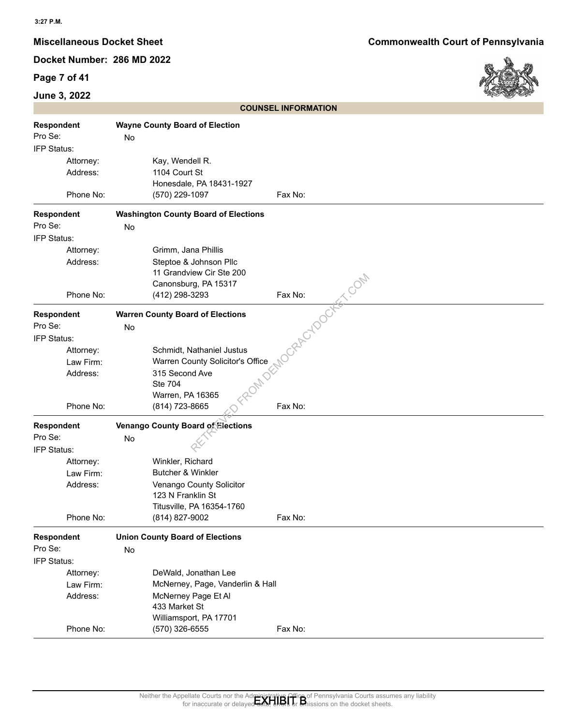## **Page 7 of 41**

## **June 3, 2022**



|             |    |                                             | <b>COUNSEL INFORMATION</b>                                                                                                                                                     |
|-------------|----|---------------------------------------------|--------------------------------------------------------------------------------------------------------------------------------------------------------------------------------|
| Respondent  |    | <b>Wayne County Board of Election</b>       |                                                                                                                                                                                |
| Pro Se:     | No |                                             |                                                                                                                                                                                |
| IFP Status: |    |                                             |                                                                                                                                                                                |
| Attorney:   |    | Kay, Wendell R.                             |                                                                                                                                                                                |
| Address:    |    | 1104 Court St                               |                                                                                                                                                                                |
|             |    | Honesdale, PA 18431-1927                    |                                                                                                                                                                                |
| Phone No:   |    | (570) 229-1097                              | Fax No:                                                                                                                                                                        |
| Respondent  |    | <b>Washington County Board of Elections</b> |                                                                                                                                                                                |
| Pro Se:     | No |                                             |                                                                                                                                                                                |
| IFP Status: |    |                                             |                                                                                                                                                                                |
| Attorney:   |    | Grimm, Jana Phillis                         |                                                                                                                                                                                |
| Address:    |    | Steptoe & Johnson Pllc                      |                                                                                                                                                                                |
|             |    | 11 Grandview Cir Ste 200                    |                                                                                                                                                                                |
|             |    | Canonsburg, PA 15317                        |                                                                                                                                                                                |
| Phone No:   |    | (412) 298-3293                              | EC.COM<br>Fax No:                                                                                                                                                              |
|             |    |                                             | CRAPCYDOCK                                                                                                                                                                     |
| Respondent  |    | <b>Warren County Board of Elections</b>     |                                                                                                                                                                                |
| Pro Se:     | No |                                             |                                                                                                                                                                                |
| IFP Status: |    |                                             |                                                                                                                                                                                |
| Attorney:   |    | Schmidt, Nathaniel Justus                   |                                                                                                                                                                                |
| Law Firm:   |    | Warren County Solicitor's Office            |                                                                                                                                                                                |
| Address:    |    | 315 Second Ave                              |                                                                                                                                                                                |
|             |    | <b>Ste 704</b>                              |                                                                                                                                                                                |
|             |    | Warren, PA 16365                            |                                                                                                                                                                                |
| Phone No:   |    | (814) 723-8665                              | Fax No:                                                                                                                                                                        |
| Respondent  |    | Venango County Board of Elections           |                                                                                                                                                                                |
| Pro Se:     | No |                                             |                                                                                                                                                                                |
| IFP Status: |    |                                             |                                                                                                                                                                                |
| Attorney:   |    | Winkler, Richard                            |                                                                                                                                                                                |
| Law Firm:   |    | <b>Butcher &amp; Winkler</b>                |                                                                                                                                                                                |
| Address:    |    | Venango County Solicitor                    |                                                                                                                                                                                |
|             |    | 123 N Franklin St                           |                                                                                                                                                                                |
|             |    | Titusville, PA 16354-1760                   |                                                                                                                                                                                |
| Phone No:   |    | (814) 827-9002                              | Fax No:                                                                                                                                                                        |
| Respondent  |    | <b>Union County Board of Elections</b>      |                                                                                                                                                                                |
| Pro Se:     | No |                                             |                                                                                                                                                                                |
| IFP Status: |    |                                             |                                                                                                                                                                                |
| Attorney:   |    | DeWald, Jonathan Lee                        |                                                                                                                                                                                |
| Law Firm:   |    | McNerney, Page, Vanderlin & Hall            |                                                                                                                                                                                |
| Address:    |    | McNerney Page Et Al                         |                                                                                                                                                                                |
|             |    | 433 Market St                               |                                                                                                                                                                                |
|             |    | Williamsport, PA 17701                      |                                                                                                                                                                                |
| Phone No:   |    | (570) 326-6555                              | Fax No:                                                                                                                                                                        |
|             |    |                                             |                                                                                                                                                                                |
|             |    |                                             |                                                                                                                                                                                |
|             |    |                                             |                                                                                                                                                                                |
|             |    |                                             |                                                                                                                                                                                |
|             |    |                                             |                                                                                                                                                                                |
|             |    |                                             | Neither the Appellate Courts nor the Administrative Office of Pennsylvania Courts assumes any liability<br>for inaccurate or delayed date, the basisions on the docket sheets. |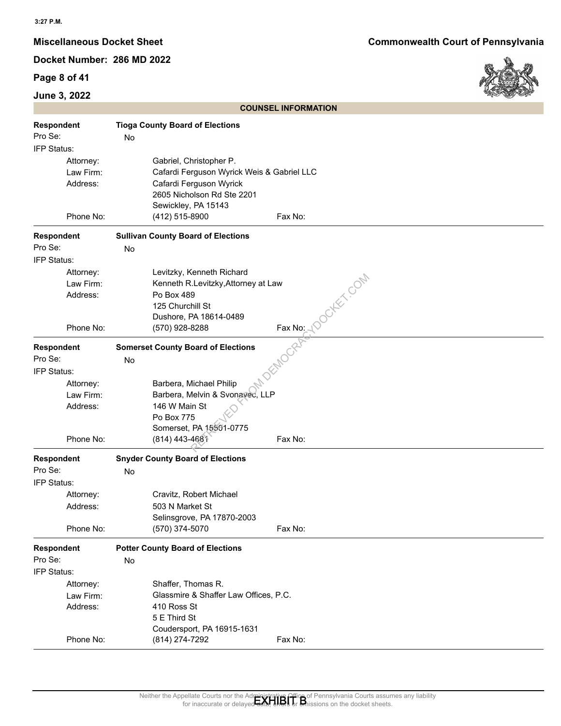## **Page 8 of 41**

## **June 3, 2022**



|             | <b>COUNSEL INFORMATION</b>                                                                                                                                                                                 |
|-------------|------------------------------------------------------------------------------------------------------------------------------------------------------------------------------------------------------------|
| Respondent  | <b>Tioga County Board of Elections</b>                                                                                                                                                                     |
| Pro Se:     | No                                                                                                                                                                                                         |
| IFP Status: |                                                                                                                                                                                                            |
|             |                                                                                                                                                                                                            |
| Attorney:   | Gabriel, Christopher P.                                                                                                                                                                                    |
| Law Firm:   | Cafardi Ferguson Wyrick Weis & Gabriel LLC                                                                                                                                                                 |
| Address:    | Cafardi Ferguson Wyrick                                                                                                                                                                                    |
|             | 2605 Nicholson Rd Ste 2201                                                                                                                                                                                 |
| Phone No:   | Sewickley, PA 15143<br>Fax No:                                                                                                                                                                             |
|             | (412) 515-8900                                                                                                                                                                                             |
| Respondent  | <b>Sullivan County Board of Elections</b>                                                                                                                                                                  |
| Pro Se:     | No                                                                                                                                                                                                         |
| IFP Status: |                                                                                                                                                                                                            |
| Attorney:   | Levitzky, Kenneth Richard<br>locker com                                                                                                                                                                    |
| Law Firm:   | Kenneth R.Levitzky, Attorney at Law                                                                                                                                                                        |
| Address:    | Po Box 489                                                                                                                                                                                                 |
|             | 125 Churchill St                                                                                                                                                                                           |
|             | Dushore, PA 18614-0489                                                                                                                                                                                     |
| Phone No:   | $\frac{Fax\,No: \sqrt{C}}{C}$<br>(570) 928-8288                                                                                                                                                            |
|             |                                                                                                                                                                                                            |
| Respondent  | <b>Somerset County Board of Elections</b>                                                                                                                                                                  |
| Pro Se:     | No                                                                                                                                                                                                         |
| IFP Status: |                                                                                                                                                                                                            |
| Attorney:   | Barbera, Michael Philip                                                                                                                                                                                    |
| Law Firm:   | Barbera, Melvin & Svonavec, LLP                                                                                                                                                                            |
| Address:    | 146 W Main St                                                                                                                                                                                              |
|             | Po Box 775                                                                                                                                                                                                 |
|             | Somerset, PA 15501-0775                                                                                                                                                                                    |
| Phone No:   | (814) 443-4681<br>Fax No:                                                                                                                                                                                  |
| Respondent  | <b>Snyder County Board of Elections</b>                                                                                                                                                                    |
| Pro Se:     | No                                                                                                                                                                                                         |
| IFP Status: |                                                                                                                                                                                                            |
| Attorney:   | Cravitz, Robert Michael                                                                                                                                                                                    |
| Address:    | 503 N Market St                                                                                                                                                                                            |
|             | Selinsgrove, PA 17870-2003                                                                                                                                                                                 |
| Phone No:   | (570) 374-5070<br>Fax No:                                                                                                                                                                                  |
|             |                                                                                                                                                                                                            |
| Respondent  | <b>Potter County Board of Elections</b>                                                                                                                                                                    |
| Pro Se:     | No                                                                                                                                                                                                         |
| IFP Status: |                                                                                                                                                                                                            |
| Attorney:   | Shaffer, Thomas R.                                                                                                                                                                                         |
| Law Firm:   | Glassmire & Shaffer Law Offices, P.C.                                                                                                                                                                      |
| Address:    | 410 Ross St                                                                                                                                                                                                |
|             | 5 E Third St                                                                                                                                                                                               |
|             | Coudersport, PA 16915-1631                                                                                                                                                                                 |
| Phone No:   | (814) 274-7292<br>Fax No:                                                                                                                                                                                  |
|             |                                                                                                                                                                                                            |
|             |                                                                                                                                                                                                            |
|             |                                                                                                                                                                                                            |
|             |                                                                                                                                                                                                            |
|             | Neither the Appellate Courts nor the Administrative Office of Pennsylvania Courts assumes any liability<br>for inaccurate or delayed date, the basis on the docket sheets.<br>ssions on the docket sheets. |
|             |                                                                                                                                                                                                            |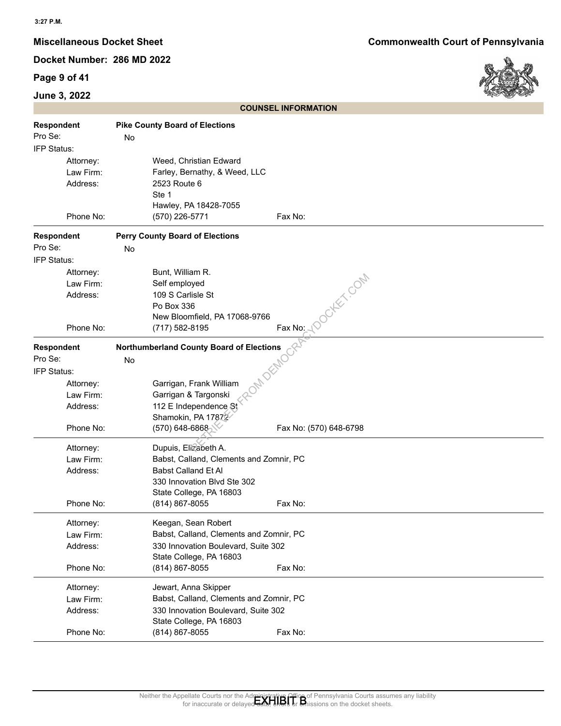## **Page 9 of 41**

## **June 3, 2022**



|                        | <b>COUNSEL INFORMATION</b>                                                                                                                                                                                                          |
|------------------------|-------------------------------------------------------------------------------------------------------------------------------------------------------------------------------------------------------------------------------------|
| <b>Respondent</b>      | <b>Pike County Board of Elections</b>                                                                                                                                                                                               |
| Pro Se:                | No                                                                                                                                                                                                                                  |
| IFP Status:            |                                                                                                                                                                                                                                     |
| Attorney:              | Weed, Christian Edward                                                                                                                                                                                                              |
| Law Firm:              | Farley, Bernathy, & Weed, LLC                                                                                                                                                                                                       |
| Address:               | 2523 Route 6                                                                                                                                                                                                                        |
|                        | Ste 1                                                                                                                                                                                                                               |
|                        | Hawley, PA 18428-7055                                                                                                                                                                                                               |
| Phone No:              | Fax No:<br>(570) 226-5771                                                                                                                                                                                                           |
|                        |                                                                                                                                                                                                                                     |
| Respondent             | <b>Perry County Board of Elections</b>                                                                                                                                                                                              |
| Pro Se:                | No                                                                                                                                                                                                                                  |
| IFP Status:            |                                                                                                                                                                                                                                     |
| Attorney:              | Bunt, William R.<br>Duker Com                                                                                                                                                                                                       |
| Law Firm:              | Self employed                                                                                                                                                                                                                       |
| Address:               | 109 S Carlisle St                                                                                                                                                                                                                   |
|                        | Po Box 336                                                                                                                                                                                                                          |
|                        | New Bloomfield, PA 17068-9766                                                                                                                                                                                                       |
| Phone No:              | Fax No:<br>(717) 582-8195                                                                                                                                                                                                           |
| Respondent             | <b>Northumberland County Board of Elections</b>                                                                                                                                                                                     |
| Pro Se:                | No                                                                                                                                                                                                                                  |
| IFP Status:            |                                                                                                                                                                                                                                     |
| Attorney:              | Garrigan, Frank William                                                                                                                                                                                                             |
| Law Firm:              | Garrigan & Targonski                                                                                                                                                                                                                |
| Address:               | 112 E Independence St                                                                                                                                                                                                               |
|                        | Shamokin, PA 17872                                                                                                                                                                                                                  |
| Phone No:              | (570) 648-6868<br>Fax No: (570) 648-6798                                                                                                                                                                                            |
|                        |                                                                                                                                                                                                                                     |
| Attorney:<br>Law Firm: | Dupuis, Elizabeth A.<br>Babst, Calland, Clements and Zomnir, PC                                                                                                                                                                     |
| Address:               | Babst Calland Et Al                                                                                                                                                                                                                 |
|                        | 330 Innovation Blvd Ste 302                                                                                                                                                                                                         |
|                        | State College, PA 16803                                                                                                                                                                                                             |
| Phone No:              | (814) 867-8055<br>Fax No:                                                                                                                                                                                                           |
|                        |                                                                                                                                                                                                                                     |
| Attorney:              | Keegan, Sean Robert                                                                                                                                                                                                                 |
| Law Firm:              | Babst, Calland, Clements and Zomnir, PC                                                                                                                                                                                             |
| Address:               | 330 Innovation Boulevard, Suite 302                                                                                                                                                                                                 |
|                        | State College, PA 16803                                                                                                                                                                                                             |
| Phone No:              | (814) 867-8055<br>Fax No:                                                                                                                                                                                                           |
| Attorney:              | Jewart, Anna Skipper                                                                                                                                                                                                                |
| Law Firm:              | Babst, Calland, Clements and Zomnir, PC                                                                                                                                                                                             |
| Address:               | 330 Innovation Boulevard, Suite 302                                                                                                                                                                                                 |
|                        | State College, PA 16803                                                                                                                                                                                                             |
| Phone No:              | (814) 867-8055<br>Fax No:                                                                                                                                                                                                           |
|                        |                                                                                                                                                                                                                                     |
|                        |                                                                                                                                                                                                                                     |
|                        |                                                                                                                                                                                                                                     |
|                        |                                                                                                                                                                                                                                     |
|                        |                                                                                                                                                                                                                                     |
|                        | Neither the Appellate Courts nor the Administrative Office of Pennsylvania Courts assumes any liability<br>for inaccurate or delaved and the official on the docket sheets.<br>for inaccurate or del<br>sions on the docket sheets. |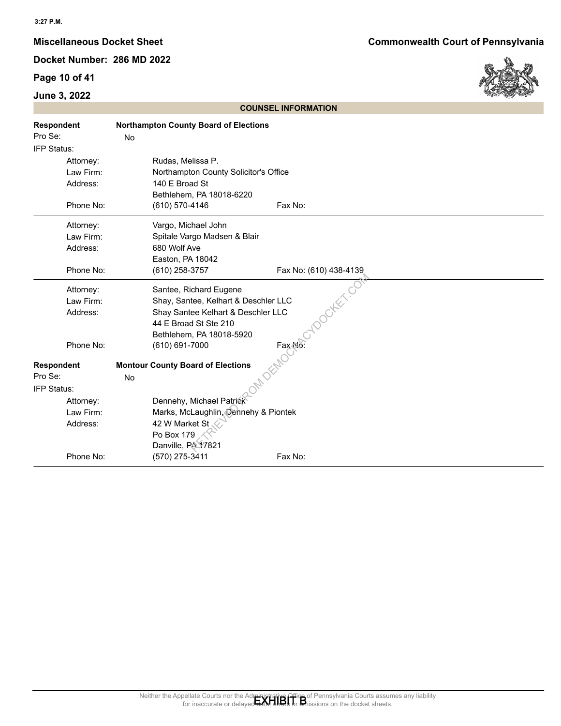## **Page 10 of 41**

## **June 3, 2022**



| <b>COUNSEL INFORMATION</b>                               |                                                                                                                                                                                       |  |
|----------------------------------------------------------|---------------------------------------------------------------------------------------------------------------------------------------------------------------------------------------|--|
| Respondent<br>Pro Se:<br>IFP Status:                     | <b>Northampton County Board of Elections</b><br>No                                                                                                                                    |  |
| Attorney:<br>Law Firm:<br>Address:                       | Rudas, Melissa P.<br>Northampton County Solicitor's Office<br>140 E Broad St<br>Bethlehem, PA 18018-6220                                                                              |  |
| Phone No:                                                | Fax No:<br>(610) 570-4146                                                                                                                                                             |  |
| Attorney:<br>Law Firm:<br>Address:                       | Vargo, Michael John<br>Spitale Vargo Madsen & Blair<br>680 Wolf Ave<br>Easton, PA 18042                                                                                               |  |
| Phone No:                                                | (610) 258-3757<br>Fax No: (610) 438-4139                                                                                                                                              |  |
| Attorney:<br>Law Firm:<br>Address:                       | locker.co<br>Santee, Richard Eugene<br>Shay, Santee, Kelhart & Deschler LLC<br>Shay Santee Kelhart & Deschler LLC<br>44 E Broad St Ste 210<br>Bethlehem, PA 18018-5920                |  |
| Phone No:                                                | Fax No:<br>(610) 691-7000                                                                                                                                                             |  |
| <b>Respondent</b><br>Pro Se:<br>IFP Status:<br>Attorney: | <b>Montour County Board of Elections</b><br>No<br>Dennehy, Michael Patrick                                                                                                            |  |
| Law Firm:<br>Address:                                    | Marks, McLaughlin, Dennehy & Piontek<br>42 W Market St<br>Po Box 179<br>Danville, PA 17821                                                                                            |  |
| Phone No:                                                | (570) 275-3411<br>Fax No:                                                                                                                                                             |  |
|                                                          |                                                                                                                                                                                       |  |
|                                                          | Neither the Appellate Courts nor the Administrative Office of Pennsylvania Courts assumes any liability<br>for inaccurate or delayed data, ends or an insisions on the docket sheets. |  |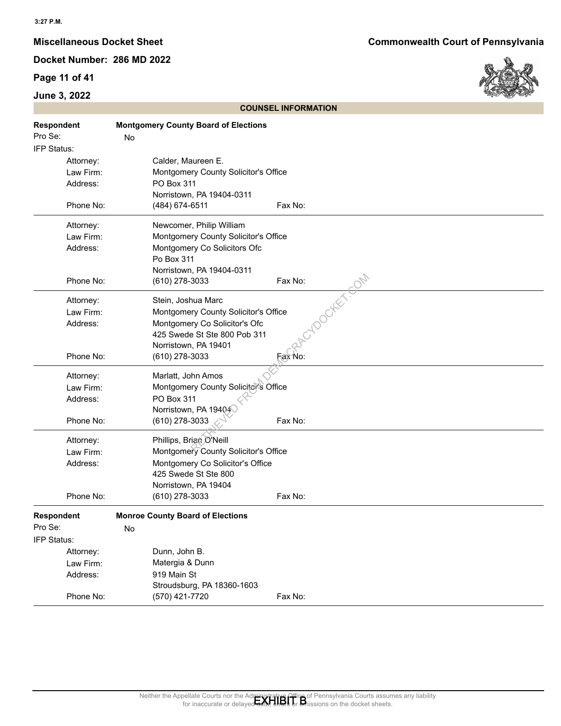## **Page 11 of 41**

## **June 3, 2022**



|                                                 | <b>COUNSEL INFORMATION</b>                                                                                                                                                                              |
|-------------------------------------------------|---------------------------------------------------------------------------------------------------------------------------------------------------------------------------------------------------------|
| <b>Respondent</b><br>Pro Se:<br>IFP Status:     | <b>Montgomery County Board of Elections</b><br>No                                                                                                                                                       |
| Attorney:<br>Law Firm:<br>Address:              | Calder, Maureen E.<br>Montgomery County Solicitor's Office<br>PO Box 311<br>Norristown, PA 19404-0311                                                                                                   |
| Phone No:                                       | (484) 674-6511<br>Fax No:                                                                                                                                                                               |
| Attorney:<br>Law Firm:<br>Address:              | Newcomer, Philip William<br>Montgomery County Solicitor's Office<br>Montgomery Co Solicitors Ofc<br>Po Box 311<br>Norristown, PA 19404-0311                                                             |
| Phone No:                                       | Fax No:<br>(610) 278-3033                                                                                                                                                                               |
| Attorney:<br>Law Firm:<br>Address:<br>Phone No: | <b>TOOCIES</b> FOOM<br>Stein, Joshua Marc<br>Montgomery County Solicitor's Office<br>Montgomery Co Solicitor's Ofc<br>425 Swede St Ste 800 Pob 311<br>Norristown, PA 19401<br>(610) 278-3033<br>Fax No: |
| Attorney:<br>Law Firm:<br>Address:              | Marlatt, John Amos<br>Montgomery County Solicitor's Office<br>PO Box 311<br>Norristown, PA 19404                                                                                                        |
| Phone No:                                       | (610) 278-3033<br>Fax No:                                                                                                                                                                               |
| Attorney:<br>Law Firm:<br>Address:              | Phillips, Brian O'Neill<br>Montgomery County Solicitor's Office<br>Montgomery Co Solicitor's Office<br>425 Swede St Ste 800<br>Norristown, PA 19404                                                     |
| Phone No:                                       | (610) 278-3033<br>Fax No:                                                                                                                                                                               |
| <b>Respondent</b><br>Pro Se:<br>IFP Status:     | <b>Monroe County Board of Elections</b><br>No                                                                                                                                                           |
| Attorney:                                       | Dunn, John B.                                                                                                                                                                                           |
| Law Firm:                                       | Matergia & Dunn                                                                                                                                                                                         |
| Address:                                        | 919 Main St                                                                                                                                                                                             |
|                                                 | Stroudsburg, PA 18360-1603                                                                                                                                                                              |
| Phone No:                                       | Fax No:<br>(570) 421-7720                                                                                                                                                                               |
|                                                 |                                                                                                                                                                                                         |
|                                                 | Neither the Appellate Courts nor the Administrative Office of Pennsylvania Courts assumes any liability<br>for inaccurate or delayed data, the basic of Missions on the docket sheets.                  |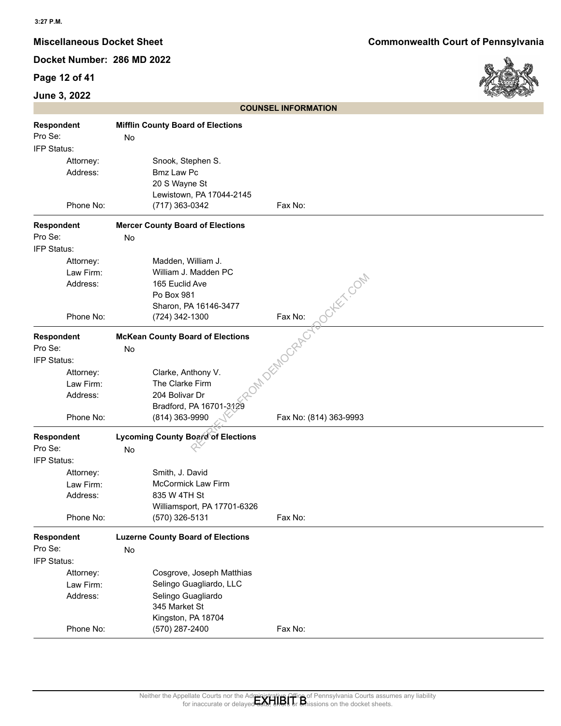## **Page 12 of 41**



|                                             |                                                 |                                                                                                                       | <b>COUNSEL INFORMATION</b>  |
|---------------------------------------------|-------------------------------------------------|-----------------------------------------------------------------------------------------------------------------------|-----------------------------|
| <b>Respondent</b><br>Pro Se:<br>IFP Status: |                                                 | <b>Mifflin County Board of Elections</b><br>No                                                                        |                             |
|                                             | Attorney:<br>Address:<br>Phone No:              | Snook, Stephen S.<br><b>Bmz Law Pc</b><br>20 S Wayne St<br>Lewistown, PA 17044-2145<br>(717) 363-0342                 | Fax No:                     |
| <b>Respondent</b>                           |                                                 | <b>Mercer County Board of Elections</b>                                                                               |                             |
| Pro Se:                                     |                                                 | No                                                                                                                    |                             |
| IFP Status:                                 |                                                 |                                                                                                                       |                             |
|                                             | Attorney:<br>Law Firm:<br>Address:<br>Phone No: | Madden, William J.<br>William J. Madden PC<br>165 Euclid Ave<br>Po Box 981<br>Sharon, PA 16146-3477<br>(724) 342-1300 | <b>OHEX, COM</b><br>Fax No: |
| <b>Respondent</b>                           |                                                 | <b>McKean County Board of Elections</b>                                                                               | MATEMOGRACY                 |
| Pro Se:                                     |                                                 | No                                                                                                                    |                             |
| IFP Status:                                 |                                                 |                                                                                                                       |                             |
|                                             | Attorney:                                       | Clarke, Anthony V.                                                                                                    |                             |
|                                             | Law Firm:                                       | The Clarke Firm                                                                                                       |                             |
|                                             | Address:                                        | 204 Bolivar Dr                                                                                                        |                             |
|                                             | Phone No:                                       | Bradford, PA 16701-3129<br>(814) 363-9990                                                                             | Fax No: (814) 363-9993      |
| Respondent                                  |                                                 | <b>Lycoming County Board of Elections</b>                                                                             |                             |
| Pro Se:                                     |                                                 | No                                                                                                                    |                             |
| IFP Status:                                 |                                                 |                                                                                                                       |                             |
|                                             | Attorney:                                       | Smith, J. David                                                                                                       |                             |
|                                             | Law Firm:                                       | <b>McCormick Law Firm</b>                                                                                             |                             |
|                                             | Address:                                        | 835 W 4TH St                                                                                                          |                             |
|                                             |                                                 | Williamsport, PA 17701-6326                                                                                           |                             |
|                                             | Phone No:                                       | (570) 326-5131                                                                                                        | Fax No:                     |
| Respondent                                  |                                                 | <b>Luzerne County Board of Elections</b>                                                                              |                             |
| Pro Se:                                     |                                                 | No                                                                                                                    |                             |
| IFP Status:                                 |                                                 |                                                                                                                       |                             |
|                                             | Attorney:                                       | Cosgrove, Joseph Matthias                                                                                             |                             |
|                                             | Law Firm:                                       | Selingo Guagliardo, LLC                                                                                               |                             |
|                                             | Address:                                        | Selingo Guagliardo<br>345 Market St                                                                                   |                             |
|                                             |                                                 | Kingston, PA 18704                                                                                                    |                             |
|                                             | Phone No:                                       | (570) 287-2400                                                                                                        | Fax No:                     |
|                                             |                                                 |                                                                                                                       |                             |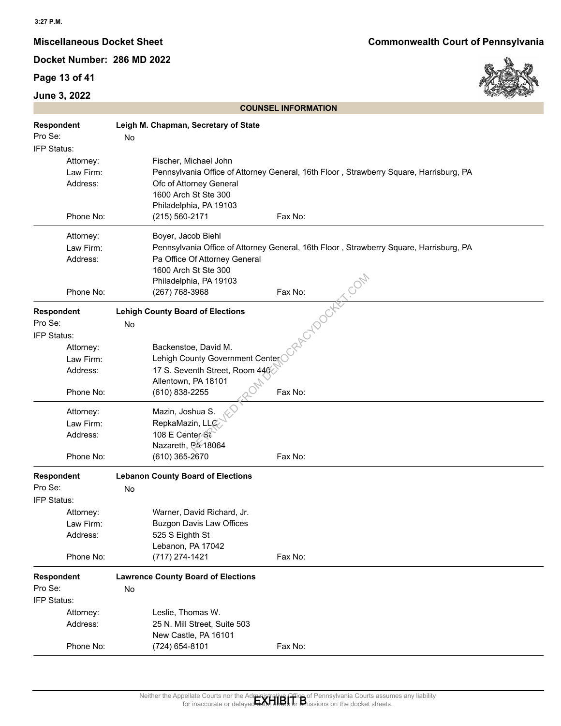## **Page 13 of 41**

## **June 3, 2022**

**Miscellaneous Docket Sheet Commonwealth Court of Pennsylvania**



| Fischer, Michael John<br>Attorney:<br>Pennsylvania Office of Attorney General, 16th Floor, Strawberry Square, Harrisburg, PA<br>Law Firm:<br>Address:<br>Ofc of Attorney General<br>1600 Arch St Ste 300<br>Philadelphia, PA 19103<br>Phone No:<br>(215) 560-2171<br>Fax No:<br>Boyer, Jacob Biehl<br>Attorney:<br>Pennsylvania Office of Attorney General, 16th Floor, Strawberry Square, Harrisburg, PA<br>Law Firm:<br>Address:<br>Pa Office Of Attorney General<br>1600 Arch St Ste 300<br>Philadelphia, PA 19103<br>Fax No:<br>Phone No:<br>(267) 768-3968<br>ACYDOCH<br><b>Respondent</b><br><b>Lehigh County Board of Elections</b><br>Pro Se:<br>No<br>IFP Status:<br>Backenstoe, David M.<br>Attorney:<br>Lehigh County Government Center<br>Law Firm:<br>17 S. Seventh Street, Room 440<br>Address:<br>Allentown, PA 18101<br>Fax No:<br>(610) 838-2255<br>Phone No:<br>Mazin, Joshua S.<br>Attorney:<br>RepkaMazin, LLC<br>Law Firm:<br>108 E Center St<br>Address:<br>Nazareth, PA 18064<br>Phone No:<br>(610) 365-2670<br>Fax No:<br><b>Respondent</b><br><b>Lebanon County Board of Elections</b><br>Pro Se:<br>No<br>IFP Status:<br>Warner, David Richard, Jr.<br>Attorney:<br><b>Buzgon Davis Law Offices</b><br>Law Firm:<br>525 S Eighth St<br>Address:<br>Lebanon, PA 17042<br>(717) 274-1421<br>Phone No:<br>Fax No:<br><b>Respondent</b><br><b>Lawrence County Board of Elections</b><br>Pro Se:<br>No<br>IFP Status:<br>Leslie, Thomas W.<br>Attorney:<br>Address:<br>25 N. Mill Street, Suite 503<br>New Castle, PA 16101<br>Phone No:<br>Fax No:<br>(724) 654-8101 | Respondent<br>Pro Se: | Leigh M. Chapman, Secretary of State<br>No |
|--------------------------------------------------------------------------------------------------------------------------------------------------------------------------------------------------------------------------------------------------------------------------------------------------------------------------------------------------------------------------------------------------------------------------------------------------------------------------------------------------------------------------------------------------------------------------------------------------------------------------------------------------------------------------------------------------------------------------------------------------------------------------------------------------------------------------------------------------------------------------------------------------------------------------------------------------------------------------------------------------------------------------------------------------------------------------------------------------------------------------------------------------------------------------------------------------------------------------------------------------------------------------------------------------------------------------------------------------------------------------------------------------------------------------------------------------------------------------------------------------------------------------------------------------------------------------------------------|-----------------------|--------------------------------------------|
|                                                                                                                                                                                                                                                                                                                                                                                                                                                                                                                                                                                                                                                                                                                                                                                                                                                                                                                                                                                                                                                                                                                                                                                                                                                                                                                                                                                                                                                                                                                                                                                            | IFP Status:           |                                            |
|                                                                                                                                                                                                                                                                                                                                                                                                                                                                                                                                                                                                                                                                                                                                                                                                                                                                                                                                                                                                                                                                                                                                                                                                                                                                                                                                                                                                                                                                                                                                                                                            |                       |                                            |
|                                                                                                                                                                                                                                                                                                                                                                                                                                                                                                                                                                                                                                                                                                                                                                                                                                                                                                                                                                                                                                                                                                                                                                                                                                                                                                                                                                                                                                                                                                                                                                                            |                       |                                            |
|                                                                                                                                                                                                                                                                                                                                                                                                                                                                                                                                                                                                                                                                                                                                                                                                                                                                                                                                                                                                                                                                                                                                                                                                                                                                                                                                                                                                                                                                                                                                                                                            |                       |                                            |
|                                                                                                                                                                                                                                                                                                                                                                                                                                                                                                                                                                                                                                                                                                                                                                                                                                                                                                                                                                                                                                                                                                                                                                                                                                                                                                                                                                                                                                                                                                                                                                                            |                       |                                            |
|                                                                                                                                                                                                                                                                                                                                                                                                                                                                                                                                                                                                                                                                                                                                                                                                                                                                                                                                                                                                                                                                                                                                                                                                                                                                                                                                                                                                                                                                                                                                                                                            |                       |                                            |
|                                                                                                                                                                                                                                                                                                                                                                                                                                                                                                                                                                                                                                                                                                                                                                                                                                                                                                                                                                                                                                                                                                                                                                                                                                                                                                                                                                                                                                                                                                                                                                                            |                       |                                            |
|                                                                                                                                                                                                                                                                                                                                                                                                                                                                                                                                                                                                                                                                                                                                                                                                                                                                                                                                                                                                                                                                                                                                                                                                                                                                                                                                                                                                                                                                                                                                                                                            |                       |                                            |
|                                                                                                                                                                                                                                                                                                                                                                                                                                                                                                                                                                                                                                                                                                                                                                                                                                                                                                                                                                                                                                                                                                                                                                                                                                                                                                                                                                                                                                                                                                                                                                                            |                       |                                            |
|                                                                                                                                                                                                                                                                                                                                                                                                                                                                                                                                                                                                                                                                                                                                                                                                                                                                                                                                                                                                                                                                                                                                                                                                                                                                                                                                                                                                                                                                                                                                                                                            |                       |                                            |
|                                                                                                                                                                                                                                                                                                                                                                                                                                                                                                                                                                                                                                                                                                                                                                                                                                                                                                                                                                                                                                                                                                                                                                                                                                                                                                                                                                                                                                                                                                                                                                                            |                       |                                            |
|                                                                                                                                                                                                                                                                                                                                                                                                                                                                                                                                                                                                                                                                                                                                                                                                                                                                                                                                                                                                                                                                                                                                                                                                                                                                                                                                                                                                                                                                                                                                                                                            |                       |                                            |
|                                                                                                                                                                                                                                                                                                                                                                                                                                                                                                                                                                                                                                                                                                                                                                                                                                                                                                                                                                                                                                                                                                                                                                                                                                                                                                                                                                                                                                                                                                                                                                                            |                       |                                            |
|                                                                                                                                                                                                                                                                                                                                                                                                                                                                                                                                                                                                                                                                                                                                                                                                                                                                                                                                                                                                                                                                                                                                                                                                                                                                                                                                                                                                                                                                                                                                                                                            |                       |                                            |
|                                                                                                                                                                                                                                                                                                                                                                                                                                                                                                                                                                                                                                                                                                                                                                                                                                                                                                                                                                                                                                                                                                                                                                                                                                                                                                                                                                                                                                                                                                                                                                                            |                       |                                            |
|                                                                                                                                                                                                                                                                                                                                                                                                                                                                                                                                                                                                                                                                                                                                                                                                                                                                                                                                                                                                                                                                                                                                                                                                                                                                                                                                                                                                                                                                                                                                                                                            |                       |                                            |
|                                                                                                                                                                                                                                                                                                                                                                                                                                                                                                                                                                                                                                                                                                                                                                                                                                                                                                                                                                                                                                                                                                                                                                                                                                                                                                                                                                                                                                                                                                                                                                                            |                       |                                            |
|                                                                                                                                                                                                                                                                                                                                                                                                                                                                                                                                                                                                                                                                                                                                                                                                                                                                                                                                                                                                                                                                                                                                                                                                                                                                                                                                                                                                                                                                                                                                                                                            |                       |                                            |
|                                                                                                                                                                                                                                                                                                                                                                                                                                                                                                                                                                                                                                                                                                                                                                                                                                                                                                                                                                                                                                                                                                                                                                                                                                                                                                                                                                                                                                                                                                                                                                                            |                       |                                            |
|                                                                                                                                                                                                                                                                                                                                                                                                                                                                                                                                                                                                                                                                                                                                                                                                                                                                                                                                                                                                                                                                                                                                                                                                                                                                                                                                                                                                                                                                                                                                                                                            |                       |                                            |
|                                                                                                                                                                                                                                                                                                                                                                                                                                                                                                                                                                                                                                                                                                                                                                                                                                                                                                                                                                                                                                                                                                                                                                                                                                                                                                                                                                                                                                                                                                                                                                                            |                       |                                            |
|                                                                                                                                                                                                                                                                                                                                                                                                                                                                                                                                                                                                                                                                                                                                                                                                                                                                                                                                                                                                                                                                                                                                                                                                                                                                                                                                                                                                                                                                                                                                                                                            |                       |                                            |
|                                                                                                                                                                                                                                                                                                                                                                                                                                                                                                                                                                                                                                                                                                                                                                                                                                                                                                                                                                                                                                                                                                                                                                                                                                                                                                                                                                                                                                                                                                                                                                                            |                       |                                            |
|                                                                                                                                                                                                                                                                                                                                                                                                                                                                                                                                                                                                                                                                                                                                                                                                                                                                                                                                                                                                                                                                                                                                                                                                                                                                                                                                                                                                                                                                                                                                                                                            |                       |                                            |
|                                                                                                                                                                                                                                                                                                                                                                                                                                                                                                                                                                                                                                                                                                                                                                                                                                                                                                                                                                                                                                                                                                                                                                                                                                                                                                                                                                                                                                                                                                                                                                                            |                       |                                            |
|                                                                                                                                                                                                                                                                                                                                                                                                                                                                                                                                                                                                                                                                                                                                                                                                                                                                                                                                                                                                                                                                                                                                                                                                                                                                                                                                                                                                                                                                                                                                                                                            |                       |                                            |
|                                                                                                                                                                                                                                                                                                                                                                                                                                                                                                                                                                                                                                                                                                                                                                                                                                                                                                                                                                                                                                                                                                                                                                                                                                                                                                                                                                                                                                                                                                                                                                                            |                       |                                            |
|                                                                                                                                                                                                                                                                                                                                                                                                                                                                                                                                                                                                                                                                                                                                                                                                                                                                                                                                                                                                                                                                                                                                                                                                                                                                                                                                                                                                                                                                                                                                                                                            |                       |                                            |
|                                                                                                                                                                                                                                                                                                                                                                                                                                                                                                                                                                                                                                                                                                                                                                                                                                                                                                                                                                                                                                                                                                                                                                                                                                                                                                                                                                                                                                                                                                                                                                                            |                       |                                            |
|                                                                                                                                                                                                                                                                                                                                                                                                                                                                                                                                                                                                                                                                                                                                                                                                                                                                                                                                                                                                                                                                                                                                                                                                                                                                                                                                                                                                                                                                                                                                                                                            |                       |                                            |
|                                                                                                                                                                                                                                                                                                                                                                                                                                                                                                                                                                                                                                                                                                                                                                                                                                                                                                                                                                                                                                                                                                                                                                                                                                                                                                                                                                                                                                                                                                                                                                                            |                       |                                            |
|                                                                                                                                                                                                                                                                                                                                                                                                                                                                                                                                                                                                                                                                                                                                                                                                                                                                                                                                                                                                                                                                                                                                                                                                                                                                                                                                                                                                                                                                                                                                                                                            |                       |                                            |
|                                                                                                                                                                                                                                                                                                                                                                                                                                                                                                                                                                                                                                                                                                                                                                                                                                                                                                                                                                                                                                                                                                                                                                                                                                                                                                                                                                                                                                                                                                                                                                                            |                       |                                            |
|                                                                                                                                                                                                                                                                                                                                                                                                                                                                                                                                                                                                                                                                                                                                                                                                                                                                                                                                                                                                                                                                                                                                                                                                                                                                                                                                                                                                                                                                                                                                                                                            |                       |                                            |
|                                                                                                                                                                                                                                                                                                                                                                                                                                                                                                                                                                                                                                                                                                                                                                                                                                                                                                                                                                                                                                                                                                                                                                                                                                                                                                                                                                                                                                                                                                                                                                                            |                       |                                            |
|                                                                                                                                                                                                                                                                                                                                                                                                                                                                                                                                                                                                                                                                                                                                                                                                                                                                                                                                                                                                                                                                                                                                                                                                                                                                                                                                                                                                                                                                                                                                                                                            |                       |                                            |
|                                                                                                                                                                                                                                                                                                                                                                                                                                                                                                                                                                                                                                                                                                                                                                                                                                                                                                                                                                                                                                                                                                                                                                                                                                                                                                                                                                                                                                                                                                                                                                                            |                       |                                            |
|                                                                                                                                                                                                                                                                                                                                                                                                                                                                                                                                                                                                                                                                                                                                                                                                                                                                                                                                                                                                                                                                                                                                                                                                                                                                                                                                                                                                                                                                                                                                                                                            |                       |                                            |
|                                                                                                                                                                                                                                                                                                                                                                                                                                                                                                                                                                                                                                                                                                                                                                                                                                                                                                                                                                                                                                                                                                                                                                                                                                                                                                                                                                                                                                                                                                                                                                                            |                       |                                            |
|                                                                                                                                                                                                                                                                                                                                                                                                                                                                                                                                                                                                                                                                                                                                                                                                                                                                                                                                                                                                                                                                                                                                                                                                                                                                                                                                                                                                                                                                                                                                                                                            |                       |                                            |
|                                                                                                                                                                                                                                                                                                                                                                                                                                                                                                                                                                                                                                                                                                                                                                                                                                                                                                                                                                                                                                                                                                                                                                                                                                                                                                                                                                                                                                                                                                                                                                                            |                       |                                            |
|                                                                                                                                                                                                                                                                                                                                                                                                                                                                                                                                                                                                                                                                                                                                                                                                                                                                                                                                                                                                                                                                                                                                                                                                                                                                                                                                                                                                                                                                                                                                                                                            |                       |                                            |
| Neither the Appellate Courts nor the Administrative Office of Pennsylvania Courts assumes any liability<br>for inaccurate or delayed data, the basic of Missions on the docket sheets.                                                                                                                                                                                                                                                                                                                                                                                                                                                                                                                                                                                                                                                                                                                                                                                                                                                                                                                                                                                                                                                                                                                                                                                                                                                                                                                                                                                                     |                       |                                            |

**COUNSEL INFORMATION**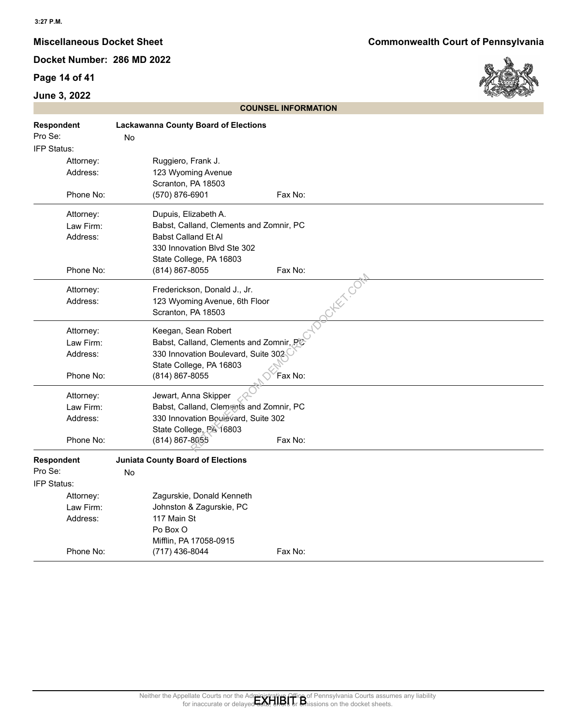## **Page 14 of 41**



|                       | <b>COUNSEL INFORMATION</b>                                                                                                                                                            |
|-----------------------|---------------------------------------------------------------------------------------------------------------------------------------------------------------------------------------|
| Respondent<br>Pro Se: | <b>Lackawanna County Board of Elections</b><br>No                                                                                                                                     |
| IFP Status:           |                                                                                                                                                                                       |
| Attorney:             | Ruggiero, Frank J.                                                                                                                                                                    |
| Address:              | 123 Wyoming Avenue                                                                                                                                                                    |
|                       | Scranton, PA 18503                                                                                                                                                                    |
| Phone No:             | (570) 876-6901<br>Fax No:                                                                                                                                                             |
| Attorney:             | Dupuis, Elizabeth A.                                                                                                                                                                  |
| Law Firm:             | Babst, Calland, Clements and Zomnir, PC                                                                                                                                               |
| Address:              | Babst Calland Et Al                                                                                                                                                                   |
|                       | 330 Innovation Blvd Ste 302                                                                                                                                                           |
|                       | State College, PA 16803                                                                                                                                                               |
| Phone No:             | Fax No:<br>(814) 867-8055                                                                                                                                                             |
| Attorney:             | otenco<br>Frederickson, Donald J., Jr.                                                                                                                                                |
| Address:              | 123 Wyoming Avenue, 6th Floor                                                                                                                                                         |
|                       | Scranton, PA 18503                                                                                                                                                                    |
| Attorney:             | Keegan, Sean Robert                                                                                                                                                                   |
| Law Firm:             | Babst, Calland, Clements and Zomnir, PC                                                                                                                                               |
| Address:              | 330 Innovation Boulevard, Suite 302                                                                                                                                                   |
|                       | State College, PA 16803                                                                                                                                                               |
| Phone No:             | (814) 867-8055<br>Fax No:                                                                                                                                                             |
| Attorney:             | Jewart, Anna Skipper                                                                                                                                                                  |
| Law Firm:             | Babst, Calland, Clements and Zomnir, PC                                                                                                                                               |
| Address:              | 330 Innovation Boulevard, Suite 302                                                                                                                                                   |
|                       | State College, PA 16803                                                                                                                                                               |
| Phone No:             | (814) 867-8055<br>Fax No:                                                                                                                                                             |
| Respondent            | <b>Juniata County Board of Elections</b>                                                                                                                                              |
| Pro Se:               | No                                                                                                                                                                                    |
| IFP Status:           |                                                                                                                                                                                       |
| Attorney:             | Zagurskie, Donald Kenneth                                                                                                                                                             |
| Law Firm:             | Johnston & Zagurskie, PC                                                                                                                                                              |
| Address:              | 117 Main St                                                                                                                                                                           |
|                       | Po Box O                                                                                                                                                                              |
| Phone No:             | Mifflin, PA 17058-0915<br>Fax No:                                                                                                                                                     |
|                       | (717) 436-8044                                                                                                                                                                        |
|                       |                                                                                                                                                                                       |
|                       |                                                                                                                                                                                       |
|                       |                                                                                                                                                                                       |
|                       |                                                                                                                                                                                       |
|                       |                                                                                                                                                                                       |
|                       |                                                                                                                                                                                       |
|                       |                                                                                                                                                                                       |
|                       |                                                                                                                                                                                       |
|                       |                                                                                                                                                                                       |
|                       |                                                                                                                                                                                       |
|                       | Neither the Appellate Courts nor the Administrative Office of Pennsylvania Courts assumes any liability<br>for inaccurate or delayed data, ends or an insisions on the docket sheets. |
|                       |                                                                                                                                                                                       |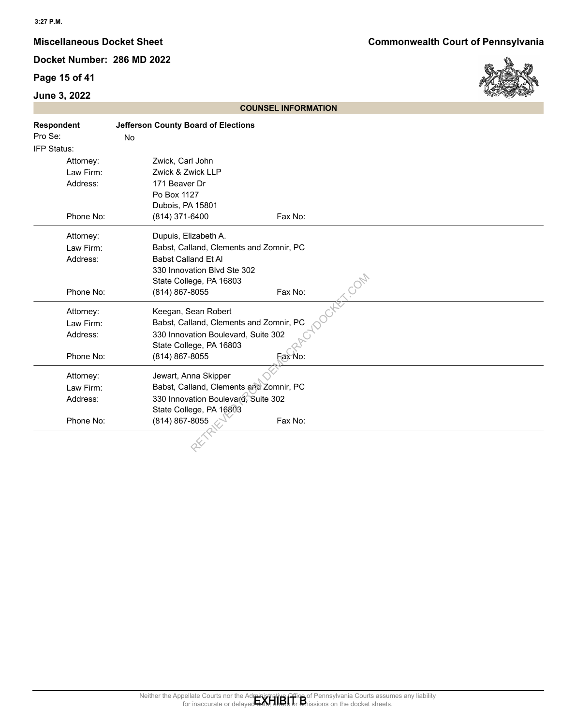## **Page 15 of 41**

## **June 3, 2022**



|                                                                | <b>COUNSEL INFORMATION</b>                                                                                                                                                            |
|----------------------------------------------------------------|---------------------------------------------------------------------------------------------------------------------------------------------------------------------------------------|
| Respondent<br>Pro Se:                                          | <b>Jefferson County Board of Elections</b><br>No                                                                                                                                      |
| IFP Status:<br>Attorney:<br>Law Firm:<br>Address:<br>Phone No: | Zwick, Carl John<br>Zwick & Zwick LLP<br>171 Beaver Dr<br>Po Box 1127<br>Dubois, PA 15801<br>(814) 371-6400<br>Fax No:                                                                |
| Attorney:<br>Law Firm:<br>Address:<br>Phone No:                | Dupuis, Elizabeth A.<br>Babst, Calland, Clements and Zomnir, PC<br>Babst Calland Et Al<br>330 Innovation Blvd Ste 302<br>TCON<br>State College, PA 16803<br>(814) 867-8055<br>Fax No: |
| Attorney:<br>Law Firm:<br>Address:<br>Phone No:                | Keegan, Sean Robert<br>Babst, Calland, Clements and Zomnir, PC<br>330 Innovation Boulevard, Suite 302<br>State College, PA 16803<br>Fax No:<br>(814) 867-8055                         |
| Attorney:<br>Law Firm:<br>Address:<br>Phone No:                | Jewart, Anna Skipper<br>Babst, Calland, Clements and Zomnir, PC<br>330 Innovation Boulevard, Suite 302<br>State College, PA 16803<br>(814) 867-8055<br>Fax No:                        |
|                                                                |                                                                                                                                                                                       |
|                                                                | Neither the Appellate Courts nor the Administrative Office of Pennsylvania Courts assumes any liability<br>for inaccurate or delayed and the original of the docket sheets.           |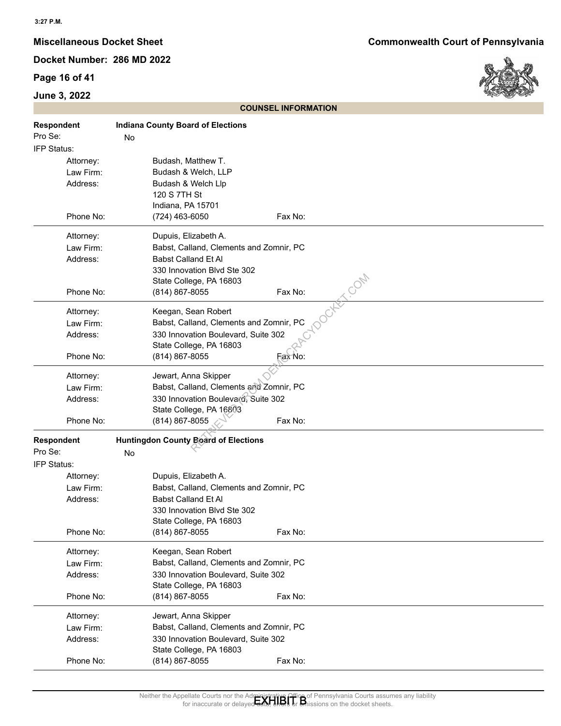## **Page 16 of 41**

## **June 3, 2022**



|                                                 | <b>COUNSEL INFORMATION</b>                                                                                                                                                                                                                  |
|-------------------------------------------------|---------------------------------------------------------------------------------------------------------------------------------------------------------------------------------------------------------------------------------------------|
| Respondent<br>Pro Se:<br>IFP Status:            | <b>Indiana County Board of Elections</b><br>No                                                                                                                                                                                              |
| Attorney:<br>Law Firm:<br>Address:              | Budash, Matthew T.<br>Budash & Welch, LLP<br>Budash & Welch Llp<br>120 S 7TH St<br>Indiana, PA 15701                                                                                                                                        |
| Phone No:                                       | (724) 463-6050<br>Fax No:                                                                                                                                                                                                                   |
| Attorney:<br>Law Firm:<br>Address:<br>Phone No: | Dupuis, Elizabeth A.<br>Babst, Calland, Clements and Zomnir, PC<br><b>Babst Calland Et Al</b><br>330 Innovation Blvd Ste 302<br>State College, PA 16803<br>(814) 867-8055<br>Fax No:                                                        |
|                                                 |                                                                                                                                                                                                                                             |
| Attorney:<br>Law Firm:<br>Address:<br>Phone No: | Keegan, Sean Robert<br>Babst, Calland, Clements and Zomnir, PC<br>330 Innovation Boulevard, Suite 302<br>State College, PA 16803<br>Fax No:<br>(814) 867-8055                                                                               |
|                                                 |                                                                                                                                                                                                                                             |
| Attorney:<br>Law Firm:                          | Jewart, Anna Skipper<br>Babst, Calland, Clements and Zomnir, PC                                                                                                                                                                             |
| Address:                                        | 330 Innovation Boulevard, Suite 302                                                                                                                                                                                                         |
|                                                 | State College, PA 16803                                                                                                                                                                                                                     |
| Phone No:                                       | (814) 867-8055<br>Fax No:                                                                                                                                                                                                                   |
| <b>Respondent</b><br>Pro Se:                    | <b>Huntingdon County Board of Elections</b><br>No                                                                                                                                                                                           |
| IFP Status:                                     |                                                                                                                                                                                                                                             |
| Attorney:                                       | Dupuis, Elizabeth A.                                                                                                                                                                                                                        |
| Law Firm:<br>Address:                           | Babst, Calland, Clements and Zomnir, PC<br>Babst Calland Et Al<br>330 Innovation Blvd Ste 302<br>State College, PA 16803                                                                                                                    |
| Phone No:                                       | (814) 867-8055<br>Fax No:                                                                                                                                                                                                                   |
| Attorney:<br>Law Firm:<br>Address:              | Keegan, Sean Robert<br>Babst, Calland, Clements and Zomnir, PC<br>330 Innovation Boulevard, Suite 302<br>State College, PA 16803                                                                                                            |
| Phone No:                                       | Fax No:<br>(814) 867-8055                                                                                                                                                                                                                   |
| Attorney:<br>Law Firm:<br>Address:<br>Phone No: | Jewart, Anna Skipper<br>Babst, Calland, Clements and Zomnir, PC<br>330 Innovation Boulevard, Suite 302<br>State College, PA 16803<br>Fax No:<br>(814) 867-8055                                                                              |
|                                                 |                                                                                                                                                                                                                                             |
|                                                 | Neither the Appellate Courts nor the Administrative Office of Pennsylvania Courts assumes any liability<br>for inaccurate or delaved date: the builty of missions on the docket sheets.<br>for inaccurate or<br>sions on the docket sheets. |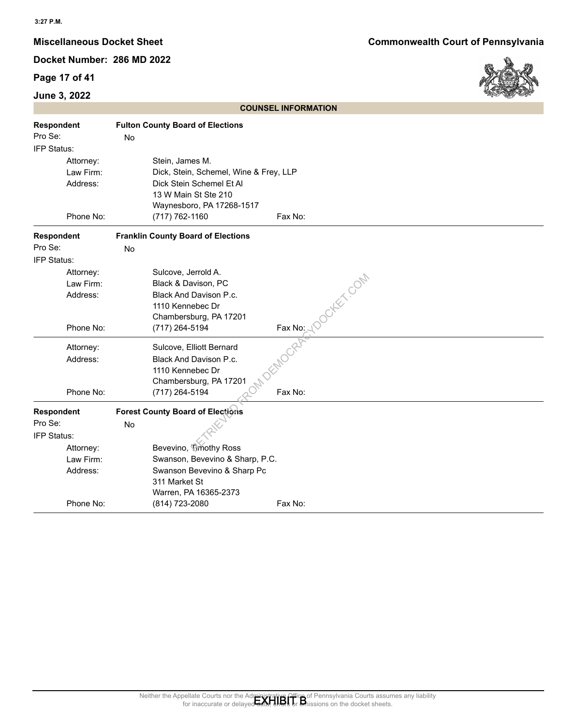## **Page 17 of 41**

## **June 3, 2022**

**Miscellaneous Docket Sheet Commonwealth Court of Pennsylvania**



|                   |                                             | <b>COUNSEL INFORMATION</b>                                                                                                                                                             |
|-------------------|---------------------------------------------|----------------------------------------------------------------------------------------------------------------------------------------------------------------------------------------|
| <b>Respondent</b> | <b>Fulton County Board of Elections</b>     |                                                                                                                                                                                        |
| Pro Se:           | No                                          |                                                                                                                                                                                        |
| IFP Status:       |                                             |                                                                                                                                                                                        |
| Attorney:         | Stein, James M.                             |                                                                                                                                                                                        |
| Law Firm:         | Dick, Stein, Schemel, Wine & Frey, LLP      |                                                                                                                                                                                        |
| Address:          | Dick Stein Schemel Et Al                    |                                                                                                                                                                                        |
|                   | 13 W Main St Ste 210                        |                                                                                                                                                                                        |
| Phone No:         | Waynesboro, PA 17268-1517<br>(717) 762-1160 | Fax No:                                                                                                                                                                                |
|                   |                                             |                                                                                                                                                                                        |
| Respondent        | <b>Franklin County Board of Elections</b>   |                                                                                                                                                                                        |
| Pro Se:           | No                                          |                                                                                                                                                                                        |
| IFP Status:       |                                             |                                                                                                                                                                                        |
| Attorney:         | Sulcove, Jerrold A.                         | DOCKEY COM                                                                                                                                                                             |
| Law Firm:         | Black & Davison, PC                         |                                                                                                                                                                                        |
| Address:          | Black And Davison P.c.                      |                                                                                                                                                                                        |
|                   | 1110 Kennebec Dr<br>Chambersburg, PA 17201  |                                                                                                                                                                                        |
| Phone No:         | (717) 264-5194                              |                                                                                                                                                                                        |
|                   |                                             | Fax No: 10                                                                                                                                                                             |
| Attorney:         | Sulcove, Elliott Bernard                    |                                                                                                                                                                                        |
| Address:          | Black And Davison P.c.                      |                                                                                                                                                                                        |
|                   | 1110 Kennebec Dr                            |                                                                                                                                                                                        |
|                   | Chambersburg, PA 17201                      |                                                                                                                                                                                        |
| Phone No:         | (717) 264-5194                              | Fax No:                                                                                                                                                                                |
| <b>Respondent</b> | <b>Forest County Board of Elections</b>     |                                                                                                                                                                                        |
| Pro Se:           | No                                          |                                                                                                                                                                                        |
| IFP Status:       |                                             |                                                                                                                                                                                        |
| Attorney:         | Bevevino, Timothy Ross                      |                                                                                                                                                                                        |
| Law Firm:         | Swanson, Bevevino & Sharp, P.C.             |                                                                                                                                                                                        |
| Address:          | Swanson Bevevino & Sharp Pc                 |                                                                                                                                                                                        |
|                   | 311 Market St                               |                                                                                                                                                                                        |
| Phone No:         | Warren, PA 16365-2373<br>(814) 723-2080     | Fax No:                                                                                                                                                                                |
|                   |                                             |                                                                                                                                                                                        |
|                   |                                             |                                                                                                                                                                                        |
|                   |                                             |                                                                                                                                                                                        |
|                   |                                             |                                                                                                                                                                                        |
|                   |                                             |                                                                                                                                                                                        |
|                   |                                             |                                                                                                                                                                                        |
|                   |                                             |                                                                                                                                                                                        |
|                   |                                             |                                                                                                                                                                                        |
|                   |                                             |                                                                                                                                                                                        |
|                   |                                             |                                                                                                                                                                                        |
|                   |                                             |                                                                                                                                                                                        |
|                   |                                             |                                                                                                                                                                                        |
|                   |                                             |                                                                                                                                                                                        |
|                   |                                             |                                                                                                                                                                                        |
|                   |                                             |                                                                                                                                                                                        |
|                   |                                             |                                                                                                                                                                                        |
|                   |                                             | Neither the Appellate Courts nor the Administrative Office of Pennsylvania Courts assumes any liability<br>for inaccurate or delayed date, the basic of Missions on the docket sheets. |

**COUNSEL INFORMATION**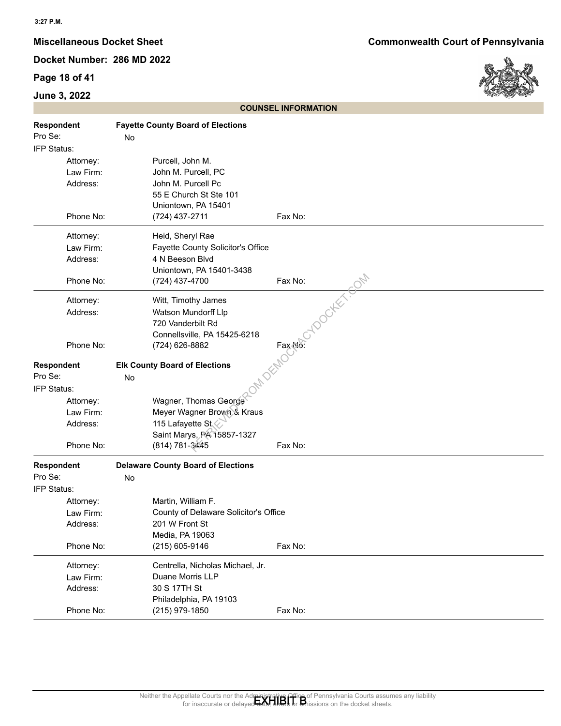## **Page 18 of 41**



|                                                 |                                                                                                                        | <b>COUNSEL INFORMATION</b>                                                                                                                                                            |
|-------------------------------------------------|------------------------------------------------------------------------------------------------------------------------|---------------------------------------------------------------------------------------------------------------------------------------------------------------------------------------|
| <b>Respondent</b><br>Pro Se:<br>IFP Status:     | <b>Fayette County Board of Elections</b><br>No                                                                         |                                                                                                                                                                                       |
| Attorney:<br>Law Firm:<br>Address:              | Purcell, John M.<br>John M. Purcell, PC<br>John M. Purcell Pc<br>55 E Church St Ste 101<br>Uniontown, PA 15401         |                                                                                                                                                                                       |
| Phone No:                                       | (724) 437-2711                                                                                                         | Fax No:                                                                                                                                                                               |
| Attorney:<br>Law Firm:<br>Address:<br>Phone No: | Heid, Sheryl Rae<br>Fayette County Solicitor's Office<br>4 N Beeson Blvd<br>Uniontown, PA 15401-3438<br>(724) 437-4700 | Fax No:                                                                                                                                                                               |
| Attorney:<br>Address:<br>Phone No:              | Witt, Timothy James<br>Watson Mundorff Llp<br>720 Vanderbilt Rd<br>Connellsville, PA 15425-6218<br>(724) 626-8882      | - YOOCKEY-SON<br>Fax No:                                                                                                                                                              |
| <b>Respondent</b><br>Pro Se:                    | <b>Elk County Board of Elections</b><br>No                                                                             |                                                                                                                                                                                       |
| IFP Status:                                     |                                                                                                                        |                                                                                                                                                                                       |
| Attorney:                                       | Wagner, Thomas George                                                                                                  |                                                                                                                                                                                       |
| Law Firm:                                       | Meyer Wagner Brown & Kraus                                                                                             |                                                                                                                                                                                       |
| Address:                                        | 115 Lafayette St<br>Saint Marys, PA 15857-1327                                                                         |                                                                                                                                                                                       |
| Phone No:                                       | (814) 781-3445                                                                                                         | Fax No:                                                                                                                                                                               |
| <b>Respondent</b>                               | <b>Delaware County Board of Elections</b>                                                                              |                                                                                                                                                                                       |
| Pro Se:                                         | No                                                                                                                     |                                                                                                                                                                                       |
| IFP Status:<br>Attorney:                        | Martin, William F.                                                                                                     |                                                                                                                                                                                       |
| Law Firm:                                       | County of Delaware Solicitor's Office                                                                                  |                                                                                                                                                                                       |
| Address:                                        | 201 W Front St                                                                                                         |                                                                                                                                                                                       |
| Phone No:                                       | Media, PA 19063<br>$(215)$ 605-9146                                                                                    | Fax No:                                                                                                                                                                               |
| Attorney:                                       | Centrella, Nicholas Michael, Jr.                                                                                       |                                                                                                                                                                                       |
| Law Firm:                                       | Duane Morris LLP                                                                                                       |                                                                                                                                                                                       |
| Address:                                        | 30 S 17TH St                                                                                                           |                                                                                                                                                                                       |
| Phone No:                                       | Philadelphia, PA 19103<br>(215) 979-1850                                                                               | Fax No:                                                                                                                                                                               |
|                                                 |                                                                                                                        | Neither the Appellate Courts nor the Administrative Office of Pennsylvania Courts assumes any liability<br>for inaccurate or delayed data, ends or an insisions on the docket sheets. |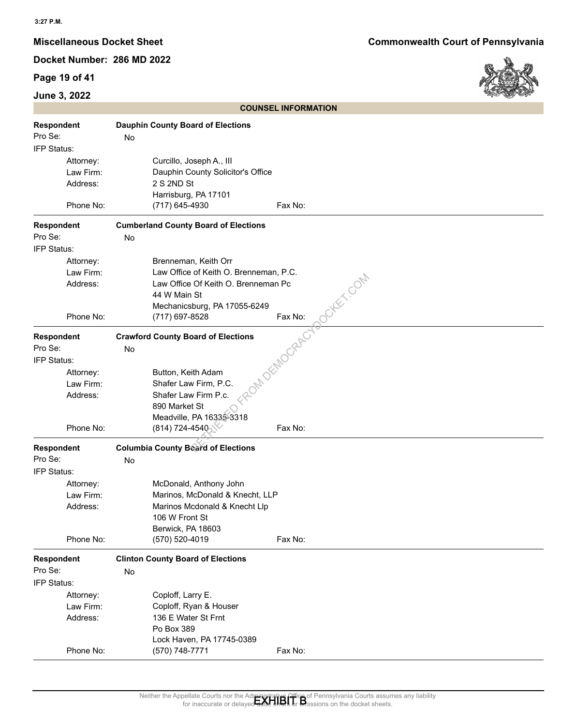## **Page 19 of 41**

## **June 3, 2022**



|                   |           |    |                                             | <b>COUNSEL INFORMATION</b>                                                                                                                                                                                |
|-------------------|-----------|----|---------------------------------------------|-----------------------------------------------------------------------------------------------------------------------------------------------------------------------------------------------------------|
| <b>Respondent</b> |           |    | <b>Dauphin County Board of Elections</b>    |                                                                                                                                                                                                           |
| Pro Se:           |           | No |                                             |                                                                                                                                                                                                           |
| IFP Status:       |           |    |                                             |                                                                                                                                                                                                           |
|                   | Attorney: |    | Curcillo, Joseph A., III                    |                                                                                                                                                                                                           |
|                   | Law Firm: |    | Dauphin County Solicitor's Office           |                                                                                                                                                                                                           |
|                   | Address:  |    | 2 S 2ND St                                  |                                                                                                                                                                                                           |
|                   |           |    | Harrisburg, PA 17101                        |                                                                                                                                                                                                           |
|                   | Phone No: |    | (717) 645-4930                              | Fax No:                                                                                                                                                                                                   |
| <b>Respondent</b> |           |    | <b>Cumberland County Board of Elections</b> |                                                                                                                                                                                                           |
| Pro Se:           |           | No |                                             |                                                                                                                                                                                                           |
| IFP Status:       |           |    |                                             |                                                                                                                                                                                                           |
|                   | Attorney: |    | Brenneman, Keith Orr                        |                                                                                                                                                                                                           |
|                   | Law Firm: |    | Law Office of Keith O. Brenneman, P.C.      |                                                                                                                                                                                                           |
|                   | Address:  |    | Law Office Of Keith O. Brenneman Pc         |                                                                                                                                                                                                           |
|                   |           |    | 44 W Main St                                |                                                                                                                                                                                                           |
|                   |           |    | Mechanicsburg, PA 17055-6249                |                                                                                                                                                                                                           |
|                   | Phone No: |    | (717) 697-8528                              | CHEX, COM<br>Fax No:                                                                                                                                                                                      |
| <b>Respondent</b> |           |    | <b>Crawford County Board of Elections</b>   | 1 DEMOCRAE                                                                                                                                                                                                |
| Pro Se:           |           | No |                                             |                                                                                                                                                                                                           |
| IFP Status:       |           |    |                                             |                                                                                                                                                                                                           |
|                   | Attorney: |    | Button, Keith Adam                          |                                                                                                                                                                                                           |
|                   | Law Firm: |    | Shafer Law Firm, P.C.                       |                                                                                                                                                                                                           |
|                   | Address:  |    | Shafer Law Firm P.c.                        |                                                                                                                                                                                                           |
|                   |           |    | 890 Market St                               |                                                                                                                                                                                                           |
|                   |           |    | Meadville, PA 16335-3318                    |                                                                                                                                                                                                           |
|                   | Phone No: |    | $(814) 724 - 4540$                          | Fax No:                                                                                                                                                                                                   |
| <b>Respondent</b> |           |    | <b>Columbia County Beard of Elections</b>   |                                                                                                                                                                                                           |
| Pro Se:           |           | No |                                             |                                                                                                                                                                                                           |
| IFP Status:       |           |    |                                             |                                                                                                                                                                                                           |
|                   | Attorney: |    | McDonald, Anthony John                      |                                                                                                                                                                                                           |
|                   | Law Firm: |    | Marinos, McDonald & Knecht, LLP             |                                                                                                                                                                                                           |
|                   | Address:  |    | Marinos Mcdonald & Knecht Llp               |                                                                                                                                                                                                           |
|                   |           |    | 106 W Front St                              |                                                                                                                                                                                                           |
|                   |           |    | Berwick, PA 18603                           |                                                                                                                                                                                                           |
|                   | Phone No: |    | (570) 520-4019                              | Fax No:                                                                                                                                                                                                   |
| <b>Respondent</b> |           |    | <b>Clinton County Board of Elections</b>    |                                                                                                                                                                                                           |
| Pro Se:           |           | No |                                             |                                                                                                                                                                                                           |
| IFP Status:       |           |    |                                             |                                                                                                                                                                                                           |
|                   | Attorney: |    | Coploff, Larry E.                           |                                                                                                                                                                                                           |
|                   | Law Firm: |    | Coploff, Ryan & Houser                      |                                                                                                                                                                                                           |
|                   | Address:  |    | 136 E Water St Frnt                         |                                                                                                                                                                                                           |
|                   |           |    | Po Box 389                                  |                                                                                                                                                                                                           |
|                   |           |    | Lock Haven, PA 17745-0389                   |                                                                                                                                                                                                           |
|                   | Phone No: |    | (570) 748-7771                              | Fax No:                                                                                                                                                                                                   |
|                   |           |    |                                             |                                                                                                                                                                                                           |
|                   |           |    |                                             |                                                                                                                                                                                                           |
|                   |           |    |                                             |                                                                                                                                                                                                           |
|                   |           |    | for inaccurate or delave                    | Neither the Appellate Courts nor the Administrative Office of Pennsylvania Courts assumes any liability<br>for inaccurate or delayed date, the basis on the docket sheets.<br>sions on the docket sheets. |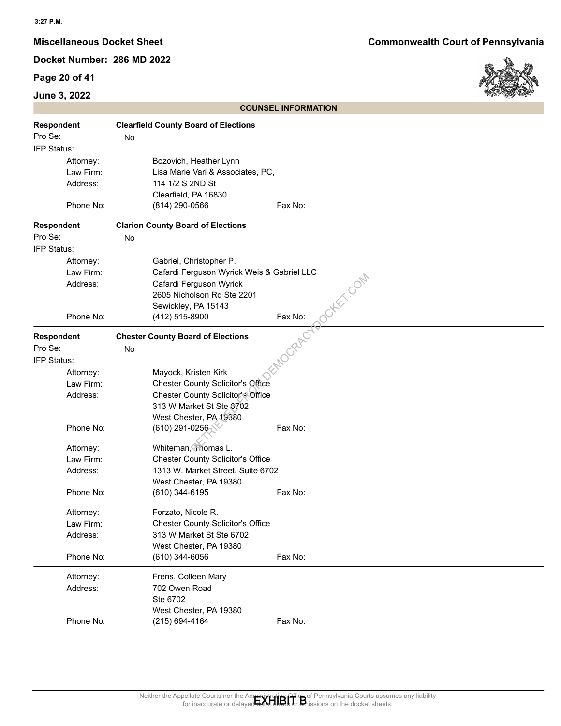## **Page 20 of 41**

## **June 3, 2022**



|                        | <b>COUNSEL INFORMATION</b>                                                                                                                                                                |
|------------------------|-------------------------------------------------------------------------------------------------------------------------------------------------------------------------------------------|
| <b>Respondent</b>      | <b>Clearfield County Board of Elections</b>                                                                                                                                               |
| Pro Se:                | No                                                                                                                                                                                        |
| IFP Status:            |                                                                                                                                                                                           |
| Attorney:<br>Law Firm: | Bozovich, Heather Lynn<br>Lisa Marie Vari & Associates, PC,                                                                                                                               |
| Address:               | 114 1/2 S 2ND St                                                                                                                                                                          |
|                        | Clearfield, PA 16830                                                                                                                                                                      |
| Phone No:              | (814) 290-0566<br>Fax No:                                                                                                                                                                 |
| Respondent             | <b>Clarion County Board of Elections</b>                                                                                                                                                  |
| Pro Se:                | No                                                                                                                                                                                        |
| IFP Status:            |                                                                                                                                                                                           |
| Attorney:              | Gabriel, Christopher P.                                                                                                                                                                   |
| Law Firm:              | Cafardi Ferguson Wyrick Weis & Gabriel LLC                                                                                                                                                |
| Address:               | Cafardi Ferguson Wyrick<br>2605 Nicholson Rd Ste 2201                                                                                                                                     |
|                        | Sewickley, PA 15143                                                                                                                                                                       |
| Phone No:              | Tokki com<br>Fax No:<br>(412) 515-8900                                                                                                                                                    |
| <b>Respondent</b>      | MOCRAFCT<br><b>Chester County Board of Elections</b>                                                                                                                                      |
| Pro Se:                | No                                                                                                                                                                                        |
| IFP Status:            |                                                                                                                                                                                           |
| Attorney:              | Mayock, Kristen Kirk                                                                                                                                                                      |
| Law Firm:              | <b>Chester County Solicitor's Office</b>                                                                                                                                                  |
| Address:               | Chester County Solicitor's Office<br>313 W Market St Ste 6702                                                                                                                             |
|                        | West Chester, PA 19380                                                                                                                                                                    |
| Phone No:              | $(610)$ 291-0256<br>Fax No:                                                                                                                                                               |
| Attorney:              | Whiteman, Thomas L.                                                                                                                                                                       |
| Law Firm:              | <b>Chester County Solicitor's Office</b>                                                                                                                                                  |
| Address:               | 1313 W. Market Street, Suite 6702                                                                                                                                                         |
| Phone No:              | West Chester, PA 19380<br>(610) 344-6195<br>Fax No:                                                                                                                                       |
|                        |                                                                                                                                                                                           |
| Attorney:              | Forzato, Nicole R.                                                                                                                                                                        |
| Law Firm:<br>Address:  | <b>Chester County Solicitor's Office</b><br>313 W Market St Ste 6702                                                                                                                      |
|                        | West Chester, PA 19380                                                                                                                                                                    |
| Phone No:              | $(610)$ 344-6056<br>Fax No:                                                                                                                                                               |
| Attorney:              | Frens, Colleen Mary                                                                                                                                                                       |
| Address:               | 702 Owen Road                                                                                                                                                                             |
|                        | Ste 6702                                                                                                                                                                                  |
|                        | West Chester, PA 19380<br>(215) 694-4164                                                                                                                                                  |
| Phone No:              | Fax No:                                                                                                                                                                                   |
|                        |                                                                                                                                                                                           |
|                        |                                                                                                                                                                                           |
|                        |                                                                                                                                                                                           |
|                        |                                                                                                                                                                                           |
|                        | Neither the Appellate Courts nor the Administrative Office of Pennsylvania Courts assumes any liability<br>for inaccurate or delayed data, the state of Britissions on the docket sheets. |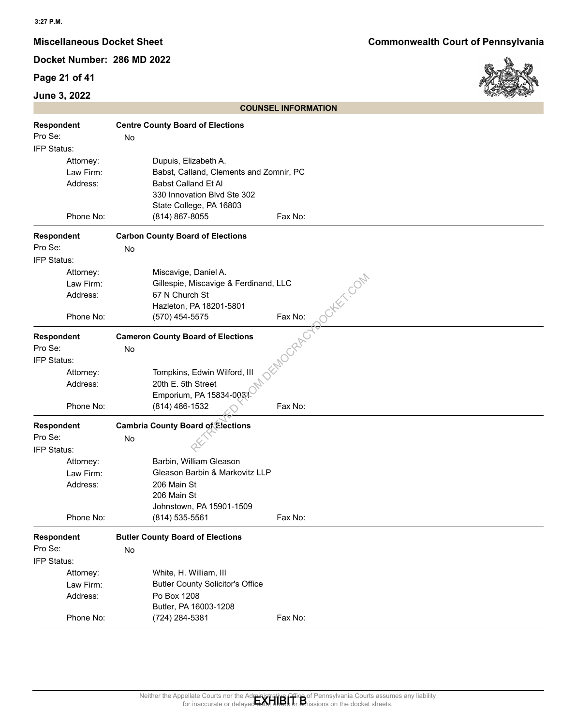## **Page 21 of 41**

## **June 3, 2022**



|                   |    |                                          | <b>COUNSEL INFORMATION</b>                                                                                                                                                 |
|-------------------|----|------------------------------------------|----------------------------------------------------------------------------------------------------------------------------------------------------------------------------|
| Respondent        |    | <b>Centre County Board of Elections</b>  |                                                                                                                                                                            |
| Pro Se:           | No |                                          |                                                                                                                                                                            |
| IFP Status:       |    |                                          |                                                                                                                                                                            |
| Attorney:         |    | Dupuis, Elizabeth A.                     |                                                                                                                                                                            |
| Law Firm:         |    | Babst, Calland, Clements and Zomnir, PC  |                                                                                                                                                                            |
| Address:          |    | <b>Babst Calland Et Al</b>               |                                                                                                                                                                            |
|                   |    | 330 Innovation Blvd Ste 302              |                                                                                                                                                                            |
|                   |    | State College, PA 16803                  |                                                                                                                                                                            |
| Phone No:         |    | (814) 867-8055                           | Fax No:                                                                                                                                                                    |
| Respondent        |    | <b>Carbon County Board of Elections</b>  |                                                                                                                                                                            |
| Pro Se:           | No |                                          |                                                                                                                                                                            |
| IFP Status:       |    |                                          |                                                                                                                                                                            |
| Attorney:         |    | Miscavige, Daniel A.                     |                                                                                                                                                                            |
| Law Firm:         |    | Gillespie, Miscavige & Ferdinand, LLC    | CHEC COM                                                                                                                                                                   |
| Address:          |    | 67 N Church St                           |                                                                                                                                                                            |
|                   |    | Hazleton, PA 18201-5801                  |                                                                                                                                                                            |
| Phone No:         |    | (570) 454-5575                           | Fax No:                                                                                                                                                                    |
|                   |    |                                          |                                                                                                                                                                            |
| <b>Respondent</b> |    | <b>Cameron County Board of Elections</b> | LOCARE.                                                                                                                                                                    |
| Pro Se:           | No |                                          |                                                                                                                                                                            |
| IFP Status:       |    |                                          |                                                                                                                                                                            |
| Attorney:         |    | Tompkins, Edwin Wilford, III             |                                                                                                                                                                            |
| Address:          |    | 20th E. 5th Street                       |                                                                                                                                                                            |
|                   |    | Emporium, PA 15834-003:                  |                                                                                                                                                                            |
| Phone No:         |    | (814) 486-1532                           | Fax No:                                                                                                                                                                    |
| Respondent        |    | <b>Cambria County Board of Elections</b> |                                                                                                                                                                            |
| Pro Se:           | No |                                          |                                                                                                                                                                            |
| IFP Status:       |    |                                          |                                                                                                                                                                            |
| Attorney:         |    | Barbin, William Gleason                  |                                                                                                                                                                            |
| Law Firm:         |    | Gleason Barbin & Markovitz LLP           |                                                                                                                                                                            |
| Address:          |    | 206 Main St                              |                                                                                                                                                                            |
|                   |    | 206 Main St                              |                                                                                                                                                                            |
|                   |    | Johnstown, PA 15901-1509                 |                                                                                                                                                                            |
| Phone No:         |    | $(814)$ 535-5561                         | Fax No:                                                                                                                                                                    |
| Respondent        |    | <b>Butler County Board of Elections</b>  |                                                                                                                                                                            |
| Pro Se:           | No |                                          |                                                                                                                                                                            |
| IFP Status:       |    |                                          |                                                                                                                                                                            |
| Attorney:         |    | White, H. William, III                   |                                                                                                                                                                            |
| Law Firm:         |    | <b>Butler County Solicitor's Office</b>  |                                                                                                                                                                            |
| Address:          |    | Po Box 1208                              |                                                                                                                                                                            |
|                   |    | Butler, PA 16003-1208                    |                                                                                                                                                                            |
| Phone No:         |    | (724) 284-5381                           | Fax No:                                                                                                                                                                    |
|                   |    |                                          |                                                                                                                                                                            |
|                   |    |                                          |                                                                                                                                                                            |
|                   |    |                                          |                                                                                                                                                                            |
|                   |    |                                          |                                                                                                                                                                            |
|                   |    |                                          |                                                                                                                                                                            |
|                   |    |                                          |                                                                                                                                                                            |
|                   |    |                                          | Neither the Appellate Courts nor the Administrative Office of Pennsylvania Courts assumes any liability<br>for inaccurate or delayed date, the basis on the docket sheets. |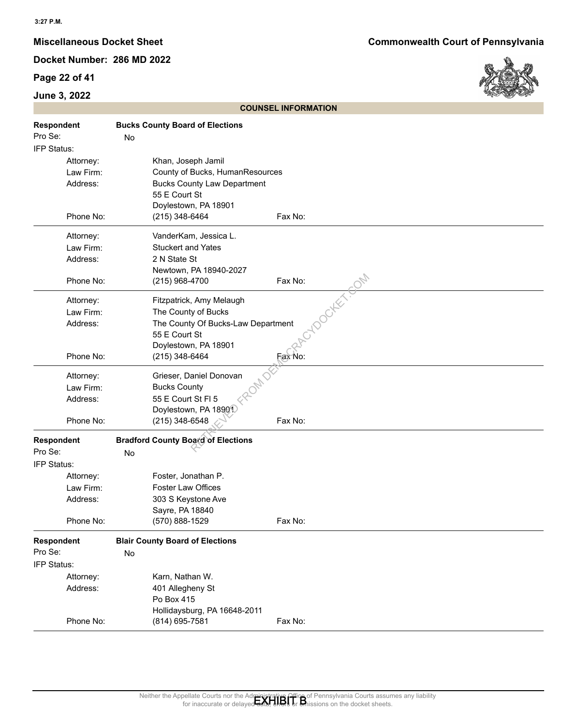## **Page 22 of 41**

## **June 3, 2022**



|                                                 |                                                                                                                                      | <b>COUNSEL INFORMATION</b>                                                                                                                                                            |
|-------------------------------------------------|--------------------------------------------------------------------------------------------------------------------------------------|---------------------------------------------------------------------------------------------------------------------------------------------------------------------------------------|
| Respondent<br>Pro Se:<br>IFP Status:            | <b>Bucks County Board of Elections</b><br>No                                                                                         |                                                                                                                                                                                       |
| Attorney:<br>Law Firm:<br>Address:              | Khan, Joseph Jamil<br>County of Bucks, HumanResources<br><b>Bucks County Law Department</b><br>55 E Court St<br>Doylestown, PA 18901 |                                                                                                                                                                                       |
| Phone No:                                       | (215) 348-6464                                                                                                                       | Fax No:                                                                                                                                                                               |
| Attorney:<br>Law Firm:<br>Address:<br>Phone No: | VanderKam, Jessica L.<br><b>Stuckert and Yates</b><br>2 N State St<br>Newtown, PA 18940-2027<br>(215) 968-4700                       | Fax No:                                                                                                                                                                               |
| Attorney:<br>Law Firm:<br>Address:              | Fitzpatrick, Amy Melaugh<br>The County of Bucks<br>The County Of Bucks-Law Department<br>55 E Court St                               | <b>LDOCKET-SOM</b>                                                                                                                                                                    |
| Phone No:                                       | Doylestown, PA 18901<br>(215) 348-6464                                                                                               | Fax No:                                                                                                                                                                               |
| Attorney:<br>Law Firm:<br>Address:              | Grieser, Daniel Donovan<br><b>Bucks County</b><br>55 E Court St FI 5<br>Doylestown, PA 18901                                         |                                                                                                                                                                                       |
| Phone No:                                       | (215) 348-6548                                                                                                                       | Fax No:                                                                                                                                                                               |
| Respondent<br>Pro Se:<br>IFP Status:            | <b>Bradford County Board of Elections</b><br>No                                                                                      |                                                                                                                                                                                       |
| Attorney:<br>Law Firm:<br>Address:              | Foster, Jonathan P.<br><b>Foster Law Offices</b><br>303 S Keystone Ave<br>Sayre, PA 18840                                            |                                                                                                                                                                                       |
| Phone No:                                       | (570) 888-1529                                                                                                                       | Fax No:                                                                                                                                                                               |
| <b>Respondent</b><br>Pro Se:<br>IFP Status:     | <b>Blair County Board of Elections</b><br>No                                                                                         |                                                                                                                                                                                       |
| Attorney:<br>Address:                           | Karn, Nathan W.<br>401 Allegheny St<br>Po Box 415<br>Hollidaysburg, PA 16648-2011                                                    |                                                                                                                                                                                       |
| Phone No:                                       | (814) 695-7581                                                                                                                       | Fax No:                                                                                                                                                                               |
|                                                 |                                                                                                                                      |                                                                                                                                                                                       |
|                                                 |                                                                                                                                      | Neither the Appellate Courts nor the Administrative Office of Pennsylvania Courts assumes any liability<br>for inaccurate or delayed data, ends or an insisions on the docket sheets. |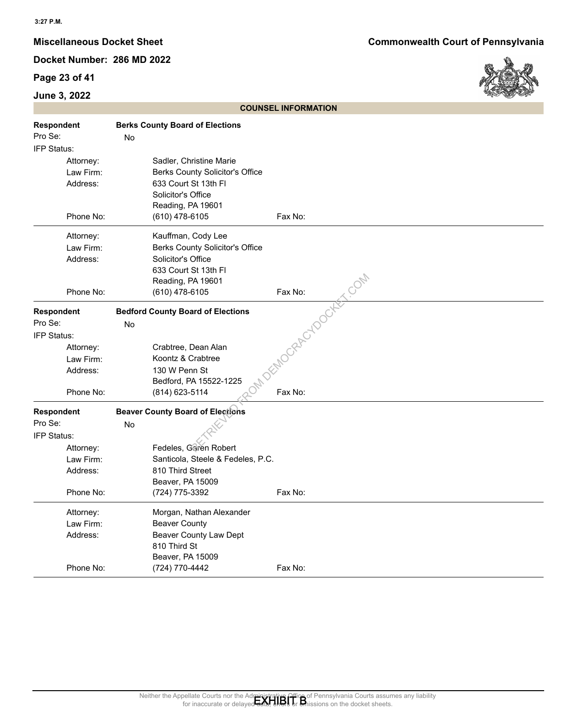## **Page 23 of 41**

## **June 3, 2022**



| Respondent<br>Pro Se:<br>IFP Status:            | <b>Berks County Board of Elections</b><br>No                                                                                               |                                                                                                                                                                                           |
|-------------------------------------------------|--------------------------------------------------------------------------------------------------------------------------------------------|-------------------------------------------------------------------------------------------------------------------------------------------------------------------------------------------|
| Attorney:<br>Law Firm:<br>Address:<br>Phone No: | Sadler, Christine Marie<br>Berks County Solicitor's Office<br>633 Court St 13th Fl<br>Solicitor's Office<br>Reading, PA 19601              |                                                                                                                                                                                           |
|                                                 | $(610)$ 478-6105                                                                                                                           | Fax No:                                                                                                                                                                                   |
| Attorney:<br>Law Firm:<br>Address:<br>Phone No: | Kauffman, Cody Lee<br>Berks County Solicitor's Office<br>Solicitor's Office<br>633 Court St 13th Fl<br>Reading, PA 19601<br>(610) 478-6105 | JEMOCRAPCYDOCKET.COM                                                                                                                                                                      |
|                                                 |                                                                                                                                            |                                                                                                                                                                                           |
| Respondent<br>Pro Se:<br>IFP Status:            | <b>Bedford County Board of Elections</b><br>No                                                                                             |                                                                                                                                                                                           |
| Attorney:                                       | Crabtree, Dean Alan                                                                                                                        |                                                                                                                                                                                           |
| Law Firm:                                       | Koontz & Crabtree                                                                                                                          |                                                                                                                                                                                           |
| Address:                                        | 130 W Penn St                                                                                                                              |                                                                                                                                                                                           |
|                                                 | Bedford, PA 15522-1225                                                                                                                     |                                                                                                                                                                                           |
| Phone No:                                       | (814) 623-5114                                                                                                                             | Fax No:                                                                                                                                                                                   |
| Respondent                                      | <b>Beaver County Board of Elections</b>                                                                                                    |                                                                                                                                                                                           |
| Pro Se:                                         | No                                                                                                                                         |                                                                                                                                                                                           |
| IFP Status:                                     |                                                                                                                                            |                                                                                                                                                                                           |
| Attorney:                                       | Fedeles, Garen Robert                                                                                                                      |                                                                                                                                                                                           |
| Law Firm:                                       | Santicola, Steele & Fedeles, P.C.                                                                                                          |                                                                                                                                                                                           |
| Address:                                        | 810 Third Street<br>Beaver, PA 15009                                                                                                       |                                                                                                                                                                                           |
| Phone No:                                       | (724) 775-3392                                                                                                                             | Fax No:                                                                                                                                                                                   |
|                                                 |                                                                                                                                            |                                                                                                                                                                                           |
| Attorney:                                       | Morgan, Nathan Alexander<br><b>Beaver County</b>                                                                                           |                                                                                                                                                                                           |
| Law Firm:<br>Address:                           | Beaver County Law Dept                                                                                                                     |                                                                                                                                                                                           |
|                                                 | 810 Third St                                                                                                                               |                                                                                                                                                                                           |
|                                                 | Beaver, PA 15009                                                                                                                           |                                                                                                                                                                                           |
| Phone No:                                       | (724) 770-4442                                                                                                                             | Fax No:                                                                                                                                                                                   |
|                                                 |                                                                                                                                            | Neither the Appellate Courts nor the Administrative Office of Pennsylvania Courts assumes any liability<br>for inaccurate or delayed data, the basic of Britissions on the docket sheets. |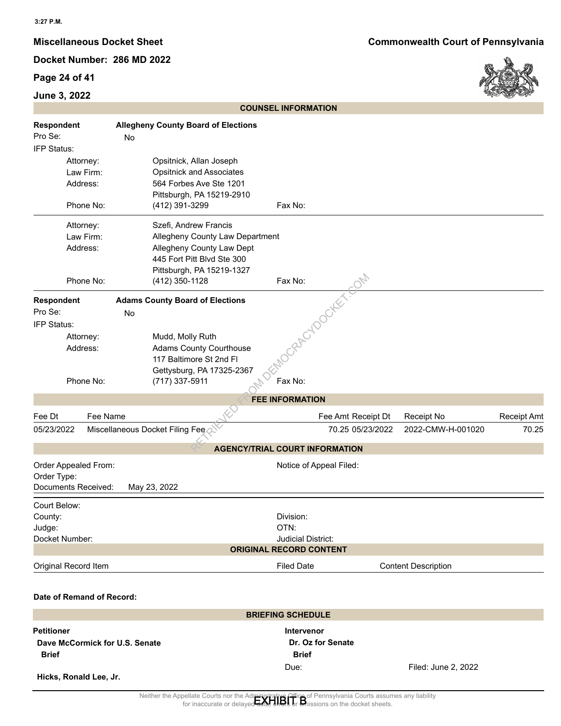## **Page 24 of 41**



| Respondent<br>Pro Se:<br>No<br>IFP Status:                                       | <b>Allegheny County Board of Elections</b>                                                                                                                             |                                                                           |                            |             |
|----------------------------------------------------------------------------------|------------------------------------------------------------------------------------------------------------------------------------------------------------------------|---------------------------------------------------------------------------|----------------------------|-------------|
|                                                                                  |                                                                                                                                                                        |                                                                           |                            |             |
| Attorney:<br>Law Firm:<br>Address:<br>Phone No:                                  | Opsitnick, Allan Joseph<br><b>Opsitnick and Associates</b><br>564 Forbes Ave Ste 1201<br>Pittsburgh, PA 15219-2910<br>(412) 391-3299                                   | Fax No:                                                                   |                            |             |
| Attorney:<br>Law Firm:<br>Address:<br>Phone No:                                  | Szefi, Andrew Francis<br>Allegheny County Law Department<br>Allegheny County Law Dept<br>445 Fort Pitt Blvd Ste 300<br>Pittsburgh, PA 15219-1327<br>(412) 350-1128     | Fax No:                                                                   |                            |             |
| Respondent<br>Pro Se:<br>No<br>IFP Status:<br>Attorney:<br>Address:<br>Phone No: | <b>Adams County Board of Elections</b><br>Mudd, Molly Ruth<br><b>Adams County Courthouse</b><br>117 Baltimore St 2nd Fl<br>Gettysburg, PA 17325-2367<br>(717) 337-5911 | ZoRACYDOCKET.G<br>Fax No:                                                 |                            |             |
|                                                                                  |                                                                                                                                                                        | <b>FEE INFORMATION</b>                                                    |                            |             |
| Fee Name<br>Fee Dt                                                               |                                                                                                                                                                        | Fee Amt Receipt Dt                                                        | Receipt No                 | Receipt Amt |
| 05/23/2022                                                                       | Miscellaneous Docket Filing Fee                                                                                                                                        | 70.25 05/23/2022                                                          | 2022-CMW-H-001020          | 70.25       |
|                                                                                  |                                                                                                                                                                        | <b>AGENCY/TRIAL COURT INFORMATION</b>                                     |                            |             |
| Order Appealed From:<br>Order Type:<br>Documents Received:                       | May 23, 2022                                                                                                                                                           | Notice of Appeal Filed:                                                   |                            |             |
| Court Below:<br>County:<br>Judge:<br>Docket Number:                              |                                                                                                                                                                        | Division:<br>OTN:<br>Judicial District:<br><b>ORIGINAL RECORD CONTENT</b> |                            |             |
| Original Record Item                                                             |                                                                                                                                                                        | <b>Filed Date</b>                                                         | <b>Content Description</b> |             |
| Date of Remand of Record:                                                        |                                                                                                                                                                        |                                                                           |                            |             |
| <b>Petitioner</b><br>Dave McCormick for U.S. Senate                              |                                                                                                                                                                        | <b>BRIEFING SCHEDULE</b><br><b>Intervenor</b><br>Dr. Oz for Senate        |                            |             |
| <b>Brief</b>                                                                     |                                                                                                                                                                        | <b>Brief</b><br>Due:                                                      | Filed: June 2, 2022        |             |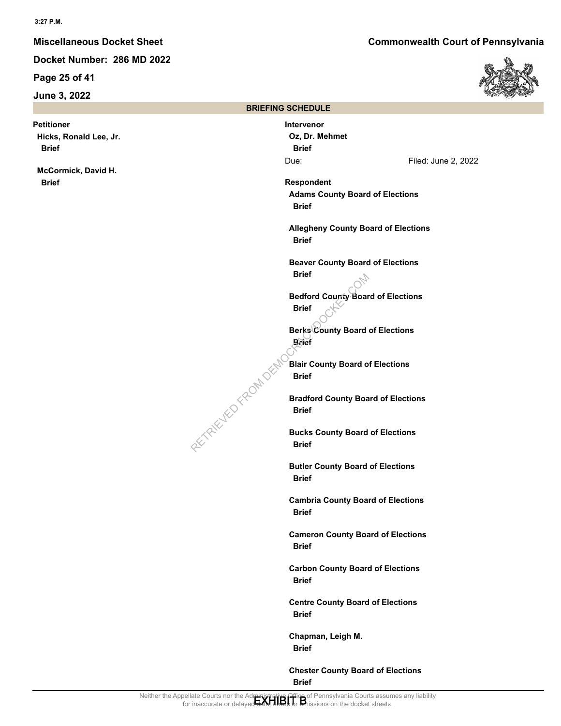**Page 25 of 41**

**June 3, 2022**

**Petitioner Hicks, Ronald Lee, Jr. Brief**

**McCormick, David H. Brief**

**Miscellaneous Docket Sheet Commonwealth Court of Pennsylvania**



|                                                                                                                                                             | <b>BRIEFING SCHEDULE</b>                                |                                            |  |
|-------------------------------------------------------------------------------------------------------------------------------------------------------------|---------------------------------------------------------|--------------------------------------------|--|
|                                                                                                                                                             | <b>Intervenor</b><br>Oz, Dr. Mehmet<br><b>Brief</b>     |                                            |  |
|                                                                                                                                                             | Due:                                                    | Filed: June 2, 2022                        |  |
|                                                                                                                                                             | Respondent<br><b>Brief</b>                              | <b>Adams County Board of Elections</b>     |  |
|                                                                                                                                                             | <b>Brief</b>                                            | <b>Allegheny County Board of Elections</b> |  |
|                                                                                                                                                             | <b>Brief</b>                                            | <b>Beaver County Board of Elections</b>    |  |
|                                                                                                                                                             | <b>Brief</b>                                            | <b>Bedford County Board of Elections</b>   |  |
|                                                                                                                                                             | <b>Berks County Board of Elections</b><br><b>Brief</b>  |                                            |  |
| RETAILWED FROM DES                                                                                                                                          | <b>Blair County Board of Elections</b><br><b>Brief</b>  |                                            |  |
|                                                                                                                                                             | <b>Brief</b>                                            | <b>Bradford County Board of Elections</b>  |  |
|                                                                                                                                                             | <b>Brief</b>                                            | <b>Bucks County Board of Elections</b>     |  |
|                                                                                                                                                             | <b>Butler County Board of Elections</b><br><b>Brief</b> |                                            |  |
|                                                                                                                                                             | <b>Brief</b>                                            | <b>Cambria County Board of Elections</b>   |  |
|                                                                                                                                                             | <b>Brief</b>                                            | <b>Cameron County Board of Elections</b>   |  |
|                                                                                                                                                             | <b>Brief</b>                                            | <b>Carbon County Board of Elections</b>    |  |
|                                                                                                                                                             | <b>Brief</b>                                            | <b>Centre County Board of Elections</b>    |  |
|                                                                                                                                                             | Chapman, Leigh M.<br><b>Brief</b>                       |                                            |  |
|                                                                                                                                                             | <b>Brief</b>                                            | <b>Chester County Board of Elections</b>   |  |
| ate Courts nor the Administrative Office of Pennsylvania Courts assumes any liability<br>inaccurate or delayed Jane 1101 or Unissions on the docket sheets. |                                                         |                                            |  |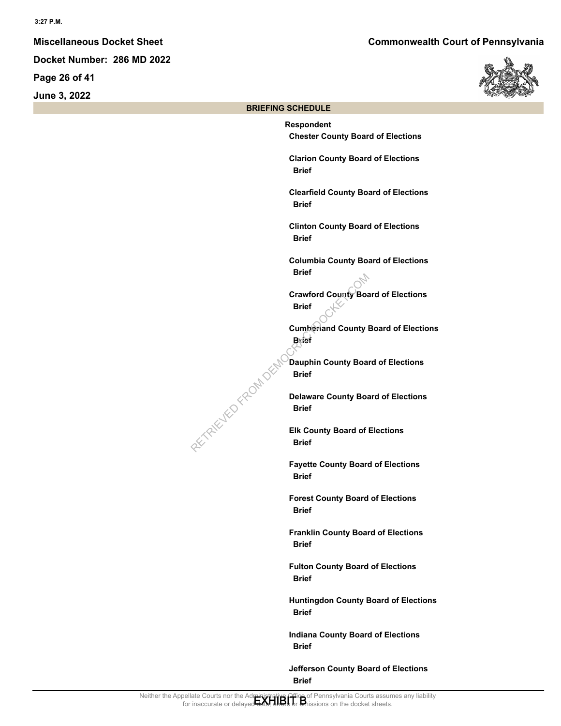**Page 26 of 41**

**June 3, 2022**



#### **BRIEFING SCHEDULE**

**Respondent Chester County Board of Elections Clarion County Board of Elections Brief Clearfield County Board of Elections Brief Clinton County Board of Elections Brief Columbia County Board of Elections Brief Crawford County Board of Elections Brief Cumberland County Board of Elections Brief Dauphin County Board of Elections Brief Delaware County Board of Elections Brief Elk County Board of Elections Brief Fayette County Board of Elections Brief Forest County Board of Elections Brief Franklin County Board of Elections Brief Fulton County Board of Elections Brief Huntingdon County Board of Elections Brief Indiana County Board of Elections Brief** PETRIEVED FROM DEM

> **Jefferson County Board of Elections Brief**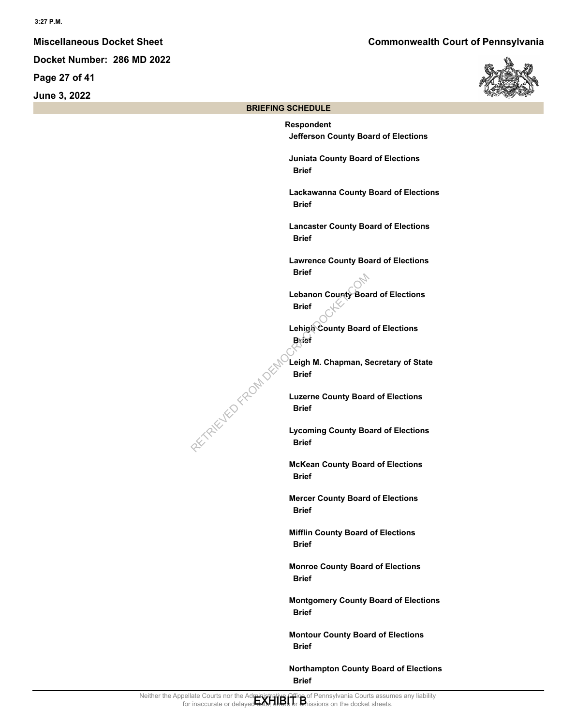**Page 27 of 41**

**June 3, 2022**



#### **BRIEFING SCHEDULE**

**Respondent Jefferson County Board of Elections Juniata County Board of Elections Brief Lackawanna County Board of Elections Brief Lancaster County Board of Elections Brief Lawrence County Board of Elections Brief Lebanon County Board of Elections Brief Lehigh County Board of Elections Brief Leigh M. Chapman, Secretary of State Brief Luzerne County Board of Elections Brief Lycoming County Board of Elections Brief McKean County Board of Elections Brief Mercer County Board of Elections Brief Mifflin County Board of Elections Brief Monroe County Board of Elections Brief Montgomery County Board of Elections Brief Montour County Board of Elections Brief** PETRIEVED FROM DEMO

> **Northampton County Board of Elections Brief**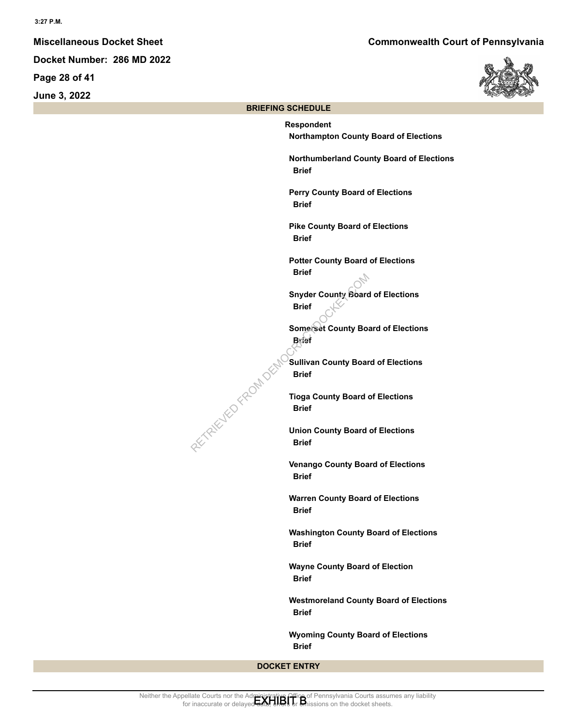**Page 28 of 41**

**June 3, 2022**



#### **BRIEFING SCHEDULE**

**Respondent Northampton County Board of Elections Northumberland County Board of Elections Brief Perry County Board of Elections Brief Pike County Board of Elections Brief Potter County Board of Elections Brief Snyder County Board of Elections Brief Somerset County Board of Elections Brief Sullivan County Board of Elections Brief Tioga County Board of Elections Brief Union County Board of Elections Brief Venango County Board of Elections Brief Warren County Board of Elections Brief Washington County Board of Elections Brief Wayne County Board of Election Brief Westmoreland County Board of Elections Brief Wyoming County Board of Elections Brief** PETRIEVED FROM DEM

**DOCKET ENTRY**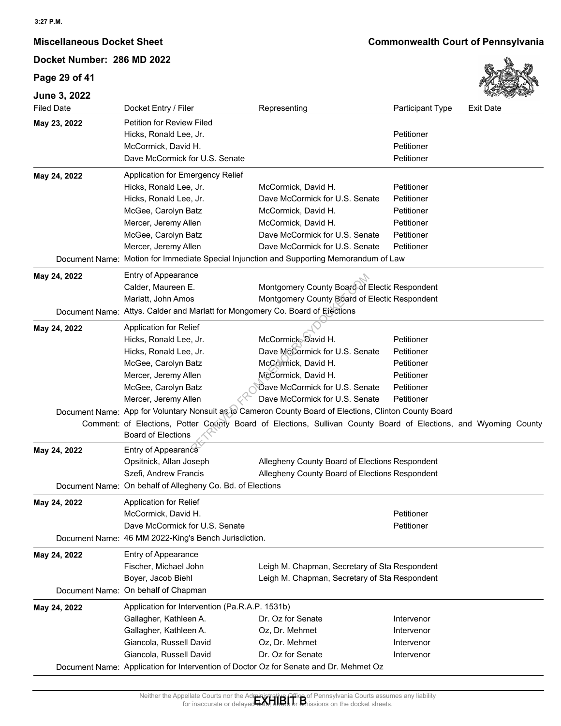## **Page 29 of 41**



| JUIIT J, ZUZZ<br><b>Filed Date</b> | Docket Entry / Filer                                                          | Representing                                                                                                                                                                         | Participant Type | <b>Exit Date</b> |
|------------------------------------|-------------------------------------------------------------------------------|--------------------------------------------------------------------------------------------------------------------------------------------------------------------------------------|------------------|------------------|
|                                    | Petition for Review Filed                                                     |                                                                                                                                                                                      |                  |                  |
| May 23, 2022                       | Hicks, Ronald Lee, Jr.                                                        |                                                                                                                                                                                      | Petitioner       |                  |
|                                    | McCormick, David H.                                                           |                                                                                                                                                                                      | Petitioner       |                  |
|                                    | Dave McCormick for U.S. Senate                                                |                                                                                                                                                                                      | Petitioner       |                  |
|                                    |                                                                               |                                                                                                                                                                                      |                  |                  |
| May 24, 2022                       | Application for Emergency Relief                                              |                                                                                                                                                                                      |                  |                  |
|                                    | Hicks, Ronald Lee, Jr.                                                        | McCormick, David H.                                                                                                                                                                  | Petitioner       |                  |
|                                    | Hicks, Ronald Lee, Jr.                                                        | Dave McCormick for U.S. Senate                                                                                                                                                       | Petitioner       |                  |
|                                    | McGee, Carolyn Batz                                                           | McCormick, David H.                                                                                                                                                                  | Petitioner       |                  |
|                                    | Mercer, Jeremy Allen                                                          | McCormick, David H.                                                                                                                                                                  | Petitioner       |                  |
|                                    | McGee, Carolyn Batz                                                           | Dave McCormick for U.S. Senate                                                                                                                                                       | Petitioner       |                  |
|                                    | Mercer, Jeremy Allen                                                          | Dave McCormick for U.S. Senate                                                                                                                                                       | Petitioner       |                  |
|                                    |                                                                               | Document Name: Motion for Immediate Special Injunction and Supporting Memorandum of Law                                                                                              |                  |                  |
| May 24, 2022                       | Entry of Appearance                                                           |                                                                                                                                                                                      |                  |                  |
|                                    | Calder, Maureen E.                                                            | Montgomery County Board of Electic Respondent                                                                                                                                        |                  |                  |
|                                    | Marlatt, John Amos                                                            | Montgomery County Board of Electic Respondent                                                                                                                                        |                  |                  |
|                                    | Document Name: Attys. Calder and Marlatt for Mongomery Co. Board of Elections |                                                                                                                                                                                      |                  |                  |
| May 24, 2022                       | <b>Application for Relief</b>                                                 |                                                                                                                                                                                      |                  |                  |
|                                    | Hicks, Ronald Lee, Jr.                                                        | McCormick, Bavid H.                                                                                                                                                                  | Petitioner       |                  |
|                                    | Hicks, Ronald Lee, Jr.                                                        | Dave McCormick for U.S. Senate                                                                                                                                                       | Petitioner       |                  |
|                                    | McGee, Carolyn Batz                                                           | McCormick, David H.                                                                                                                                                                  | Petitioner       |                  |
|                                    | Mercer, Jeremy Allen                                                          | McCormick, David H.                                                                                                                                                                  | Petitioner       |                  |
|                                    | McGee, Carolyn Batz                                                           | Dave McCormick for U.S. Senate                                                                                                                                                       | Petitioner       |                  |
|                                    | Mercer, Jeremy Allen                                                          | Dave McCormick for U.S. Senate                                                                                                                                                       | Petitioner       |                  |
|                                    |                                                                               | Document Name: App for Voluntary Nonsuit as to Cameron County Board of Elections, Clinton County Board                                                                               |                  |                  |
|                                    |                                                                               | Comment: of Elections, Potter Cocoty Board of Elections, Sullivan County Board of Elections, and Wyoming County                                                                      |                  |                  |
|                                    | <b>Board of Elections</b>                                                     |                                                                                                                                                                                      |                  |                  |
| May 24, 2022                       | Entry of Appearance                                                           |                                                                                                                                                                                      |                  |                  |
|                                    | Opsitnick, Allan Joseph                                                       | Allegheny County Board of Elections Respondent                                                                                                                                       |                  |                  |
|                                    | Szefi, Andrew Francis                                                         | Allegheny County Board of Elections Respondent                                                                                                                                       |                  |                  |
|                                    | Document Name: On behalf of Allegheny Co. Bd. of Elections                    |                                                                                                                                                                                      |                  |                  |
| May 24, 2022                       | <b>Application for Relief</b>                                                 |                                                                                                                                                                                      |                  |                  |
|                                    | McCormick, David H.                                                           |                                                                                                                                                                                      | Petitioner       |                  |
|                                    | Dave McCormick for U.S. Senate                                                |                                                                                                                                                                                      | Petitioner       |                  |
|                                    | Document Name: 46 MM 2022-King's Bench Jurisdiction.                          |                                                                                                                                                                                      |                  |                  |
| May 24, 2022                       | Entry of Appearance                                                           |                                                                                                                                                                                      |                  |                  |
|                                    | Fischer, Michael John                                                         | Leigh M. Chapman, Secretary of Sta Respondent                                                                                                                                        |                  |                  |
|                                    | Boyer, Jacob Biehl                                                            | Leigh M. Chapman, Secretary of Sta Respondent                                                                                                                                        |                  |                  |
|                                    | Document Name: On behalf of Chapman                                           |                                                                                                                                                                                      |                  |                  |
|                                    |                                                                               |                                                                                                                                                                                      |                  |                  |
| May 24, 2022                       | Application for Intervention (Pa.R.A.P. 1531b)                                |                                                                                                                                                                                      |                  |                  |
|                                    | Gallagher, Kathleen A.                                                        | Dr. Oz for Senate                                                                                                                                                                    | Intervenor       |                  |
|                                    | Gallagher, Kathleen A.                                                        | Oz, Dr. Mehmet                                                                                                                                                                       | Intervenor       |                  |
|                                    | Giancola, Russell David                                                       | Oz, Dr. Mehmet                                                                                                                                                                       | Intervenor       |                  |
|                                    | Giancola, Russell David                                                       | Dr. Oz for Senate                                                                                                                                                                    | Intervenor       |                  |
|                                    |                                                                               | Document Name: Application for Intervention of Doctor Oz for Senate and Dr. Mehmet Oz                                                                                                |                  |                  |
|                                    |                                                                               |                                                                                                                                                                                      |                  |                  |
|                                    |                                                                               | Neither the Appellate Courts nor the Administrative Office of Pennsylvania Courts assumes any liability<br>for inaccurate or delaved and the basic of Missions on the docket sheets. |                  |                  |
|                                    | for inaccurate or dela                                                        | sions on the docket sheets.                                                                                                                                                          |                  |                  |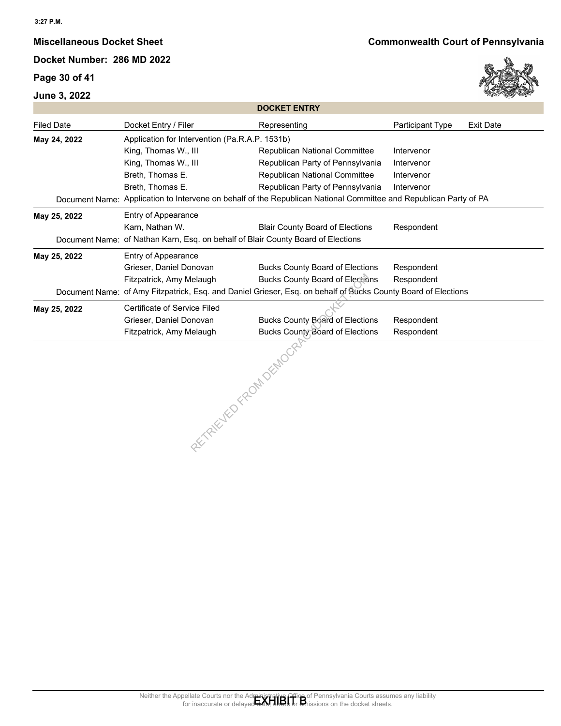## **Page 30 of 41**





|                   |                                                                                  | <b>DOCKET ENTRY</b>                                                                                               |                  |                  |
|-------------------|----------------------------------------------------------------------------------|-------------------------------------------------------------------------------------------------------------------|------------------|------------------|
| <b>Filed Date</b> | Docket Entry / Filer                                                             | Representing                                                                                                      | Participant Type | <b>Exit Date</b> |
| May 24, 2022      | Application for Intervention (Pa.R.A.P. 1531b)                                   |                                                                                                                   |                  |                  |
|                   | King, Thomas W., III                                                             | Republican National Committee                                                                                     | Intervenor       |                  |
|                   | King, Thomas W., III                                                             | Republican Party of Pennsylvania                                                                                  | Intervenor       |                  |
|                   | Breth, Thomas E.                                                                 | Republican National Committee                                                                                     | Intervenor       |                  |
|                   | Breth, Thomas E.                                                                 | Republican Party of Pennsylvania                                                                                  | Intervenor       |                  |
|                   |                                                                                  | Document Name: Application to Intervene on behalf of the Republican National Committee and Republican Party of PA |                  |                  |
| May 25, 2022      | Entry of Appearance                                                              |                                                                                                                   |                  |                  |
|                   | Karn, Nathan W.                                                                  | <b>Blair County Board of Elections</b>                                                                            | Respondent       |                  |
|                   | Document Name: of Nathan Karn, Esq. on behalf of Blair County Board of Elections |                                                                                                                   |                  |                  |
| May 25, 2022      | Entry of Appearance                                                              |                                                                                                                   |                  |                  |
|                   | Grieser, Daniel Donovan                                                          | <b>Bucks County Board of Elections</b>                                                                            | Respondent       |                  |
|                   | Fitzpatrick, Amy Melaugh                                                         | <b>Bucks County Board of Elections</b>                                                                            | Respondent       |                  |
|                   |                                                                                  | Document Name: of Amy Fitzpatrick, Esq. and Daniel Grieser, Esq. on behalf of Bucks County Board of Elections     |                  |                  |
| May 25, 2022      | Certificate of Service Filed                                                     |                                                                                                                   |                  |                  |
|                   | Grieser, Daniel Donovan                                                          | <b>Bucks County Board of Elections</b>                                                                            | Respondent       |                  |
|                   | Fitzpatrick, Amy Melaugh                                                         | Bucks County Board of Elections                                                                                   | Respondent       |                  |
|                   | s County of Republic Rate                                                        |                                                                                                                   |                  |                  |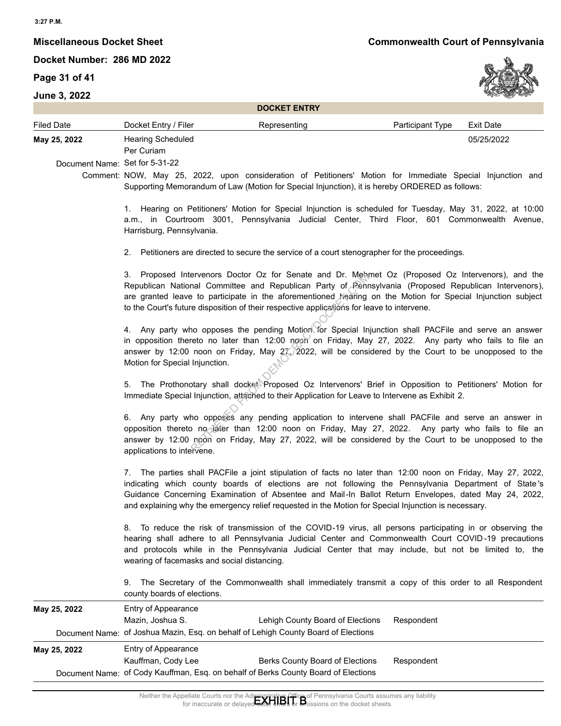## **Page 31 of 41**



|                                                |                                                   | <b>DOCKET ENTRY</b>                                                                                                                                                                                                                                                                                                                                                                                                                 |                  |                  |
|------------------------------------------------|---------------------------------------------------|-------------------------------------------------------------------------------------------------------------------------------------------------------------------------------------------------------------------------------------------------------------------------------------------------------------------------------------------------------------------------------------------------------------------------------------|------------------|------------------|
| <b>Filed Date</b>                              | Docket Entry / Filer                              | Representing                                                                                                                                                                                                                                                                                                                                                                                                                        | Participant Type | <b>Exit Date</b> |
| May 25, 2022<br>Document Name: Set for 5-31-22 | <b>Hearing Scheduled</b><br>Per Curiam            |                                                                                                                                                                                                                                                                                                                                                                                                                                     |                  | 05/25/2022       |
|                                                |                                                   | Comment: NOW, May 25, 2022, upon consideration of Petitioners' Motion for Immediate Special Injunction and<br>Supporting Memorandum of Law (Motion for Special Injunction), it is hereby ORDERED as follows:                                                                                                                                                                                                                        |                  |                  |
|                                                | Harrisburg, Pennsylvania.                         | 1. Hearing on Petitioners' Motion for Special Injunction is scheduled for Tuesday, May 31, 2022, at 10:00<br>a.m., in Courtroom 3001, Pennsylvania Judicial Center, Third Floor, 601 Commonwealth Avenue,                                                                                                                                                                                                                           |                  |                  |
|                                                | 2.                                                | Petitioners are directed to secure the service of a court stenographer for the proceedings.                                                                                                                                                                                                                                                                                                                                         |                  |                  |
|                                                |                                                   | 3. Proposed Intervenors Doctor Oz for Senate and Dr. Mehmet Oz (Proposed Oz Intervenors), and the<br>Republican National Committee and Republican Party of Rennsylvania (Proposed Republican Intervenors),<br>are granted leave to participate in the aforementioned hearing on the Motion for Special Injunction subject<br>to the Court's future disposition of their respective applications for leave to intervene.             |                  |                  |
|                                                | Motion for Special Injunction.                    | 4. Any party who opposes the pending Motion for Special Injunction shall PACFile and serve an answer<br>in opposition thereto no later than 12:00 noon on Friday, May 27, 2022. Any party who fails to file an<br>answer by 12:00 noon on Friday, May 27, 2022, will be considered by the Court to be unopposed to the                                                                                                              |                  |                  |
|                                                |                                                   | 5. The Prothonotary shall docket Proposed Oz Intervenors' Brief in Opposition to Petitioners' Motion for<br>Immediate Special Injunction, attached to their Application for Leave to Intervene as Exhibit 2.                                                                                                                                                                                                                        |                  |                  |
|                                                | applications to intervene.                        | 6. Any party who opposes any pending application to intervene shall PACFile and serve an answer in<br>opposition thereto no jater than 12:00 noon on Friday, May 27, 2022. Any party who fails to file an<br>answer by 12:00 noon on Friday, May 27, 2022, will be considered by the Court to be unopposed to the                                                                                                                   |                  |                  |
|                                                |                                                   | 7. The parties shall PACFile a joint stipulation of facts no later than 12:00 noon on Friday, May 27, 2022,<br>indicating which county boards of elections are not following the Pennsylvania Department of State's<br>Guidance Concerning Examination of Absentee and Mail-In Ballot Return Envelopes, dated May 24, 2022,<br>and explaining why the emergency relief requested in the Motion for Special Injunction is necessary. |                  |                  |
|                                                | 8.<br>wearing of facemasks and social distancing. | To reduce the risk of transmission of the COVID-19 virus, all persons participating in or observing the<br>hearing shall adhere to all Pennsylvania Judicial Center and Commonwealth Court COVID-19 precautions<br>and protocols while in the Pennsylvania Judicial Center that may include, but not be limited to, the                                                                                                             |                  |                  |
|                                                | 9.<br>county boards of elections.                 | The Secretary of the Commonwealth shall immediately transmit a copy of this order to all Respondent                                                                                                                                                                                                                                                                                                                                 |                  |                  |
| May 25, 2022                                   | Entry of Appearance<br>Mazin, Joshua S.           | Lehigh County Board of Elections                                                                                                                                                                                                                                                                                                                                                                                                    | Respondent       |                  |
|                                                |                                                   | Document Name: of Joshua Mazin, Esq. on behalf of Lehigh County Board of Elections                                                                                                                                                                                                                                                                                                                                                  |                  |                  |
| May 25, 2022                                   | Entry of Appearance<br>Kauffman, Cody Lee         | Berks County Board of Elections                                                                                                                                                                                                                                                                                                                                                                                                     | Respondent       |                  |
|                                                |                                                   | Document Name: of Cody Kauffman, Esq. on behalf of Berks County Board of Elections                                                                                                                                                                                                                                                                                                                                                  |                  |                  |
|                                                | for inaccurate or delave                          | Neither the Appellate Courts nor the Administrative Office of Pennsylvania Courts assumes any liability<br>for inaccurate or delaved and the burnsions on the docket sheets.<br>ons on the docket sheets                                                                                                                                                                                                                            |                  |                  |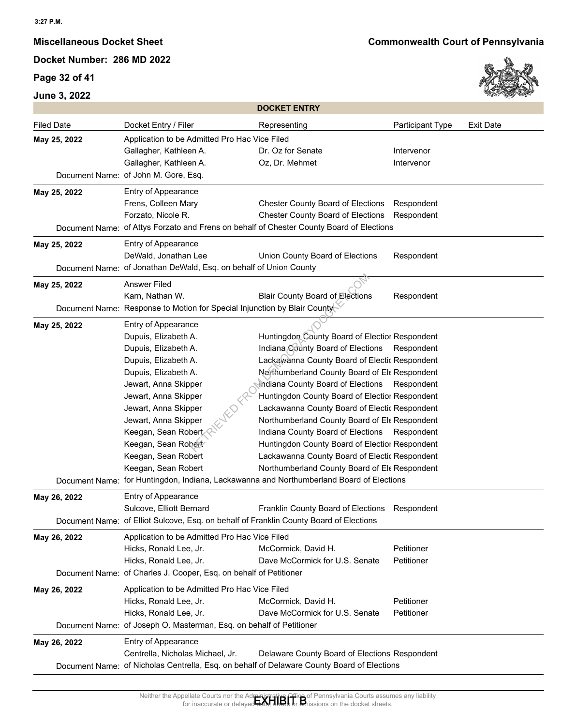# **Page 32 of 41**





|                   |                                                                                        | <b>DOCKET ENTRY</b>                                                                        |                  |                  |
|-------------------|----------------------------------------------------------------------------------------|--------------------------------------------------------------------------------------------|------------------|------------------|
| <b>Filed Date</b> | Docket Entry / Filer                                                                   | Representing                                                                               | Participant Type | <b>Exit Date</b> |
| May 25, 2022      | Application to be Admitted Pro Hac Vice Filed                                          |                                                                                            |                  |                  |
|                   | Gallagher, Kathleen A.                                                                 | Dr. Oz for Senate                                                                          | Intervenor       |                  |
|                   | Gallagher, Kathleen A.                                                                 | Oz, Dr. Mehmet                                                                             | Intervenor       |                  |
|                   | Document Name: of John M. Gore, Esq.                                                   |                                                                                            |                  |                  |
| May 25, 2022      | Entry of Appearance                                                                    |                                                                                            |                  |                  |
|                   | Frens, Colleen Mary                                                                    | <b>Chester County Board of Elections</b>                                                   | Respondent       |                  |
|                   | Forzato, Nicole R.                                                                     | <b>Chester County Board of Elections</b>                                                   | Respondent       |                  |
|                   |                                                                                        | Document Name: of Attys Forzato and Frens on behalf of Chester County Board of Elections   |                  |                  |
| May 25, 2022      | Entry of Appearance                                                                    |                                                                                            |                  |                  |
|                   | DeWald, Jonathan Lee                                                                   | Union County Board of Elections                                                            | Respondent       |                  |
|                   | Document Name: of Jonathan DeWald, Esq. on behalf of Union County                      |                                                                                            |                  |                  |
| May 25, 2022      | <b>Answer Filed</b>                                                                    |                                                                                            |                  |                  |
|                   | Karn, Nathan W.                                                                        | <b>Blair County Board of Elections</b>                                                     | Respondent       |                  |
|                   | Document Name: Response to Motion for Special Injunction by Blair County               |                                                                                            |                  |                  |
| May 25, 2022      | Entry of Appearance                                                                    |                                                                                            |                  |                  |
|                   | Dupuis, Elizabeth A.                                                                   | Huntingdon County Board of Electior Respondent                                             |                  |                  |
|                   | Dupuis, Elizabeth A.                                                                   | Indiana County Board of Elections                                                          | Respondent       |                  |
|                   | Dupuis, Elizabeth A.                                                                   | Lackawanna County Board of Electic Respondent                                              |                  |                  |
|                   | Dupuis, Elizabeth A.                                                                   | Northumberland County Board of Ele Respondent                                              |                  |                  |
|                   | Jewart, Anna Skipper                                                                   | Indiana County Board of Elections Respondent                                               |                  |                  |
|                   | Jewart, Anna Skipper                                                                   | Huntingdon County Board of Electior Respondent                                             |                  |                  |
|                   | Jewart, Anna Skipper                                                                   | Lackawanna County Board of Electic Respondent                                              |                  |                  |
|                   | Jewart, Anna Skipper                                                                   | Northumberland County Board of Ele Respondent                                              |                  |                  |
|                   | Keegan, Sean Robert                                                                    | Indiana County Board of Elections                                                          | Respondent       |                  |
|                   | Keegan, Sean Robert                                                                    | Huntingdon County Board of Electior Respondent                                             |                  |                  |
|                   | Keegan, Sean Robert                                                                    | Lackawanna County Board of Electic Respondent                                              |                  |                  |
|                   | Keegan, Sean Robert                                                                    | Northumberland County Board of Ele Respondent                                              |                  |                  |
|                   |                                                                                        | Document Name: for Huntingdon, Indiana, Lackawanna and Northumberland Board of Elections   |                  |                  |
| May 26, 2022      | Entry of Appearance                                                                    |                                                                                            |                  |                  |
|                   | Sulcove, Elliott Bernard                                                               | Franklin County Board of Elections                                                         | Respondent       |                  |
|                   | Document Name: of Elliot Sulcove, Esq. on behalf of Franklin County Board of Elections |                                                                                            |                  |                  |
| May 26, 2022      | Application to be Admitted Pro Hac Vice Filed                                          |                                                                                            |                  |                  |
|                   | Hicks, Ronald Lee, Jr.                                                                 | McCormick, David H.                                                                        | Petitioner       |                  |
|                   | Hicks, Ronald Lee, Jr.                                                                 | Dave McCormick for U.S. Senate                                                             | Petitioner       |                  |
|                   | Document Name: of Charles J. Cooper, Esq. on behalf of Petitioner                      |                                                                                            |                  |                  |
| May 26, 2022      | Application to be Admitted Pro Hac Vice Filed                                          |                                                                                            |                  |                  |
|                   | Hicks, Ronald Lee, Jr.                                                                 | McCormick, David H.                                                                        | Petitioner       |                  |
|                   | Hicks, Ronald Lee, Jr.                                                                 | Dave McCormick for U.S. Senate                                                             | Petitioner       |                  |
|                   | Document Name: of Joseph O. Masterman, Esq. on behalf of Petitioner                    |                                                                                            |                  |                  |
| May 26, 2022      | Entry of Appearance                                                                    |                                                                                            |                  |                  |
|                   | Centrella, Nicholas Michael, Jr.                                                       | Delaware County Board of Elections Respondent                                              |                  |                  |
|                   |                                                                                        | Document Name: of Nicholas Centrella, Esq. on behalf of Delaware County Board of Elections |                  |                  |
|                   |                                                                                        |                                                                                            |                  |                  |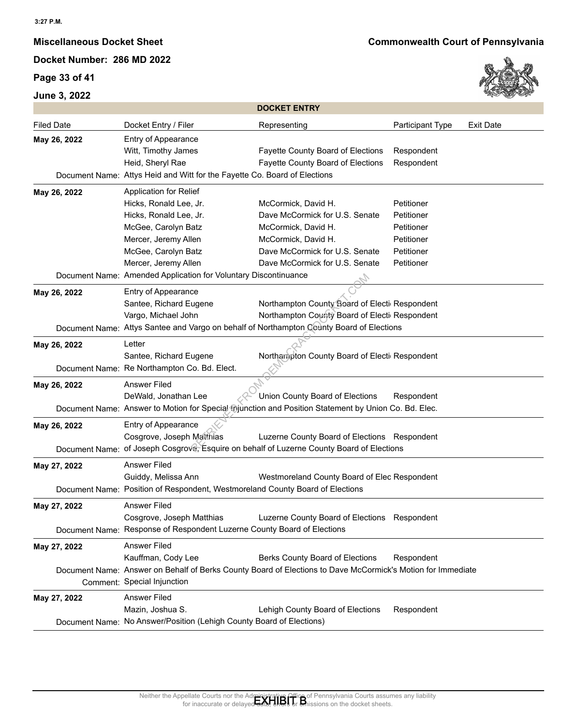## **Page 33 of 41**



|                   |                                                                                                                                                | <b>DOCKET ENTRY</b>                                                                                                                                                         |                                                                                  |                  |
|-------------------|------------------------------------------------------------------------------------------------------------------------------------------------|-----------------------------------------------------------------------------------------------------------------------------------------------------------------------------|----------------------------------------------------------------------------------|------------------|
| <b>Filed Date</b> | Docket Entry / Filer                                                                                                                           | Representing                                                                                                                                                                | Participant Type                                                                 | <b>Exit Date</b> |
| May 26, 2022      | Entry of Appearance<br>Witt, Timothy James<br>Heid, Sheryl Rae<br>Document Name: Attys Heid and Witt for the Fayette Co. Board of Elections    | Fayette County Board of Elections<br>Fayette County Board of Elections                                                                                                      | Respondent<br>Respondent                                                         |                  |
| May 26, 2022      | Application for Relief                                                                                                                         |                                                                                                                                                                             |                                                                                  |                  |
|                   | Hicks, Ronald Lee, Jr.<br>Hicks, Ronald Lee, Jr.<br>McGee, Carolyn Batz<br>Mercer, Jeremy Allen<br>McGee, Carolyn Batz<br>Mercer, Jeremy Allen | McCormick, David H.<br>Dave McCormick for U.S. Senate<br>McCormick, David H.<br>McCormick, David H.<br>Dave McCormick for U.S. Senate<br>Dave McCormick for U.S. Senate     | Petitioner<br>Petitioner<br>Petitioner<br>Petitioner<br>Petitioner<br>Petitioner |                  |
|                   | Document Name: Amended Application for Voluntary Discontinuance                                                                                |                                                                                                                                                                             |                                                                                  |                  |
| May 26, 2022      | Entry of Appearance<br>Santee, Richard Eugene<br>Vargo, Michael John                                                                           | Northampton County Board of Electi Respondent<br>Northampton County Board of Electi Respondent                                                                              |                                                                                  |                  |
|                   |                                                                                                                                                | Document Name: Attys Santee and Vargo on behalf of Northampton County Board of Elections                                                                                    |                                                                                  |                  |
| May 26, 2022      | Letter<br>Santee, Richard Eugene                                                                                                               | Northampton County Board of Electi Respondent                                                                                                                               |                                                                                  |                  |
|                   | Document Name: Re Northampton Co. Bd. Elect.                                                                                                   |                                                                                                                                                                             |                                                                                  |                  |
| May 26, 2022      | Answer Filed<br>DeWald, Jonathan Lee                                                                                                           | Union County Board of Elections                                                                                                                                             | Respondent                                                                       |                  |
|                   |                                                                                                                                                | Document Name: Answer to Motion for Special minnction and Position Statement by Union Co. Bd. Elec.                                                                         |                                                                                  |                  |
| May 26, 2022      | Entry of Appearance<br>Cosgrove, Joseph Matthias                                                                                               | Luzerne County Board of Elections Respondent<br>Document Name: of Joseph Cosgrove, Esquire on behalf of Luzerne County Board of Elections                                   |                                                                                  |                  |
| May 27, 2022      | Answer Filed<br>Guiddy, Melissa Ann<br>Document Name: Position of Respondent, Westmoreland County Board of Elections                           | Westmoreland County Board of Elec Respondent                                                                                                                                |                                                                                  |                  |
|                   |                                                                                                                                                |                                                                                                                                                                             |                                                                                  |                  |
| May 27, 2022      | <b>Answer Filed</b><br>Cosgrove, Joseph Matthias<br>Document Name: Response of Respondent Luzerne County Board of Elections                    | Luzerne County Board of Elections Respondent                                                                                                                                |                                                                                  |                  |
| May 27, 2022      | <b>Answer Filed</b><br>Kauffman, Cody Lee                                                                                                      | Berks County Board of Elections<br>Document Name: Answer on Behalf of Berks County Board of Elections to Dave McCormick's Motion for Immediate                              | Respondent                                                                       |                  |
|                   | Comment: Special Injunction                                                                                                                    |                                                                                                                                                                             |                                                                                  |                  |
| May 27, 2022      | <b>Answer Filed</b><br>Mazin, Joshua S.                                                                                                        | Lehigh County Board of Elections                                                                                                                                            | Respondent                                                                       |                  |
|                   | Document Name: No Answer/Position (Lehigh County Board of Elections)                                                                           |                                                                                                                                                                             |                                                                                  |                  |
|                   | for inaccurate or delave                                                                                                                       | Neither the Appellate Courts nor the Administrative Office of Pennsylvania Courts assumes any liability for inaccurate or delayer $\mathbf{R}$<br>ions on the docket sheets |                                                                                  |                  |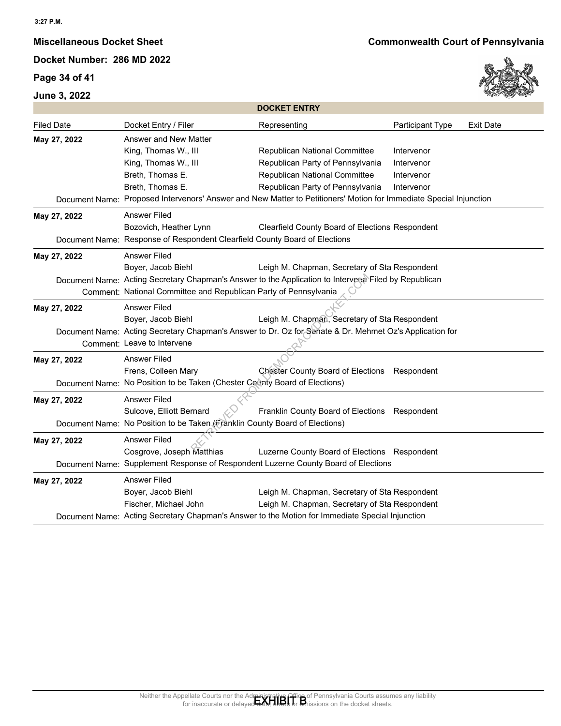## **Page 34 of 41**



|                   |                                                                                                                                                                                                                        | <b>DOCKET ENTRY</b>                                                                                                                                                                     |                                                      |                  |
|-------------------|------------------------------------------------------------------------------------------------------------------------------------------------------------------------------------------------------------------------|-----------------------------------------------------------------------------------------------------------------------------------------------------------------------------------------|------------------------------------------------------|------------------|
| <b>Filed Date</b> | Docket Entry / Filer                                                                                                                                                                                                   | Representing                                                                                                                                                                            | Participant Type                                     | <b>Exit Date</b> |
| May 27, 2022      | Answer and New Matter<br>King, Thomas W., III<br>King, Thomas W., III<br>Breth, Thomas E.<br>Breth, Thomas E.                                                                                                          | Republican National Committee<br>Republican Party of Pennsylvania<br>Republican National Committee<br>Republican Party of Pennsylvania                                                  | Intervenor<br>Intervenor<br>Intervenor<br>Intervenor |                  |
|                   | Document Name: Proposed Intervenors' Answer and New Matter to Petitioners' Motion for Immediate Special Injunction                                                                                                     |                                                                                                                                                                                         |                                                      |                  |
| May 27, 2022      | Answer Filed<br>Bozovich, Heather Lynn<br>Document Name: Response of Respondent Clearfield County Board of Elections                                                                                                   | Clearfield County Board of Elections Respondent                                                                                                                                         |                                                      |                  |
| May 27, 2022      | <b>Answer Filed</b><br>Boyer, Jacob Biehl<br>Document Name: Acting Secretary Chapman's Answer to the Application to Intervence Filed by Republican<br>Comment: National Committee and Republican Party of Pennsylvania | Leigh M. Chapman, Secretary of Sta Respondent                                                                                                                                           |                                                      |                  |
| May 27, 2022      | <b>Answer Filed</b><br>Boyer, Jacob Biehl<br>Document Name: Acting Secretary Chapman's Answer to Dr. Oz for Senate & Dr. Mehmet Oz's Application for<br>Comment: Leave to Intervene                                    | Leigh M. Chapman, Secretary of Sta Respondent                                                                                                                                           |                                                      |                  |
| May 27, 2022      | <b>Answer Filed</b><br>Frens, Colleen Mary<br>Document Name: No Position to be Taken (Chester County Board of Elections)                                                                                               | Chester County Board of Elections Respondent                                                                                                                                            |                                                      |                  |
| May 27, 2022      | <b>Answer Filed</b><br>Sulcove, Elliott Bernard<br>Document Name: No Position to be Taken (Franklin County Board of Elections)                                                                                         | Franklin County Board of Elections Respondent                                                                                                                                           |                                                      |                  |
| May 27, 2022      | <b>Answer Filed</b><br>Cosgrove, Joseph Matthias<br>Document Name: Supplement Response of Respondent Luzerne County Board of Elections                                                                                 | Luzerne County Board of Elections Respondent                                                                                                                                            |                                                      |                  |
| May 27, 2022      | Answer Filed<br>Boyer, Jacob Biehl<br>Fischer, Michael John<br>Document Name: Acting Secretary Chapman's Answer to the Motion for Immediate Special Injunction                                                         | Leigh M. Chapman, Secretary of Sta Respondent<br>Leigh M. Chapman, Secretary of Sta Respondent                                                                                          |                                                      |                  |
|                   |                                                                                                                                                                                                                        | Neither the Appellate Courts nor the Administrative Office of Pennsylvania Courts assumes any liability<br>for inaccurate or delayed that a time of the Shissions on the docket sheets. |                                                      |                  |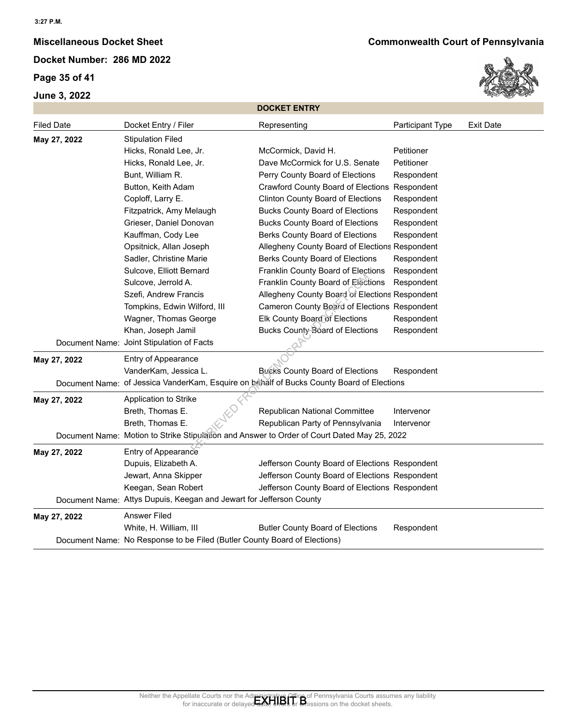**Page 35 of 41**



| <b>Filed Date</b><br><b>Exit Date</b><br>Docket Entry / Filer<br>Participant Type<br>Representing<br><b>Stipulation Filed</b><br>May 27, 2022<br>Hicks, Ronald Lee, Jr.<br>McCormick, David H.<br>Petitioner<br>Hicks, Ronald Lee, Jr.<br>Dave McCormick for U.S. Senate<br>Petitioner<br>Bunt, William R.<br>Perry County Board of Elections<br>Respondent<br>Button, Keith Adam<br>Crawford County Board of Elections Respondent<br>Coploff, Larry E.<br><b>Clinton County Board of Elections</b><br>Respondent<br>Fitzpatrick, Amy Melaugh<br><b>Bucks County Board of Elections</b><br>Respondent<br>Grieser, Daniel Donovan<br><b>Bucks County Board of Elections</b><br>Respondent<br>Kauffman, Cody Lee<br>Berks County Board of Elections<br>Respondent<br>Opsitnick, Allan Joseph<br>Allegheny County Board of Elections Respondent<br>Sadler, Christine Marie<br>Berks County Board of Elections<br>Respondent<br>Sulcove, Elliott Bernard<br>Franklin County Board of Elections<br>Respondent<br>Sulcove, Jerrold A.<br>Franklin County Board of Elections<br>Respondent<br>Allegheny County Board of Elections Respondent<br>Szefi, Andrew Francis<br>Tompkins, Edwin Wilford, III<br>Cameron County Board of Elections Respondent<br>Elk County Board of Elections<br>Wagner, Thomas George<br>Respondent<br>Bucks County Board of Elections<br>Khan, Joseph Jamil<br>Respondent<br>Document Name: Joint Stipulation of Facts<br>Entry of Appearance<br>May 27, 2022<br>VanderKam, Jessica L.<br><b>Bucks County Board of Elections</b><br>Respondent<br>Document Name: of Jessica VanderKam, Esquire on behalf of Bucks County Board of Elections<br>Application to Strike<br>May 27, 2022<br>Breth, Thomas E.<br>Republican National Committee<br>Intervenor<br>Breth, Thomas E.<br>Republican Party of Pennsylvania<br>Intervenor<br>Document Name: Motion to Strike Stipulation and Answer to Order of Court Dated May 25, 2022<br>Entry of Appearance<br>May 27, 2022<br>Jefferson County Board of Elections Respondent<br>Dupuis, Elizabeth A.<br>Jewart, Anna Skipper<br>Jefferson County Board of Elections Respondent<br>Keegan, Sean Robert<br>Jefferson County Board of Elections Respondent<br>Document Name: Attys Dupuis, Keegan and Jewart for Jefferson County<br>May 27, 2022<br><b>Answer Filed</b><br>White, H. William, III<br><b>Butler County Board of Elections</b><br>Respondent<br>Document Name: No Response to be Filed (Butler County Board of Elections) |  | <b>DOCKET ENTRY</b> |  |
|----------------------------------------------------------------------------------------------------------------------------------------------------------------------------------------------------------------------------------------------------------------------------------------------------------------------------------------------------------------------------------------------------------------------------------------------------------------------------------------------------------------------------------------------------------------------------------------------------------------------------------------------------------------------------------------------------------------------------------------------------------------------------------------------------------------------------------------------------------------------------------------------------------------------------------------------------------------------------------------------------------------------------------------------------------------------------------------------------------------------------------------------------------------------------------------------------------------------------------------------------------------------------------------------------------------------------------------------------------------------------------------------------------------------------------------------------------------------------------------------------------------------------------------------------------------------------------------------------------------------------------------------------------------------------------------------------------------------------------------------------------------------------------------------------------------------------------------------------------------------------------------------------------------------------------------------------------------------------------------------------------------------------------------------------------------------------------------------------------------------------------------------------------------------------------------------------------------------------------------------------------------------------------------------------------------------------------------------------------------------------------------------------------------------------------------------------------------------------------------------------|--|---------------------|--|
|                                                                                                                                                                                                                                                                                                                                                                                                                                                                                                                                                                                                                                                                                                                                                                                                                                                                                                                                                                                                                                                                                                                                                                                                                                                                                                                                                                                                                                                                                                                                                                                                                                                                                                                                                                                                                                                                                                                                                                                                                                                                                                                                                                                                                                                                                                                                                                                                                                                                                                    |  |                     |  |
|                                                                                                                                                                                                                                                                                                                                                                                                                                                                                                                                                                                                                                                                                                                                                                                                                                                                                                                                                                                                                                                                                                                                                                                                                                                                                                                                                                                                                                                                                                                                                                                                                                                                                                                                                                                                                                                                                                                                                                                                                                                                                                                                                                                                                                                                                                                                                                                                                                                                                                    |  |                     |  |
|                                                                                                                                                                                                                                                                                                                                                                                                                                                                                                                                                                                                                                                                                                                                                                                                                                                                                                                                                                                                                                                                                                                                                                                                                                                                                                                                                                                                                                                                                                                                                                                                                                                                                                                                                                                                                                                                                                                                                                                                                                                                                                                                                                                                                                                                                                                                                                                                                                                                                                    |  |                     |  |
|                                                                                                                                                                                                                                                                                                                                                                                                                                                                                                                                                                                                                                                                                                                                                                                                                                                                                                                                                                                                                                                                                                                                                                                                                                                                                                                                                                                                                                                                                                                                                                                                                                                                                                                                                                                                                                                                                                                                                                                                                                                                                                                                                                                                                                                                                                                                                                                                                                                                                                    |  |                     |  |
|                                                                                                                                                                                                                                                                                                                                                                                                                                                                                                                                                                                                                                                                                                                                                                                                                                                                                                                                                                                                                                                                                                                                                                                                                                                                                                                                                                                                                                                                                                                                                                                                                                                                                                                                                                                                                                                                                                                                                                                                                                                                                                                                                                                                                                                                                                                                                                                                                                                                                                    |  |                     |  |
|                                                                                                                                                                                                                                                                                                                                                                                                                                                                                                                                                                                                                                                                                                                                                                                                                                                                                                                                                                                                                                                                                                                                                                                                                                                                                                                                                                                                                                                                                                                                                                                                                                                                                                                                                                                                                                                                                                                                                                                                                                                                                                                                                                                                                                                                                                                                                                                                                                                                                                    |  |                     |  |
|                                                                                                                                                                                                                                                                                                                                                                                                                                                                                                                                                                                                                                                                                                                                                                                                                                                                                                                                                                                                                                                                                                                                                                                                                                                                                                                                                                                                                                                                                                                                                                                                                                                                                                                                                                                                                                                                                                                                                                                                                                                                                                                                                                                                                                                                                                                                                                                                                                                                                                    |  |                     |  |
|                                                                                                                                                                                                                                                                                                                                                                                                                                                                                                                                                                                                                                                                                                                                                                                                                                                                                                                                                                                                                                                                                                                                                                                                                                                                                                                                                                                                                                                                                                                                                                                                                                                                                                                                                                                                                                                                                                                                                                                                                                                                                                                                                                                                                                                                                                                                                                                                                                                                                                    |  |                     |  |
|                                                                                                                                                                                                                                                                                                                                                                                                                                                                                                                                                                                                                                                                                                                                                                                                                                                                                                                                                                                                                                                                                                                                                                                                                                                                                                                                                                                                                                                                                                                                                                                                                                                                                                                                                                                                                                                                                                                                                                                                                                                                                                                                                                                                                                                                                                                                                                                                                                                                                                    |  |                     |  |
|                                                                                                                                                                                                                                                                                                                                                                                                                                                                                                                                                                                                                                                                                                                                                                                                                                                                                                                                                                                                                                                                                                                                                                                                                                                                                                                                                                                                                                                                                                                                                                                                                                                                                                                                                                                                                                                                                                                                                                                                                                                                                                                                                                                                                                                                                                                                                                                                                                                                                                    |  |                     |  |
|                                                                                                                                                                                                                                                                                                                                                                                                                                                                                                                                                                                                                                                                                                                                                                                                                                                                                                                                                                                                                                                                                                                                                                                                                                                                                                                                                                                                                                                                                                                                                                                                                                                                                                                                                                                                                                                                                                                                                                                                                                                                                                                                                                                                                                                                                                                                                                                                                                                                                                    |  |                     |  |
|                                                                                                                                                                                                                                                                                                                                                                                                                                                                                                                                                                                                                                                                                                                                                                                                                                                                                                                                                                                                                                                                                                                                                                                                                                                                                                                                                                                                                                                                                                                                                                                                                                                                                                                                                                                                                                                                                                                                                                                                                                                                                                                                                                                                                                                                                                                                                                                                                                                                                                    |  |                     |  |
|                                                                                                                                                                                                                                                                                                                                                                                                                                                                                                                                                                                                                                                                                                                                                                                                                                                                                                                                                                                                                                                                                                                                                                                                                                                                                                                                                                                                                                                                                                                                                                                                                                                                                                                                                                                                                                                                                                                                                                                                                                                                                                                                                                                                                                                                                                                                                                                                                                                                                                    |  |                     |  |
|                                                                                                                                                                                                                                                                                                                                                                                                                                                                                                                                                                                                                                                                                                                                                                                                                                                                                                                                                                                                                                                                                                                                                                                                                                                                                                                                                                                                                                                                                                                                                                                                                                                                                                                                                                                                                                                                                                                                                                                                                                                                                                                                                                                                                                                                                                                                                                                                                                                                                                    |  |                     |  |
|                                                                                                                                                                                                                                                                                                                                                                                                                                                                                                                                                                                                                                                                                                                                                                                                                                                                                                                                                                                                                                                                                                                                                                                                                                                                                                                                                                                                                                                                                                                                                                                                                                                                                                                                                                                                                                                                                                                                                                                                                                                                                                                                                                                                                                                                                                                                                                                                                                                                                                    |  |                     |  |
|                                                                                                                                                                                                                                                                                                                                                                                                                                                                                                                                                                                                                                                                                                                                                                                                                                                                                                                                                                                                                                                                                                                                                                                                                                                                                                                                                                                                                                                                                                                                                                                                                                                                                                                                                                                                                                                                                                                                                                                                                                                                                                                                                                                                                                                                                                                                                                                                                                                                                                    |  |                     |  |
|                                                                                                                                                                                                                                                                                                                                                                                                                                                                                                                                                                                                                                                                                                                                                                                                                                                                                                                                                                                                                                                                                                                                                                                                                                                                                                                                                                                                                                                                                                                                                                                                                                                                                                                                                                                                                                                                                                                                                                                                                                                                                                                                                                                                                                                                                                                                                                                                                                                                                                    |  |                     |  |
|                                                                                                                                                                                                                                                                                                                                                                                                                                                                                                                                                                                                                                                                                                                                                                                                                                                                                                                                                                                                                                                                                                                                                                                                                                                                                                                                                                                                                                                                                                                                                                                                                                                                                                                                                                                                                                                                                                                                                                                                                                                                                                                                                                                                                                                                                                                                                                                                                                                                                                    |  |                     |  |
|                                                                                                                                                                                                                                                                                                                                                                                                                                                                                                                                                                                                                                                                                                                                                                                                                                                                                                                                                                                                                                                                                                                                                                                                                                                                                                                                                                                                                                                                                                                                                                                                                                                                                                                                                                                                                                                                                                                                                                                                                                                                                                                                                                                                                                                                                                                                                                                                                                                                                                    |  |                     |  |
|                                                                                                                                                                                                                                                                                                                                                                                                                                                                                                                                                                                                                                                                                                                                                                                                                                                                                                                                                                                                                                                                                                                                                                                                                                                                                                                                                                                                                                                                                                                                                                                                                                                                                                                                                                                                                                                                                                                                                                                                                                                                                                                                                                                                                                                                                                                                                                                                                                                                                                    |  |                     |  |
|                                                                                                                                                                                                                                                                                                                                                                                                                                                                                                                                                                                                                                                                                                                                                                                                                                                                                                                                                                                                                                                                                                                                                                                                                                                                                                                                                                                                                                                                                                                                                                                                                                                                                                                                                                                                                                                                                                                                                                                                                                                                                                                                                                                                                                                                                                                                                                                                                                                                                                    |  |                     |  |
|                                                                                                                                                                                                                                                                                                                                                                                                                                                                                                                                                                                                                                                                                                                                                                                                                                                                                                                                                                                                                                                                                                                                                                                                                                                                                                                                                                                                                                                                                                                                                                                                                                                                                                                                                                                                                                                                                                                                                                                                                                                                                                                                                                                                                                                                                                                                                                                                                                                                                                    |  |                     |  |
|                                                                                                                                                                                                                                                                                                                                                                                                                                                                                                                                                                                                                                                                                                                                                                                                                                                                                                                                                                                                                                                                                                                                                                                                                                                                                                                                                                                                                                                                                                                                                                                                                                                                                                                                                                                                                                                                                                                                                                                                                                                                                                                                                                                                                                                                                                                                                                                                                                                                                                    |  |                     |  |
|                                                                                                                                                                                                                                                                                                                                                                                                                                                                                                                                                                                                                                                                                                                                                                                                                                                                                                                                                                                                                                                                                                                                                                                                                                                                                                                                                                                                                                                                                                                                                                                                                                                                                                                                                                                                                                                                                                                                                                                                                                                                                                                                                                                                                                                                                                                                                                                                                                                                                                    |  |                     |  |
|                                                                                                                                                                                                                                                                                                                                                                                                                                                                                                                                                                                                                                                                                                                                                                                                                                                                                                                                                                                                                                                                                                                                                                                                                                                                                                                                                                                                                                                                                                                                                                                                                                                                                                                                                                                                                                                                                                                                                                                                                                                                                                                                                                                                                                                                                                                                                                                                                                                                                                    |  |                     |  |
|                                                                                                                                                                                                                                                                                                                                                                                                                                                                                                                                                                                                                                                                                                                                                                                                                                                                                                                                                                                                                                                                                                                                                                                                                                                                                                                                                                                                                                                                                                                                                                                                                                                                                                                                                                                                                                                                                                                                                                                                                                                                                                                                                                                                                                                                                                                                                                                                                                                                                                    |  |                     |  |
|                                                                                                                                                                                                                                                                                                                                                                                                                                                                                                                                                                                                                                                                                                                                                                                                                                                                                                                                                                                                                                                                                                                                                                                                                                                                                                                                                                                                                                                                                                                                                                                                                                                                                                                                                                                                                                                                                                                                                                                                                                                                                                                                                                                                                                                                                                                                                                                                                                                                                                    |  |                     |  |
|                                                                                                                                                                                                                                                                                                                                                                                                                                                                                                                                                                                                                                                                                                                                                                                                                                                                                                                                                                                                                                                                                                                                                                                                                                                                                                                                                                                                                                                                                                                                                                                                                                                                                                                                                                                                                                                                                                                                                                                                                                                                                                                                                                                                                                                                                                                                                                                                                                                                                                    |  |                     |  |
|                                                                                                                                                                                                                                                                                                                                                                                                                                                                                                                                                                                                                                                                                                                                                                                                                                                                                                                                                                                                                                                                                                                                                                                                                                                                                                                                                                                                                                                                                                                                                                                                                                                                                                                                                                                                                                                                                                                                                                                                                                                                                                                                                                                                                                                                                                                                                                                                                                                                                                    |  |                     |  |
|                                                                                                                                                                                                                                                                                                                                                                                                                                                                                                                                                                                                                                                                                                                                                                                                                                                                                                                                                                                                                                                                                                                                                                                                                                                                                                                                                                                                                                                                                                                                                                                                                                                                                                                                                                                                                                                                                                                                                                                                                                                                                                                                                                                                                                                                                                                                                                                                                                                                                                    |  |                     |  |
|                                                                                                                                                                                                                                                                                                                                                                                                                                                                                                                                                                                                                                                                                                                                                                                                                                                                                                                                                                                                                                                                                                                                                                                                                                                                                                                                                                                                                                                                                                                                                                                                                                                                                                                                                                                                                                                                                                                                                                                                                                                                                                                                                                                                                                                                                                                                                                                                                                                                                                    |  |                     |  |
|                                                                                                                                                                                                                                                                                                                                                                                                                                                                                                                                                                                                                                                                                                                                                                                                                                                                                                                                                                                                                                                                                                                                                                                                                                                                                                                                                                                                                                                                                                                                                                                                                                                                                                                                                                                                                                                                                                                                                                                                                                                                                                                                                                                                                                                                                                                                                                                                                                                                                                    |  |                     |  |
|                                                                                                                                                                                                                                                                                                                                                                                                                                                                                                                                                                                                                                                                                                                                                                                                                                                                                                                                                                                                                                                                                                                                                                                                                                                                                                                                                                                                                                                                                                                                                                                                                                                                                                                                                                                                                                                                                                                                                                                                                                                                                                                                                                                                                                                                                                                                                                                                                                                                                                    |  |                     |  |
|                                                                                                                                                                                                                                                                                                                                                                                                                                                                                                                                                                                                                                                                                                                                                                                                                                                                                                                                                                                                                                                                                                                                                                                                                                                                                                                                                                                                                                                                                                                                                                                                                                                                                                                                                                                                                                                                                                                                                                                                                                                                                                                                                                                                                                                                                                                                                                                                                                                                                                    |  |                     |  |
|                                                                                                                                                                                                                                                                                                                                                                                                                                                                                                                                                                                                                                                                                                                                                                                                                                                                                                                                                                                                                                                                                                                                                                                                                                                                                                                                                                                                                                                                                                                                                                                                                                                                                                                                                                                                                                                                                                                                                                                                                                                                                                                                                                                                                                                                                                                                                                                                                                                                                                    |  |                     |  |
|                                                                                                                                                                                                                                                                                                                                                                                                                                                                                                                                                                                                                                                                                                                                                                                                                                                                                                                                                                                                                                                                                                                                                                                                                                                                                                                                                                                                                                                                                                                                                                                                                                                                                                                                                                                                                                                                                                                                                                                                                                                                                                                                                                                                                                                                                                                                                                                                                                                                                                    |  |                     |  |
|                                                                                                                                                                                                                                                                                                                                                                                                                                                                                                                                                                                                                                                                                                                                                                                                                                                                                                                                                                                                                                                                                                                                                                                                                                                                                                                                                                                                                                                                                                                                                                                                                                                                                                                                                                                                                                                                                                                                                                                                                                                                                                                                                                                                                                                                                                                                                                                                                                                                                                    |  |                     |  |
|                                                                                                                                                                                                                                                                                                                                                                                                                                                                                                                                                                                                                                                                                                                                                                                                                                                                                                                                                                                                                                                                                                                                                                                                                                                                                                                                                                                                                                                                                                                                                                                                                                                                                                                                                                                                                                                                                                                                                                                                                                                                                                                                                                                                                                                                                                                                                                                                                                                                                                    |  |                     |  |
|                                                                                                                                                                                                                                                                                                                                                                                                                                                                                                                                                                                                                                                                                                                                                                                                                                                                                                                                                                                                                                                                                                                                                                                                                                                                                                                                                                                                                                                                                                                                                                                                                                                                                                                                                                                                                                                                                                                                                                                                                                                                                                                                                                                                                                                                                                                                                                                                                                                                                                    |  |                     |  |
|                                                                                                                                                                                                                                                                                                                                                                                                                                                                                                                                                                                                                                                                                                                                                                                                                                                                                                                                                                                                                                                                                                                                                                                                                                                                                                                                                                                                                                                                                                                                                                                                                                                                                                                                                                                                                                                                                                                                                                                                                                                                                                                                                                                                                                                                                                                                                                                                                                                                                                    |  |                     |  |
|                                                                                                                                                                                                                                                                                                                                                                                                                                                                                                                                                                                                                                                                                                                                                                                                                                                                                                                                                                                                                                                                                                                                                                                                                                                                                                                                                                                                                                                                                                                                                                                                                                                                                                                                                                                                                                                                                                                                                                                                                                                                                                                                                                                                                                                                                                                                                                                                                                                                                                    |  |                     |  |
|                                                                                                                                                                                                                                                                                                                                                                                                                                                                                                                                                                                                                                                                                                                                                                                                                                                                                                                                                                                                                                                                                                                                                                                                                                                                                                                                                                                                                                                                                                                                                                                                                                                                                                                                                                                                                                                                                                                                                                                                                                                                                                                                                                                                                                                                                                                                                                                                                                                                                                    |  |                     |  |
|                                                                                                                                                                                                                                                                                                                                                                                                                                                                                                                                                                                                                                                                                                                                                                                                                                                                                                                                                                                                                                                                                                                                                                                                                                                                                                                                                                                                                                                                                                                                                                                                                                                                                                                                                                                                                                                                                                                                                                                                                                                                                                                                                                                                                                                                                                                                                                                                                                                                                                    |  |                     |  |
|                                                                                                                                                                                                                                                                                                                                                                                                                                                                                                                                                                                                                                                                                                                                                                                                                                                                                                                                                                                                                                                                                                                                                                                                                                                                                                                                                                                                                                                                                                                                                                                                                                                                                                                                                                                                                                                                                                                                                                                                                                                                                                                                                                                                                                                                                                                                                                                                                                                                                                    |  |                     |  |
|                                                                                                                                                                                                                                                                                                                                                                                                                                                                                                                                                                                                                                                                                                                                                                                                                                                                                                                                                                                                                                                                                                                                                                                                                                                                                                                                                                                                                                                                                                                                                                                                                                                                                                                                                                                                                                                                                                                                                                                                                                                                                                                                                                                                                                                                                                                                                                                                                                                                                                    |  |                     |  |
|                                                                                                                                                                                                                                                                                                                                                                                                                                                                                                                                                                                                                                                                                                                                                                                                                                                                                                                                                                                                                                                                                                                                                                                                                                                                                                                                                                                                                                                                                                                                                                                                                                                                                                                                                                                                                                                                                                                                                                                                                                                                                                                                                                                                                                                                                                                                                                                                                                                                                                    |  |                     |  |
|                                                                                                                                                                                                                                                                                                                                                                                                                                                                                                                                                                                                                                                                                                                                                                                                                                                                                                                                                                                                                                                                                                                                                                                                                                                                                                                                                                                                                                                                                                                                                                                                                                                                                                                                                                                                                                                                                                                                                                                                                                                                                                                                                                                                                                                                                                                                                                                                                                                                                                    |  |                     |  |
| Neither the Appellate Courts nor the Administrative Office of Pennsylvania Courts assumes any liability<br>for inaccurate or delayed data, ends or anissions on the docket sheets.                                                                                                                                                                                                                                                                                                                                                                                                                                                                                                                                                                                                                                                                                                                                                                                                                                                                                                                                                                                                                                                                                                                                                                                                                                                                                                                                                                                                                                                                                                                                                                                                                                                                                                                                                                                                                                                                                                                                                                                                                                                                                                                                                                                                                                                                                                                 |  |                     |  |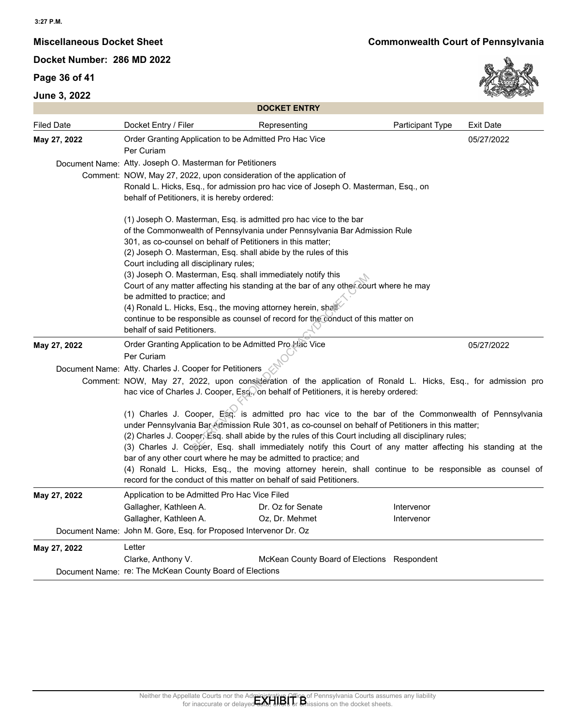## **Page 36 of 41**



| <b>Filed Date</b> | <b>DOCKET ENTRY</b>                                                                                                                                                                                                                                                                                                                                                                                                                                                                                                                                                                                                                                                                  |                  |                  |
|-------------------|--------------------------------------------------------------------------------------------------------------------------------------------------------------------------------------------------------------------------------------------------------------------------------------------------------------------------------------------------------------------------------------------------------------------------------------------------------------------------------------------------------------------------------------------------------------------------------------------------------------------------------------------------------------------------------------|------------------|------------------|
|                   | Docket Entry / Filer<br>Representing                                                                                                                                                                                                                                                                                                                                                                                                                                                                                                                                                                                                                                                 | Participant Type | <b>Exit Date</b> |
| May 27, 2022      | Order Granting Application to be Admitted Pro Hac Vice<br>Per Curiam                                                                                                                                                                                                                                                                                                                                                                                                                                                                                                                                                                                                                 |                  | 05/27/2022       |
|                   | Document Name: Atty. Joseph O. Masterman for Petitioners                                                                                                                                                                                                                                                                                                                                                                                                                                                                                                                                                                                                                             |                  |                  |
|                   | Comment: NOW, May 27, 2022, upon consideration of the application of                                                                                                                                                                                                                                                                                                                                                                                                                                                                                                                                                                                                                 |                  |                  |
|                   | Ronald L. Hicks, Esq., for admission pro hac vice of Joseph O. Masterman, Esq., on<br>behalf of Petitioners, it is hereby ordered:                                                                                                                                                                                                                                                                                                                                                                                                                                                                                                                                                   |                  |                  |
|                   | (1) Joseph O. Masterman, Esq. is admitted pro hac vice to the bar                                                                                                                                                                                                                                                                                                                                                                                                                                                                                                                                                                                                                    |                  |                  |
|                   | of the Commonwealth of Pennsylvania under Pennsylvania Bar Admission Rule<br>301, as co-counsel on behalf of Petitioners in this matter;                                                                                                                                                                                                                                                                                                                                                                                                                                                                                                                                             |                  |                  |
|                   | (2) Joseph O. Masterman, Esq. shall abide by the rules of this                                                                                                                                                                                                                                                                                                                                                                                                                                                                                                                                                                                                                       |                  |                  |
|                   | Court including all disciplinary rules;                                                                                                                                                                                                                                                                                                                                                                                                                                                                                                                                                                                                                                              |                  |                  |
|                   | (3) Joseph O. Masterman, Esq. shall immediately notify this                                                                                                                                                                                                                                                                                                                                                                                                                                                                                                                                                                                                                          |                  |                  |
|                   | Court of any matter affecting his standing at the bar of any other court where he may<br>be admitted to practice; and                                                                                                                                                                                                                                                                                                                                                                                                                                                                                                                                                                |                  |                  |
|                   | (4) Ronald L. Hicks, Esq., the moving attorney herein, shall                                                                                                                                                                                                                                                                                                                                                                                                                                                                                                                                                                                                                         |                  |                  |
|                   | continue to be responsible as counsel of record for the conduct of this matter on                                                                                                                                                                                                                                                                                                                                                                                                                                                                                                                                                                                                    |                  |                  |
|                   | behalf of said Petitioners.                                                                                                                                                                                                                                                                                                                                                                                                                                                                                                                                                                                                                                                          |                  |                  |
|                   |                                                                                                                                                                                                                                                                                                                                                                                                                                                                                                                                                                                                                                                                                      |                  | 05/27/2022       |
|                   | Order Granting Application to be Admitted Pro Hac Vice                                                                                                                                                                                                                                                                                                                                                                                                                                                                                                                                                                                                                               |                  |                  |
|                   | Per Curiam                                                                                                                                                                                                                                                                                                                                                                                                                                                                                                                                                                                                                                                                           |                  |                  |
|                   | Document Name: Atty. Charles J. Cooper for Petitioners                                                                                                                                                                                                                                                                                                                                                                                                                                                                                                                                                                                                                               |                  |                  |
|                   | Comment: NOW, May 27, 2022, upon consideration of the application of Ronald L. Hicks, Esq., for admission pro                                                                                                                                                                                                                                                                                                                                                                                                                                                                                                                                                                        |                  |                  |
|                   | hac vice of Charles J. Cooper, Eso., on behalf of Petitioners, it is hereby ordered:                                                                                                                                                                                                                                                                                                                                                                                                                                                                                                                                                                                                 |                  |                  |
|                   | (1) Charles J. Cooper, Esg. is admitted pro hac vice to the bar of the Commonwealth of Pennsylvania<br>under Pennsylvania Bar Admission Rule 301, as co-counsel on behalf of Petitioners in this matter;<br>(2) Charles J. Cooper, Esq. shall abide by the rules of this Court including all disciplinary rules;<br>(3) Charles J. Cooper, Esq. shall immediately notify this Court of any matter affecting his standing at the<br>bar of any other court where he may be admitted to practice; and<br>(4) Ronald L. Hicks, Esq., the moving attorney herein, shall continue to be responsible as counsel of<br>record for the conduct of this matter on behalf of said Petitioners. |                  |                  |
| May 27, 2022      | Application to be Admitted Pro Hac Vice Filed                                                                                                                                                                                                                                                                                                                                                                                                                                                                                                                                                                                                                                        |                  |                  |
|                   | Gallagher, Kathleen A.<br>Dr. Oz for Senate                                                                                                                                                                                                                                                                                                                                                                                                                                                                                                                                                                                                                                          | Intervenor       |                  |
|                   | Gallagher, Kathleen A.<br>Oz, Dr. Mehmet                                                                                                                                                                                                                                                                                                                                                                                                                                                                                                                                                                                                                                             | Intervenor       |                  |
| May 27, 2022      | Document Name: John M. Gore, Esq. for Proposed Intervenor Dr. Oz                                                                                                                                                                                                                                                                                                                                                                                                                                                                                                                                                                                                                     |                  |                  |
|                   | Letter                                                                                                                                                                                                                                                                                                                                                                                                                                                                                                                                                                                                                                                                               |                  |                  |
| May 27, 2022      | Clarke, Anthony V.<br>McKean County Board of Elections Respondent<br>Document Name: re: The McKean County Board of Elections                                                                                                                                                                                                                                                                                                                                                                                                                                                                                                                                                         |                  |                  |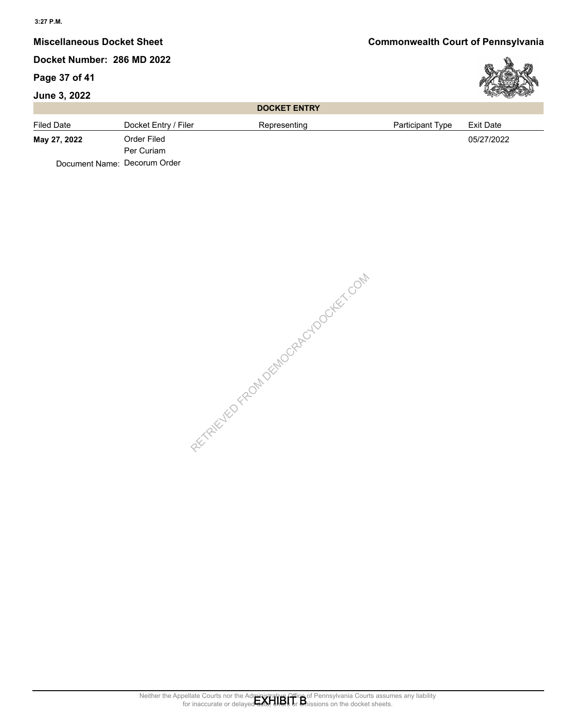## **Miscellaneous Docket Sheet Commonwealth Court of Pennsylvania**

## **Docket Number: 286 MD 2022**

Per Curiam

Document Name: Decorum Order

### **Page 37 of 41**

### **June 3, 2022**

## **DOCKET ENTRY**



RECTAIN POPMALES FROM DEMOCRACY DOCKET.COM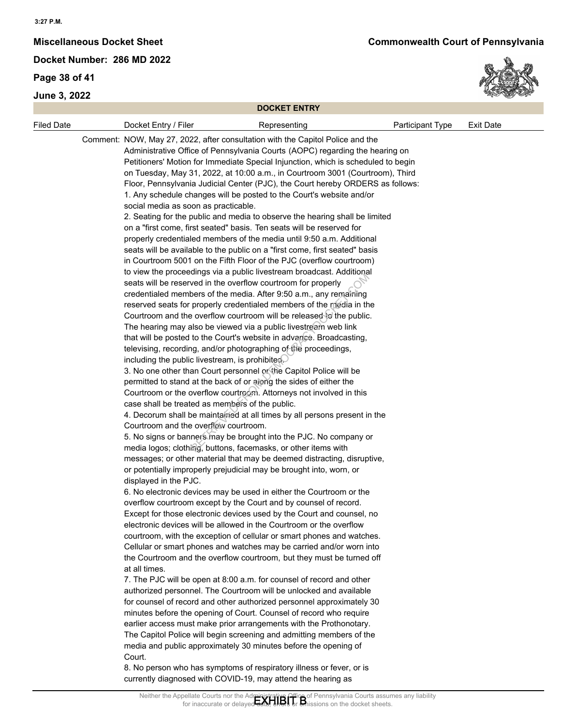#### **3:27 P.M.**

**Docket Number: 286 MD 2022**

**Page 38 of 41**

**June 3, 2022**



|                   | <b>DOCKET ENTRY</b>                                                                                                                                                                                                                                                                                                                                                                                                                                                                                                                                                                                                                                                                                                                                                                                                                                                                                                                                                                                                                                                                                                                                                                                                                                                                                                                                                                                                                                                                                                                                                                                                                                                                                                                                                                                                                                                                                                                                                                                                                                                                                                                                                                                                                                                                                                                                                                                                                                                                                                                                                                                                                                                                                                                                                                                                                                                                                                                                                                                                                                                                                                                                                                                                                                                                                                                                                                                                 |                  |                  |
|-------------------|---------------------------------------------------------------------------------------------------------------------------------------------------------------------------------------------------------------------------------------------------------------------------------------------------------------------------------------------------------------------------------------------------------------------------------------------------------------------------------------------------------------------------------------------------------------------------------------------------------------------------------------------------------------------------------------------------------------------------------------------------------------------------------------------------------------------------------------------------------------------------------------------------------------------------------------------------------------------------------------------------------------------------------------------------------------------------------------------------------------------------------------------------------------------------------------------------------------------------------------------------------------------------------------------------------------------------------------------------------------------------------------------------------------------------------------------------------------------------------------------------------------------------------------------------------------------------------------------------------------------------------------------------------------------------------------------------------------------------------------------------------------------------------------------------------------------------------------------------------------------------------------------------------------------------------------------------------------------------------------------------------------------------------------------------------------------------------------------------------------------------------------------------------------------------------------------------------------------------------------------------------------------------------------------------------------------------------------------------------------------------------------------------------------------------------------------------------------------------------------------------------------------------------------------------------------------------------------------------------------------------------------------------------------------------------------------------------------------------------------------------------------------------------------------------------------------------------------------------------------------------------------------------------------------------------------------------------------------------------------------------------------------------------------------------------------------------------------------------------------------------------------------------------------------------------------------------------------------------------------------------------------------------------------------------------------------------------------------------------------------------------------------------------------------|------------------|------------------|
| <b>Filed Date</b> | Docket Entry / Filer<br>Representing                                                                                                                                                                                                                                                                                                                                                                                                                                                                                                                                                                                                                                                                                                                                                                                                                                                                                                                                                                                                                                                                                                                                                                                                                                                                                                                                                                                                                                                                                                                                                                                                                                                                                                                                                                                                                                                                                                                                                                                                                                                                                                                                                                                                                                                                                                                                                                                                                                                                                                                                                                                                                                                                                                                                                                                                                                                                                                                                                                                                                                                                                                                                                                                                                                                                                                                                                                                | Participant Type | <b>Exit Date</b> |
|                   | Comment: NOW, May 27, 2022, after consultation with the Capitol Police and the<br>Administrative Office of Pennsylvania Courts (AOPC) regarding the hearing on<br>Petitioners' Motion for Immediate Special Injunction, which is scheduled to begin<br>on Tuesday, May 31, 2022, at 10:00 a.m., in Courtroom 3001 (Courtroom), Third<br>Floor, Pennsylvania Judicial Center (PJC), the Court hereby ORDERS as follows:<br>1. Any schedule changes will be posted to the Court's website and/or<br>social media as soon as practicable.<br>2. Seating for the public and media to observe the hearing shall be limited<br>on a "first come, first seated" basis. Ten seats will be reserved for<br>properly credentialed members of the media until 9:50 a.m. Additional<br>seats will be available to the public on a "first come, first seated" basis<br>in Courtroom 5001 on the Fifth Floor of the PJC (overflow courtroom)<br>to view the proceedings via a public livestream broadcast. Additional<br>seats will be reserved in the overflow courtroom for properly<br>credentialed members of the media. After 9:50 a.m., any remaining<br>reserved seats for properly credentialed members of the media in the<br>Courtroom and the overflow courtroom will be released to the public.<br>The hearing may also be viewed via a public livestream web link<br>that will be posted to the Court's website in advance. Broadcasting,<br>televising, recording, and/or photographing of the proceedings,<br>including the public livestream, is prohibited.<br>3. No one other than Court personnel or the Capitol Police will be<br>permitted to stand at the back of or along the sides of either the<br>Courtroom or the overflow courtroom. Attorneys not involved in this<br>case shall be treated as members of the public.<br>4. Decorum shall be maintained at all times by all persons present in the<br>Courtroom and the overflow courtroom.<br>5. No signs or banners may be brought into the PJC. No company or<br>media logos; clothing, buttons, facemasks, or other items with<br>messages; or other material that may be deemed distracting, disruptive,<br>or potentially improperly prejudicial may be brought into, worn, or<br>displayed in the PJC.<br>6. No electronic devices may be used in either the Courtroom or the<br>overflow courtroom except by the Court and by counsel of record.<br>Except for those electronic devices used by the Court and counsel, no<br>electronic devices will be allowed in the Courtroom or the overflow<br>courtroom, with the exception of cellular or smart phones and watches.<br>Cellular or smart phones and watches may be carried and/or worn into<br>the Courtroom and the overflow courtroom, but they must be turned off<br>at all times.<br>7. The PJC will be open at 8:00 a.m. for counsel of record and other<br>authorized personnel. The Courtroom will be unlocked and available<br>for counsel of record and other authorized personnel approximately 30<br>minutes before the opening of Court. Counsel of record who require<br>earlier access must make prior arrangements with the Prothonotary.<br>The Capitol Police will begin screening and admitting members of the<br>media and public approximately 30 minutes before the opening of<br>Court.<br>8. No person who has symptoms of respiratory illness or fever, or is |                  |                  |
|                   | currently diagnosed with COVID-19, may attend the hearing as                                                                                                                                                                                                                                                                                                                                                                                                                                                                                                                                                                                                                                                                                                                                                                                                                                                                                                                                                                                                                                                                                                                                                                                                                                                                                                                                                                                                                                                                                                                                                                                                                                                                                                                                                                                                                                                                                                                                                                                                                                                                                                                                                                                                                                                                                                                                                                                                                                                                                                                                                                                                                                                                                                                                                                                                                                                                                                                                                                                                                                                                                                                                                                                                                                                                                                                                                        |                  |                  |
|                   | Neither the Appellate Courts nor the Administrative Office of Pennsylvania Courts assumes any liability<br>for inaccurate or delayed data, ends or an insisions on the docket sheets.                                                                                                                                                                                                                                                                                                                                                                                                                                                                                                                                                                                                                                                                                                                                                                                                                                                                                                                                                                                                                                                                                                                                                                                                                                                                                                                                                                                                                                                                                                                                                                                                                                                                                                                                                                                                                                                                                                                                                                                                                                                                                                                                                                                                                                                                                                                                                                                                                                                                                                                                                                                                                                                                                                                                                                                                                                                                                                                                                                                                                                                                                                                                                                                                                               |                  |                  |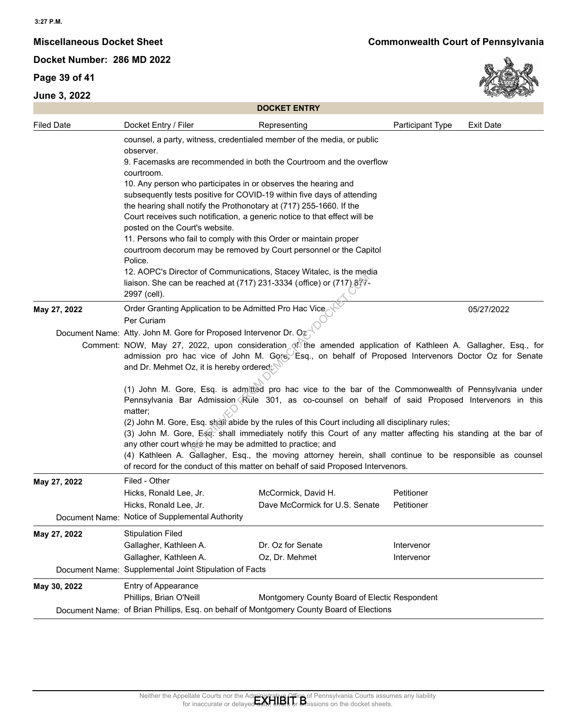## **Page 39 of 41**





| <b>Filed Date</b> |                                                                                                                                                                                                                                                                                                                                                                                                                                                                                                                                                                                                                                                                                                       |                                                                                                                                               |                  |                  |  |  |
|-------------------|-------------------------------------------------------------------------------------------------------------------------------------------------------------------------------------------------------------------------------------------------------------------------------------------------------------------------------------------------------------------------------------------------------------------------------------------------------------------------------------------------------------------------------------------------------------------------------------------------------------------------------------------------------------------------------------------------------|-----------------------------------------------------------------------------------------------------------------------------------------------|------------------|------------------|--|--|
|                   | Docket Entry / Filer                                                                                                                                                                                                                                                                                                                                                                                                                                                                                                                                                                                                                                                                                  | Representing                                                                                                                                  | Participant Type | <b>Exit Date</b> |  |  |
|                   | observer.                                                                                                                                                                                                                                                                                                                                                                                                                                                                                                                                                                                                                                                                                             | counsel, a party, witness, credentialed member of the media, or public<br>9. Facemasks are recommended in both the Courtroom and the overflow |                  |                  |  |  |
|                   | courtroom.                                                                                                                                                                                                                                                                                                                                                                                                                                                                                                                                                                                                                                                                                            |                                                                                                                                               |                  |                  |  |  |
|                   | 10. Any person who participates in or observes the hearing and<br>subsequently tests positive for COVID-19 within five days of attending                                                                                                                                                                                                                                                                                                                                                                                                                                                                                                                                                              |                                                                                                                                               |                  |                  |  |  |
|                   | the hearing shall notify the Prothonotary at (717) 255-1660. If the<br>Court receives such notification, a generic notice to that effect will be<br>posted on the Court's website.<br>11. Persons who fail to comply with this Order or maintain proper                                                                                                                                                                                                                                                                                                                                                                                                                                               |                                                                                                                                               |                  |                  |  |  |
|                   |                                                                                                                                                                                                                                                                                                                                                                                                                                                                                                                                                                                                                                                                                                       |                                                                                                                                               |                  |                  |  |  |
|                   |                                                                                                                                                                                                                                                                                                                                                                                                                                                                                                                                                                                                                                                                                                       |                                                                                                                                               |                  |                  |  |  |
|                   | Police.                                                                                                                                                                                                                                                                                                                                                                                                                                                                                                                                                                                                                                                                                               | courtroom decorum may be removed by Court personnel or the Capitol                                                                            |                  |                  |  |  |
|                   |                                                                                                                                                                                                                                                                                                                                                                                                                                                                                                                                                                                                                                                                                                       | 12. AOPC's Director of Communications, Stacey Witalec, is the media                                                                           |                  |                  |  |  |
|                   |                                                                                                                                                                                                                                                                                                                                                                                                                                                                                                                                                                                                                                                                                                       | liaison. She can be reached at (717) 231-3334 (office) or (717) 877-                                                                          |                  |                  |  |  |
|                   | 2997 (cell).                                                                                                                                                                                                                                                                                                                                                                                                                                                                                                                                                                                                                                                                                          |                                                                                                                                               |                  |                  |  |  |
| May 27, 2022      | Order Granting Application to be Admitted Pro Hac Vice<br>Per Curiam                                                                                                                                                                                                                                                                                                                                                                                                                                                                                                                                                                                                                                  |                                                                                                                                               |                  | 05/27/2022       |  |  |
|                   | Document Name: Atty. John M. Gore for Proposed Intervenor Dr. Oz                                                                                                                                                                                                                                                                                                                                                                                                                                                                                                                                                                                                                                      |                                                                                                                                               |                  |                  |  |  |
|                   | Comment: NOW, May 27, 2022, upon consideration of the amended application of Kathleen A. Gallagher, Esq., for<br>admission pro hac vice of John M. Gore, Esq., on behalf of Proposed Intervenors Doctor Oz for Senate<br>and Dr. Mehmet Oz, it is hereby ordered                                                                                                                                                                                                                                                                                                                                                                                                                                      |                                                                                                                                               |                  |                  |  |  |
|                   | (1) John M. Gore, Esq. is admitted pro hac vice to the bar of the Commonwealth of Pennsylvania under<br>Pennsylvania Bar Admission Rule 301, as co-counsel on behalf of said Proposed Intervenors in this<br>matter;<br>(2) John M. Gore, Esq. shall abide by the rules of this Court including all disciplinary rules;<br>(3) John M. Gore, Esc. shall immediately notify this Court of any matter affecting his standing at the bar of<br>any other court where he may be admitted to practice; and<br>(4) Kathleen A. Gallagher, Esq., the moving attorney herein, shall continue to be responsible as counsel<br>of record for the conduct of this matter on behalf of said Proposed Intervenors. |                                                                                                                                               |                  |                  |  |  |
|                   |                                                                                                                                                                                                                                                                                                                                                                                                                                                                                                                                                                                                                                                                                                       |                                                                                                                                               |                  |                  |  |  |
| May 27, 2022      | Filed - Other                                                                                                                                                                                                                                                                                                                                                                                                                                                                                                                                                                                                                                                                                         |                                                                                                                                               |                  |                  |  |  |
|                   | Hicks, Ronald Lee, Jr.                                                                                                                                                                                                                                                                                                                                                                                                                                                                                                                                                                                                                                                                                | McCormick, David H.                                                                                                                           | Petitioner       |                  |  |  |
|                   | Hicks, Ronald Lee, Jr.<br>Document Name: Notice of Supplemental Authority                                                                                                                                                                                                                                                                                                                                                                                                                                                                                                                                                                                                                             | Dave McCormick for U.S. Senate                                                                                                                | Petitioner       |                  |  |  |
| May 27, 2022      | <b>Stipulation Filed</b>                                                                                                                                                                                                                                                                                                                                                                                                                                                                                                                                                                                                                                                                              |                                                                                                                                               |                  |                  |  |  |
|                   | Gallagher, Kathleen A.                                                                                                                                                                                                                                                                                                                                                                                                                                                                                                                                                                                                                                                                                | Dr. Oz for Senate                                                                                                                             | Intervenor       |                  |  |  |
|                   | Gallagher, Kathleen A.                                                                                                                                                                                                                                                                                                                                                                                                                                                                                                                                                                                                                                                                                | Oz, Dr. Mehmet                                                                                                                                | Intervenor       |                  |  |  |
| Document Name:    | Supplemental Joint Stipulation of Facts                                                                                                                                                                                                                                                                                                                                                                                                                                                                                                                                                                                                                                                               |                                                                                                                                               |                  |                  |  |  |
| May 30, 2022      | Entry of Appearance<br>Phillips, Brian O'Neill                                                                                                                                                                                                                                                                                                                                                                                                                                                                                                                                                                                                                                                        | Montgomery County Board of Electic Respondent                                                                                                 |                  |                  |  |  |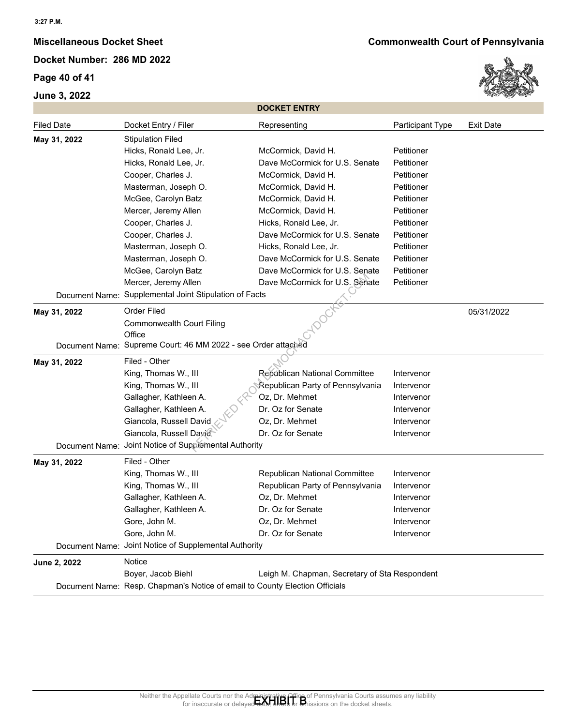## **Page 40 of 41**



|                   |                                                                             | <b>DOCKET ENTRY</b>                           |                  |                  |
|-------------------|-----------------------------------------------------------------------------|-----------------------------------------------|------------------|------------------|
| <b>Filed Date</b> | Docket Entry / Filer                                                        | Representing                                  | Participant Type | <b>Exit Date</b> |
| May 31, 2022      | <b>Stipulation Filed</b>                                                    |                                               |                  |                  |
|                   | Hicks, Ronald Lee, Jr.                                                      | McCormick, David H.                           | Petitioner       |                  |
|                   | Hicks, Ronald Lee, Jr.                                                      | Dave McCormick for U.S. Senate                | Petitioner       |                  |
|                   | Cooper, Charles J.                                                          | McCormick, David H.                           | Petitioner       |                  |
|                   | Masterman, Joseph O.                                                        | McCormick, David H.                           | Petitioner       |                  |
|                   | McGee, Carolyn Batz                                                         | McCormick, David H.                           | Petitioner       |                  |
|                   | Mercer, Jeremy Allen                                                        | McCormick, David H.                           | Petitioner       |                  |
|                   | Cooper, Charles J.                                                          | Hicks, Ronald Lee, Jr.                        | Petitioner       |                  |
|                   | Cooper, Charles J.                                                          | Dave McCormick for U.S. Senate                | Petitioner       |                  |
|                   | Masterman, Joseph O.                                                        | Hicks, Ronald Lee, Jr.                        | Petitioner       |                  |
|                   | Masterman, Joseph O.                                                        | Dave McCormick for U.S. Senate                | Petitioner       |                  |
|                   | McGee, Carolyn Batz                                                         | Dave McCormick for U.S. Senate                | Petitioner       |                  |
|                   | Mercer, Jeremy Allen                                                        | Dave McCormick for U.S. Senate                | Petitioner       |                  |
|                   | Document Name: Supplemental Joint Stipulation of Facts                      |                                               |                  |                  |
| May 31, 2022      | Order Filed                                                                 |                                               |                  | 05/31/2022       |
|                   | Commonwealth Court Filing                                                   |                                               |                  |                  |
|                   | Office                                                                      |                                               |                  |                  |
|                   | Document Name: Supreme Court: 46 MM 2022 - see Order attached               |                                               |                  |                  |
| May 31, 2022      | Filed - Other                                                               |                                               |                  |                  |
|                   | King, Thomas W., III                                                        | Repúblican National Committee                 | Intervenor       |                  |
|                   | King, Thomas W., III                                                        | Republican Party of Pennsylvania              | Intervenor       |                  |
|                   | Gallagher, Kathleen A.                                                      | Oz, Dr. Mehmet                                | Intervenor       |                  |
|                   | Gallagher, Kathleen A.                                                      | Dr. Oz for Senate                             | Intervenor       |                  |
|                   | Giancola, Russell David                                                     | Oz, Dr. Mehmet                                | Intervenor       |                  |
|                   | Giancola, Russell David                                                     | Dr. Oz for Senate                             | Intervenor       |                  |
|                   | Document Name: Joint Notice of Supplemental Authority                       |                                               |                  |                  |
| May 31, 2022      | Filed - Other                                                               |                                               |                  |                  |
|                   | King, Thomas W., III                                                        | Republican National Committee                 | Intervenor       |                  |
|                   | King, Thomas W., III                                                        | Republican Party of Pennsylvania              | Intervenor       |                  |
|                   | Gallagher, Kathleen A.                                                      | Oz, Dr. Mehmet                                | Intervenor       |                  |
|                   | Gallagher, Kathleen A.                                                      | Dr. Oz for Senate                             | Intervenor       |                  |
|                   | Gore, John M.                                                               | Oz, Dr. Mehmet                                | Intervenor       |                  |
|                   | Gore, John M.                                                               | Dr. Oz for Senate                             | Intervenor       |                  |
|                   | Document Name: Joint Notice of Supplemental Authority                       |                                               |                  |                  |
|                   | Notice                                                                      |                                               |                  |                  |
| June 2, 2022      |                                                                             |                                               |                  |                  |
|                   | Boyer, Jacob Biehl                                                          | Leigh M. Chapman, Secretary of Sta Respondent |                  |                  |
|                   | Document Name: Resp. Chapman's Notice of email to County Election Officials |                                               |                  |                  |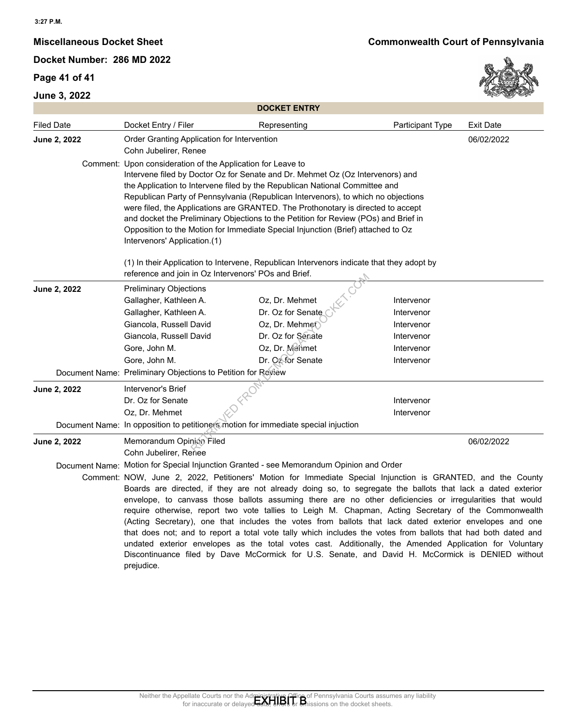## **Page 41 of 41**



| <b>DOCKET ENTRY</b> |                                                                                                                                                                                       |                   |                                                                                                                                                                                                             |                  |  |  |  |
|---------------------|---------------------------------------------------------------------------------------------------------------------------------------------------------------------------------------|-------------------|-------------------------------------------------------------------------------------------------------------------------------------------------------------------------------------------------------------|------------------|--|--|--|
| <b>Filed Date</b>   | Docket Entry / Filer                                                                                                                                                                  | Representing      | Participant Type                                                                                                                                                                                            | <b>Exit Date</b> |  |  |  |
| June 2, 2022        | Order Granting Application for Intervention                                                                                                                                           |                   |                                                                                                                                                                                                             | 06/02/2022       |  |  |  |
|                     | Cohn Jubelirer, Renee                                                                                                                                                                 |                   |                                                                                                                                                                                                             |                  |  |  |  |
|                     | Comment: Upon consideration of the Application for Leave to                                                                                                                           |                   |                                                                                                                                                                                                             |                  |  |  |  |
|                     | Intervene filed by Doctor Oz for Senate and Dr. Mehmet Oz (Oz Intervenors) and                                                                                                        |                   |                                                                                                                                                                                                             |                  |  |  |  |
|                     | the Application to Intervene filed by the Republican National Committee and<br>Republican Party of Pennsylvania (Republican Intervenors), to which no objections                      |                   |                                                                                                                                                                                                             |                  |  |  |  |
|                     |                                                                                                                                                                                       |                   |                                                                                                                                                                                                             |                  |  |  |  |
|                     | were filed, the Applications are GRANTED. The Prothonotary is directed to accept<br>and docket the Preliminary Objections to the Petition for Review (POs) and Brief in               |                   |                                                                                                                                                                                                             |                  |  |  |  |
|                     | Opposition to the Motion for Immediate Special Injunction (Brief) attached to Oz                                                                                                      |                   |                                                                                                                                                                                                             |                  |  |  |  |
|                     | Intervenors' Application.(1)                                                                                                                                                          |                   |                                                                                                                                                                                                             |                  |  |  |  |
|                     | (1) In their Application to Intervene, Republican Intervenors indicate that they adopt by                                                                                             |                   |                                                                                                                                                                                                             |                  |  |  |  |
|                     | reference and join in Oz Intervenors' POs and Brief.                                                                                                                                  |                   |                                                                                                                                                                                                             |                  |  |  |  |
| June 2, 2022        | <b>Preliminary Objections</b>                                                                                                                                                         |                   |                                                                                                                                                                                                             |                  |  |  |  |
|                     | Gallagher, Kathleen A.                                                                                                                                                                | Oz, Dr. Mehmet    | Intervenor                                                                                                                                                                                                  |                  |  |  |  |
|                     | Gallagher, Kathleen A.                                                                                                                                                                | Dr. Oz for Senate | Intervenor                                                                                                                                                                                                  |                  |  |  |  |
|                     | Giancola, Russell David                                                                                                                                                               | Oz, Dr. Mehme     | Intervenor                                                                                                                                                                                                  |                  |  |  |  |
|                     | Giancola, Russell David                                                                                                                                                               | Dr. Oz for Senate | Intervenor                                                                                                                                                                                                  |                  |  |  |  |
|                     | Gore, John M.                                                                                                                                                                         | Oz, Dr. Menmet    | Intervenor                                                                                                                                                                                                  |                  |  |  |  |
|                     | Gore, John M.<br>Document Name: Preliminary Objections to Petition for Review                                                                                                         | Dr. Og for Senate | Intervenor                                                                                                                                                                                                  |                  |  |  |  |
|                     |                                                                                                                                                                                       |                   |                                                                                                                                                                                                             |                  |  |  |  |
| June 2, 2022        | Intervenor's Brief                                                                                                                                                                    |                   |                                                                                                                                                                                                             |                  |  |  |  |
|                     | Dr. Oz for Senate<br>Oz, Dr. Mehmet                                                                                                                                                   |                   | Intervenor                                                                                                                                                                                                  |                  |  |  |  |
|                     | Document Name: In opposition to petitioners motion for immediate special injuction                                                                                                    |                   | Intervenor                                                                                                                                                                                                  |                  |  |  |  |
|                     |                                                                                                                                                                                       |                   |                                                                                                                                                                                                             |                  |  |  |  |
| June 2, 2022        | Memorandum Opinion Filed<br>Cohn Jubelirer, Renee                                                                                                                                     |                   |                                                                                                                                                                                                             | 06/02/2022       |  |  |  |
|                     | Document Name: Motion for Special Injunction Granted - see Memorandum Opinion and Order                                                                                               |                   |                                                                                                                                                                                                             |                  |  |  |  |
|                     | Comment: NOW, June 2, 2022, Petitioners' Motion for Immediate Special Injunction is GRANTED, and the County                                                                           |                   |                                                                                                                                                                                                             |                  |  |  |  |
|                     |                                                                                                                                                                                       |                   | Boards are directed, if they are not already doing so, to segregate the ballots that lack a dated exterior                                                                                                  |                  |  |  |  |
|                     |                                                                                                                                                                                       |                   | envelope, to canvass those ballots assuming there are no other deficiencies or irregularities that would                                                                                                    |                  |  |  |  |
|                     |                                                                                                                                                                                       |                   | require otherwise, report two vote tallies to Leigh M. Chapman, Acting Secretary of the Commonwealth                                                                                                        |                  |  |  |  |
|                     |                                                                                                                                                                                       |                   | (Acting Secretary), one that includes the votes from ballots that lack dated exterior envelopes and one                                                                                                     |                  |  |  |  |
|                     |                                                                                                                                                                                       |                   | that does not; and to report a total vote tally which includes the votes from ballots that had both dated and                                                                                               |                  |  |  |  |
|                     |                                                                                                                                                                                       |                   | undated exterior envelopes as the total votes cast. Additionally, the Amended Application for Voluntary<br>Discontinuance filed by Dave McCormick for U.S. Senate, and David H. McCormick is DENIED without |                  |  |  |  |
|                     | prejudice.                                                                                                                                                                            |                   |                                                                                                                                                                                                             |                  |  |  |  |
|                     |                                                                                                                                                                                       |                   |                                                                                                                                                                                                             |                  |  |  |  |
|                     |                                                                                                                                                                                       |                   |                                                                                                                                                                                                             |                  |  |  |  |
|                     |                                                                                                                                                                                       |                   |                                                                                                                                                                                                             |                  |  |  |  |
|                     |                                                                                                                                                                                       |                   |                                                                                                                                                                                                             |                  |  |  |  |
|                     |                                                                                                                                                                                       |                   |                                                                                                                                                                                                             |                  |  |  |  |
|                     |                                                                                                                                                                                       |                   |                                                                                                                                                                                                             |                  |  |  |  |
|                     |                                                                                                                                                                                       |                   |                                                                                                                                                                                                             |                  |  |  |  |
|                     |                                                                                                                                                                                       |                   |                                                                                                                                                                                                             |                  |  |  |  |
|                     |                                                                                                                                                                                       |                   |                                                                                                                                                                                                             |                  |  |  |  |
|                     | Neither the Appellate Courts nor the Administrative Office of Pennsylvania Courts assumes any liability<br>for inaccurate or delayed data, ends or an insisions on the docket sheets. |                   |                                                                                                                                                                                                             |                  |  |  |  |
|                     |                                                                                                                                                                                       |                   |                                                                                                                                                                                                             |                  |  |  |  |